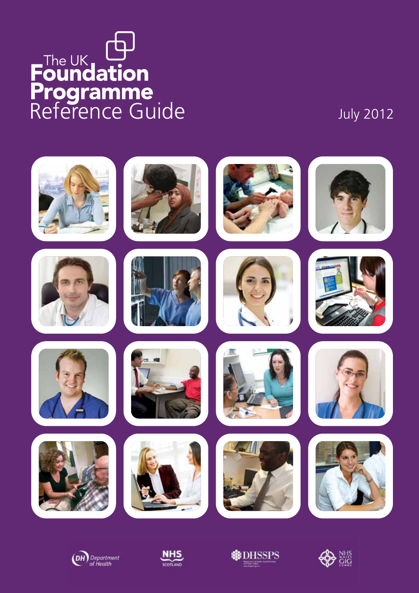# The UK (D)<br>
Foundation<br>
Programme<br>
Reference Guide July 2012









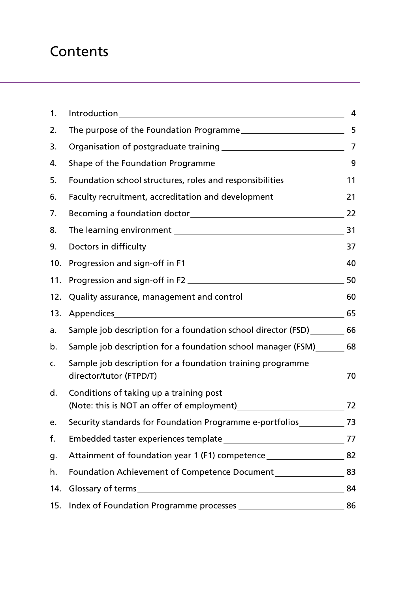# **Contents**

| 1.  |                                                                                                                                             | 4              |
|-----|---------------------------------------------------------------------------------------------------------------------------------------------|----------------|
| 2.  | The purpose of the Foundation Programme                                                                                                     | 5              |
| 3.  |                                                                                                                                             | $\overline{7}$ |
| 4.  |                                                                                                                                             | 9              |
| 5.  | Foundation school structures, roles and responsibilities _______________________ 11                                                         |                |
| 6.  | Faculty recruitment, accreditation and development                                                                                          | 21             |
| 7.  |                                                                                                                                             | 22             |
| 8.  |                                                                                                                                             | 31             |
| 9.  |                                                                                                                                             | 37             |
| 10. |                                                                                                                                             | 40             |
| 11. |                                                                                                                                             | 50             |
| 12. | Quality assurance, management and control [10001] [10001] [10001] [10001] [10001] [10001] [10001] [10001] [100                              | 60             |
| 13. |                                                                                                                                             | 65             |
| a.  | Sample job description for a foundation school director (FSD)                                                                               | 66             |
| b.  | Sample job description for a foundation school manager (FSM)                                                                                | 68             |
| C.  | Sample job description for a foundation training programme<br>director/tutor (FTPD/T)<br><u> 1980 - John Stein, Amerikaansk politiker (</u> | 70             |
| d.  | Conditions of taking up a training post<br>(Note: this is NOT an offer of employment)                                                       | 72             |
| е.  | Security standards for Foundation Programme e-portfolios [13] 73                                                                            |                |
| f.  |                                                                                                                                             | 77             |
| g.  | Attainment of foundation year 1 (F1) competence_________________________________                                                            | 82             |
| h.  | Foundation Achievement of Competence Document                                                                                               | 83             |
| 14. |                                                                                                                                             | 84             |
| 15. |                                                                                                                                             | 86             |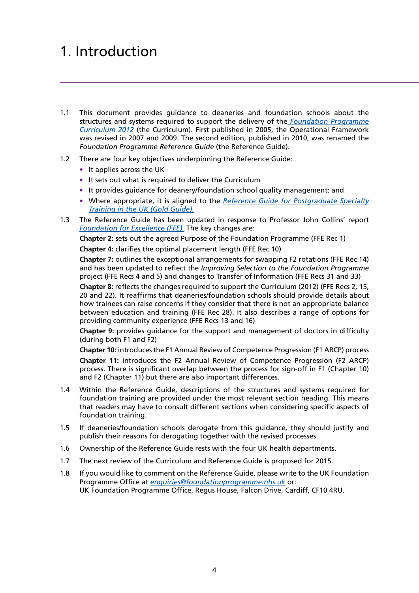# <span id="page-2-0"></span>1. Introduction

- 1.1 This document provides guidance to deaneries and foundation schools about the structures and systems required to support the delivery of the *[Foundation Programme](http://www.foundationprogramme.nhs.uk/download.asp?file=FP_Curriculum_2012_WEB_FINAL.PDF) [Curriculum 2012](http://www.foundationprogramme.nhs.uk/download.asp?file=FP_Curriculum_2012_WEB_FINAL.PDF)* (the Curriculum). First published in 2005, the Operational Framework was revised in 2007 and 2009. The second edition, published in 2010, was renamed the *Foundation Programme Reference Guide* (the Reference Guide).
- 1.2 There are four key objectives underpinning the Reference Guide:
	- **•** It applies across the UK
	- **•** It sets out what is required to deliver the Curriculum
	- **•** It provides guidance for deanery/foundation school quality management; and
	- **•** Where appropriate, it is aligned to the *[Reference Guide for Postgraduate Specialty](http://www.mmc.nhs.uk/pdf/Gold Guide 2010 Fourth Edition v08.pdf) [Training in the UK \(Gold Guide\).](http://www.mmc.nhs.uk/pdf/Gold Guide 2010 Fourth Edition v08.pdf)*
- 1.3 The Reference Guide has been updated in response to Professor John Collins' report *[Foundation for Excellence \(FFE\).](http://www.google.co.uk/url?q=http://www.mee.nhs.uk/pdf/401339_MEE_FoundationExcellence_acc.pdf&sa=U&ei=te_aT_vzLNTZ0QWT6bz6Cg&ved=0CBUQFjAB&usg=AFQjCNEv5qSU5LjFQfzZc4zWPP55Ab88IA)* The key changes are:

**Chapter 2:** sets out the agreed Purpose of the Foundation Programme (FFE Rec 1) **Chapter 4:** clarifies the optimal placement length (FFE Rec 10)

 **Chapter 7:** outlines the exceptional arrangements for swapping F2 rotations (FFE Rec 14) and has been updated to reflect the *Improving Selection to the Foundation Programme*  project (FFE Recs 4 and 5) and changes to Transfer of Information (FFE Recs 31 and 33)

 **Chapter 8:** reflects the changes required to support the Curriculum (2012) (FFE Recs 2, 15, 20 and 22). It reaffirms that deaneries/foundation schools should provide details about how trainees can raise concerns if they consider that there is not an appropriate balance between education and training (FFE Rec 28). It also describes a range of options for providing community experience (FFE Recs 13 and 16)

 **Chapter 9:** provides guidance for the support and management of doctors in difficulty (during both F1 and F2)

**Chapter 10:** introduces the F1 Annual Review of Competence Progression (F1 ARCP) process  **Chapter 11:** introduces the F2 Annual Review of Competence Progression (F2 ARCP) process. There is significant overlap between the process for sign-off in F1 (Chapter 10) and F2 (Chapter 11) but there are also important differences.

- 1.4 Within the Reference Guide, descriptions of the structures and systems required for foundation training are provided under the most relevant section heading. This means that readers may have to consult different sections when considering specific aspects of foundation training.
- 1.5 If deaneries/foundation schools derogate from this guidance, they should justify and publish their reasons for derogating together with the revised processes.
- 1.6 Ownership of the Reference Guide rests with the four UK health departments.
- 1.7 The next review of the Curriculum and Reference Guide is proposed for 2015.
- 1.8 If you would like to comment on the Reference Guide, please write to the UK Foundation Programme Office at *[enquiries@foundationprogramme.nhs.uk](mailto:enquiries@foundationprogramme.nhs.uk)* or: UK Foundation Programme Office, Regus House, Falcon Drive, Cardiff, CF10 4RU.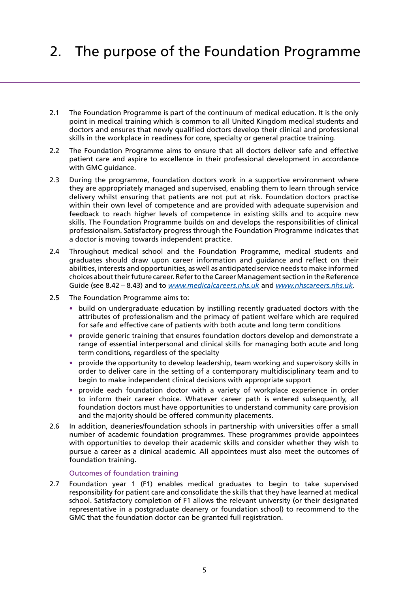# <span id="page-3-0"></span>2. The purpose of the Foundation Programme

- 2.1 The Foundation Programme is part of the continuum of medical education. It is the only point in medical training which is common to all United Kingdom medical students and doctors and ensures that newly qualified doctors develop their clinical and professional skills in the workplace in readiness for core, specialty or general practice training.
- 2.2 The Foundation Programme aims to ensure that all doctors deliver safe and effective patient care and aspire to excellence in their professional development in accordance with GMC guidance.
- 2.3 During the programme, foundation doctors work in a supportive environment where they are appropriately managed and supervised, enabling them to learn through service delivery whilst ensuring that patients are not put at risk. Foundation doctors practise within their own level of competence and are provided with adequate supervision and feedback to reach higher levels of competence in existing skills and to acquire new skills. The Foundation Programme builds on and develops the responsibilities of clinical professionalism. Satisfactory progress through the Foundation Programme indicates that a doctor is moving towards independent practice.
- 2.4 Throughout medical school and the Foundation Programme, medical students and graduates should draw upon career information and guidance and reflect on their abilities, interests and opportunities, as well as anticipated service needs to make informed choices about their future career. Refer to the Career Management section in the Reference Guide (see 8.42 – 8.43) and to *[www.medicalcareers.nhs.uk](http://www.medicalcareers.nhs.uk)* and *[www.nhscareers.nhs.uk](http://www.nhscareers.nhs.uk)*.
- 2.5 The Foundation Programme aims to:
	- **•** build on undergraduate education by instilling recently graduated doctors with the attributes of professionalism and the primacy of patient welfare which are required for safe and effective care of patients with both acute and long term conditions
	- **•** provide generic training that ensures foundation doctors develop and demonstrate a range of essential interpersonal and clinical skills for managing both acute and long term conditions, regardless of the specialty
	- **•** provide the opportunity to develop leadership, team working and supervisory skills in order to deliver care in the setting of a contemporary multidisciplinary team and to begin to make independent clinical decisions with appropriate support
	- **•** provide each foundation doctor with a variety of workplace experience in order to inform their career choice. Whatever career path is entered subsequently, all foundation doctors must have opportunities to understand community care provision and the majority should be offered community placements.
- 2.6 In addition, deaneries/foundation schools in partnership with universities offer a small number of academic foundation programmes. These programmes provide appointees with opportunities to develop their academic skills and consider whether they wish to pursue a career as a clinical academic. All appointees must also meet the outcomes of foundation training.

### Outcomes of foundation training

2.7 Foundation year 1 (F1) enables medical graduates to begin to take supervised responsibility for patient care and consolidate the skills that they have learned at medical school. Satisfactory completion of F1 allows the relevant university (or their designated representative in a postgraduate deanery or foundation school) to recommend to the GMC that the foundation doctor can be granted full registration.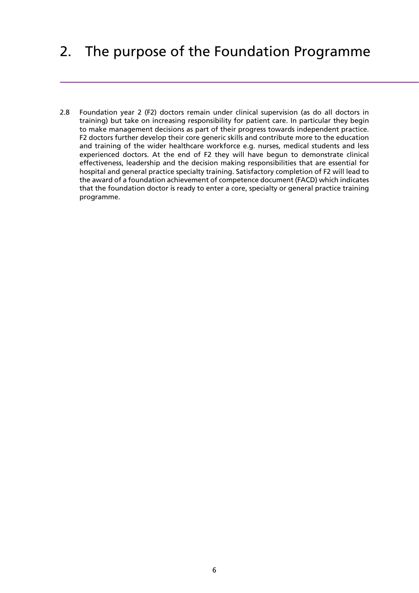# 2. The purpose of the Foundation Programme

2.8 Foundation year 2 (F2) doctors remain under clinical supervision (as do all doctors in training) but take on increasing responsibility for patient care. In particular they begin to make management decisions as part of their progress towards independent practice. F2 doctors further develop their core generic skills and contribute more to the education and training of the wider healthcare workforce e.g. nurses, medical students and less experienced doctors. At the end of F2 they will have begun to demonstrate clinical effectiveness, leadership and the decision making responsibilities that are essential for hospital and general practice specialty training. Satisfactory completion of F2 will lead to the award of a foundation achievement of competence document (FACD) which indicates that the foundation doctor is ready to enter a core, specialty or general practice training programme.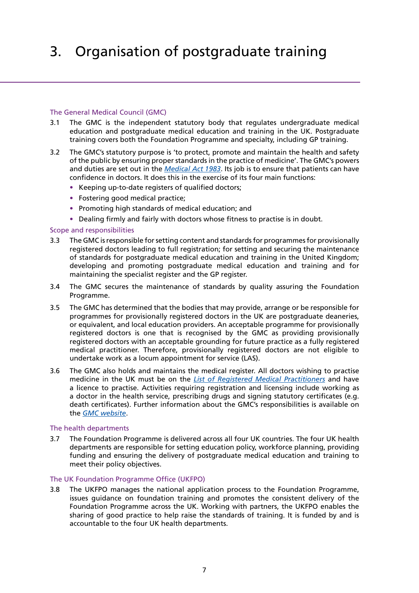# <span id="page-5-0"></span>3. Organisation of postgraduate training

### The General Medical Council (GMC)

- 3.1 The GMC is the independent statutory body that regulates undergraduate medical education and postgraduate medical education and training in the UK. Postgraduate training covers both the Foundation Programme and specialty, including GP training.
- 3.2 The GMC's statutory purpose is 'to protect, promote and maintain the health and safety of the public by ensuring proper standards in the practice of medicine'. The GMC's powers and duties are set out in the *[Medical Act 1983](http://www.gmc-uk.org/about/legislation/medical_act.asp)*. Its job is to ensure that patients can have confidence in doctors. It does this in the exercise of its four main functions:
	- **•** Keeping up-to-date registers of qualified doctors;
	- **•** Fostering good medical practice;
	- **•** Promoting high standards of medical education; and
	- **•** Dealing firmly and fairly with doctors whose fitness to practise is in doubt.

### Scope and responsibilities

- 3.3 The GMC is responsible for setting content and standards for programmes for provisionally registered doctors leading to full registration; for setting and securing the maintenance of standards for postgraduate medical education and training in the United Kingdom; developing and promoting postgraduate medical education and training and for maintaining the specialist register and the GP register.
- 3.4 The GMC secures the maintenance of standards by quality assuring the Foundation Programme.
- 3.5 The GMC has determined that the bodies that may provide, arrange or be responsible for programmes for provisionally registered doctors in the UK are postgraduate deaneries, or equivalent, and local education providers. An acceptable programme for provisionally registered doctors is one that is recognised by the GMC as providing provisionally registered doctors with an acceptable grounding for future practice as a fully registered medical practitioner. Therefore, provisionally registered doctors are not eligible to undertake work as a locum appointment for service (LAS).
- 3.6 The GMC also holds and maintains the medical register. All doctors wishing to practise medicine in the UK must be on the *[List of Registered Medical Practitioners](http://www.gmc-uk.org/doctors/register/LRMP.asp)* and have a licence to practise. Activities requiring registration and licensing include working as a doctor in the health service, prescribing drugs and signing statutory certificates (e.g. death certificates). Further information about the GMC's responsibilities is available on the *[GMC website](http://www.gmc-uk.org/index.asp)*.

### The health departments

3.7 The Foundation Programme is delivered across all four UK countries. The four UK health departments are responsible for setting education policy, workforce planning, providing funding and ensuring the delivery of postgraduate medical education and training to meet their policy objectives.

### The UK Foundation Programme Office (UKFPO)

3.8 The UKFPO manages the national application process to the Foundation Programme, issues guidance on foundation training and promotes the consistent delivery of the Foundation Programme across the UK. Working with partners, the UKFPO enables the sharing of good practice to help raise the standards of training. It is funded by and is accountable to the four UK health departments.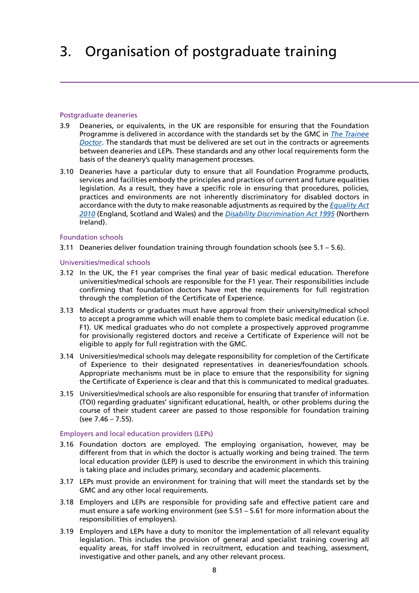# 3. Organisation of postgraduate training

### Postgraduate deaneries

- 3.9 Deaneries, or equivalents, in the UK are responsible for ensuring that the Foundation Programme is delivered in accordance with the standards set by the GMC in *[The Trainee](http://www.google.co.uk/url?q=http://www.gmc-uk.org/Trainee_Doctor.pdf_39274940.pdf&sa=U&ei=Q_LaT5G8LOTE0QXTy_nZCg&ved=0CBIQFjAA&usg=AFQjCNH_NqKXxiMcX1V4otp_oOLLLANUAA) [Doctor](http://www.google.co.uk/url?q=http://www.gmc-uk.org/Trainee_Doctor.pdf_39274940.pdf&sa=U&ei=Q_LaT5G8LOTE0QXTy_nZCg&ved=0CBIQFjAA&usg=AFQjCNH_NqKXxiMcX1V4otp_oOLLLANUAA)*. The standards that must be delivered are set out in the contracts or agreements between deaneries and LEPs. These standards and any other local requirements form the basis of the deanery's quality management processes.
- 3.10 Deaneries have a particular duty to ensure that all Foundation Programme products, services and facilities embody the principles and practices of current and future equalities legislation. As a result, they have a specific role in ensuring that procedures, policies, practices and environments are not inherently discriminatory for disabled doctors in accordance with the duty to make reasonable adjustments as required by the *[Equality Act](http://www.legislation.gov.uk/ukpga/2010/15/contents) [2010](http://www.legislation.gov.uk/ukpga/2010/15/contents)* (England, Scotland and Wales) and the *[Disability Discrimination Act 1995](http://www.legislation.gov.uk/ukpga/1995/50/contents)* (Northern Ireland).

### Foundation schools

3.11 Deaneries deliver foundation training through foundation schools (see 5.1 – 5.6).

### Universities/medical schools

- 3.12 In the UK, the F1 year comprises the final year of basic medical education. Therefore universities/medical schools are responsible for the F1 year. Their responsibilities include confirming that foundation doctors have met the requirements for full registration through the completion of the Certificate of Experience.
- 3.13 Medical students or graduates must have approval from their university/medical school to accept a programme which will enable them to complete basic medical education (i.e. F1). UK medical graduates who do not complete a prospectively approved programme for provisionally registered doctors and receive a Certificate of Experience will not be eligible to apply for full registration with the GMC.
- 3.14 Universities/medical schools may delegate responsibility for completion of the Certificate of Experience to their designated representatives in deaneries/foundation schools. Appropriate mechanisms must be in place to ensure that the responsibility for signing the Certificate of Experience is clear and that this is communicated to medical graduates.
- 3.15 Universities/medical schools are also responsible for ensuring that transfer of information (TOI) regarding graduates' significant educational, health, or other problems during the course of their student career are passed to those responsible for foundation training (see 7.46 – 7.55).

### Employers and local education providers (LEPs)

- 3.16 Foundation doctors are employed. The employing organisation, however, may be different from that in which the doctor is actually working and being trained. The term local education provider (LEP) is used to describe the environment in which this training is taking place and includes primary, secondary and academic placements.
- 3.17 LEPs must provide an environment for training that will meet the standards set by the GMC and any other local requirements.
- 3.18 Employers and LEPs are responsible for providing safe and effective patient care and must ensure a safe working environment (see 5.51 – 5.61 for more information about the responsibilities of employers).
- 3.19 Employers and LEPs have a duty to monitor the implementation of all relevant equality legislation. This includes the provision of general and specialist training covering all equality areas, for staff involved in recruitment, education and teaching, assessment, investigative and other panels, and any other relevant process.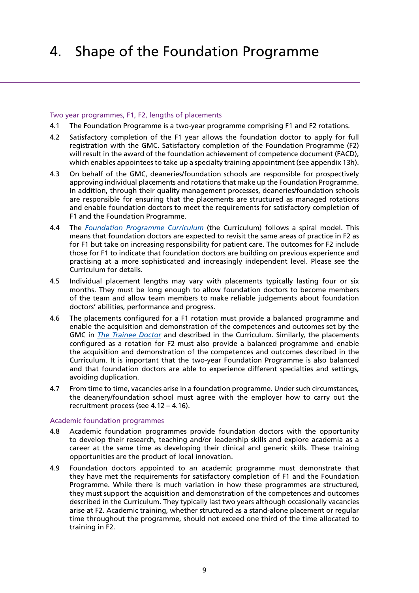# <span id="page-7-0"></span>4. Shape of the Foundation Programme

### Two year programmes, F1, F2, lengths of placements

- 4.1 The Foundation Programme is a two-year programme comprising F1 and F2 rotations.
- 4.2 Satisfactory completion of the F1 year allows the foundation doctor to apply for full registration with the GMC. Satisfactory completion of the Foundation Programme (F2) will result in the award of the foundation achievement of competence document (FACD), which enables appointees to take up a specialty training appointment (see appendix 13h).
- 4.3 On behalf of the GMC, deaneries/foundation schools are responsible for prospectively approving individual placements and rotations that make up the Foundation Programme. In addition, through their quality management processes, deaneries/foundation schools are responsible for ensuring that the placements are structured as managed rotations and enable foundation doctors to meet the requirements for satisfactory completion of F1 and the Foundation Programme.
- 4.4 The *[Foundation Programme Curriculum](http://www.foundationprogramme.nhs.uk/download.asp?file=FP_Curriculum_2012_WEB_FINAL.PDF)* (the Curriculum) follows a spiral model. This means that foundation doctors are expected to revisit the same areas of practice in F2 as for F1 but take on increasing responsibility for patient care. The outcomes for F2 include those for F1 to indicate that foundation doctors are building on previous experience and practising at a more sophisticated and increasingly independent level. Please see the Curriculum for details.
- 4.5 Individual placement lengths may vary with placements typically lasting four or six months. They must be long enough to allow foundation doctors to become members of the team and allow team members to make reliable judgements about foundation doctors' abilities, performance and progress.
- 4.6 The placements configured for a F1 rotation must provide a balanced programme and enable the acquisition and demonstration of the competences and outcomes set by the GMC in *[The Trainee Doctor](http://www.google.co.uk/url?q=http://www.gmc-uk.org/Trainee_Doctor.pdf_39274940.pdf&sa=U&ei=Q_LaT5G8LOTE0QXTy_nZCg&ved=0CBIQFjAA&usg=AFQjCNH_NqKXxiMcX1V4otp_oOLLLANUAA)* and described in the Curriculum. Similarly, the placements configured as a rotation for F2 must also provide a balanced programme and enable the acquisition and demonstration of the competences and outcomes described in the Curriculum. It is important that the two-year Foundation Programme is also balanced and that foundation doctors are able to experience different specialties and settings, avoiding duplication.
- 4.7 From time to time, vacancies arise in a foundation programme. Under such circumstances, the deanery/foundation school must agree with the employer how to carry out the recruitment process (see 4.12 – 4.16).

### Academic foundation programmes

- 4.8 Academic foundation programmes provide foundation doctors with the opportunity to develop their research, teaching and/or leadership skills and explore academia as a career at the same time as developing their clinical and generic skills. These training opportunities are the product of local innovation.
- 4.9 Foundation doctors appointed to an academic programme must demonstrate that they have met the requirements for satisfactory completion of F1 and the Foundation Programme. While there is much variation in how these programmes are structured, they must support the acquisition and demonstration of the competences and outcomes described in the Curriculum. They typically last two years although occasionally vacancies arise at F2. Academic training, whether structured as a stand-alone placement or regular time throughout the programme, should not exceed one third of the time allocated to training in F2.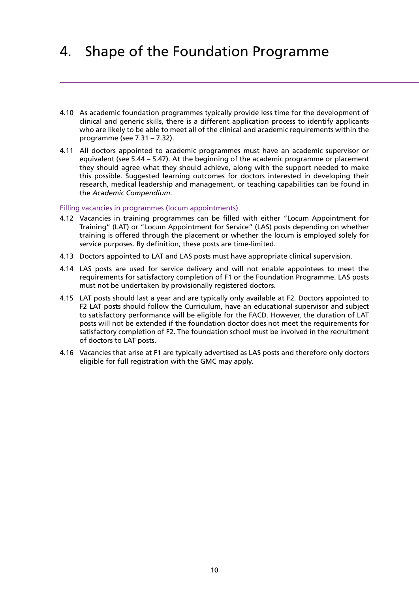# 4. Shape of the Foundation Programme

- 4.10 As academic foundation programmes typically provide less time for the development of clinical and generic skills, there is a different application process to identify applicants who are likely to be able to meet all of the clinical and academic requirements within the programme (see 7.31 – 7.32).
- 4.11 All doctors appointed to academic programmes must have an academic supervisor or equivalent (see 5.44 – 5.47). At the beginning of the academic programme or placement they should agree what they should achieve, along with the support needed to make this possible. Suggested learning outcomes for doctors interested in developing their research, medical leadership and management, or teaching capabilities can be found in the *Academic Compendium*.

### Filling vacancies in programmes (locum appointments)

- 4.12 Vacancies in training programmes can be filled with either "Locum Appointment for Training" (LAT) or "Locum Appointment for Service" (LAS) posts depending on whether training is offered through the placement or whether the locum is employed solely for service purposes. By definition, these posts are time-limited.
- 4.13 Doctors appointed to LAT and LAS posts must have appropriate clinical supervision.
- 4.14 LAS posts are used for service delivery and will not enable appointees to meet the requirements for satisfactory completion of F1 or the Foundation Programme. LAS posts must not be undertaken by provisionally registered doctors.
- 4.15 LAT posts should last a year and are typically only available at F2. Doctors appointed to F2 LAT posts should follow the Curriculum, have an educational supervisor and subject to satisfactory performance will be eligible for the FACD. However, the duration of LAT posts will not be extended if the foundation doctor does not meet the requirements for satisfactory completion of F2. The foundation school must be involved in the recruitment of doctors to LAT posts.
- 4.16 Vacancies that arise at F1 are typically advertised as LAS posts and therefore only doctors eligible for full registration with the GMC may apply.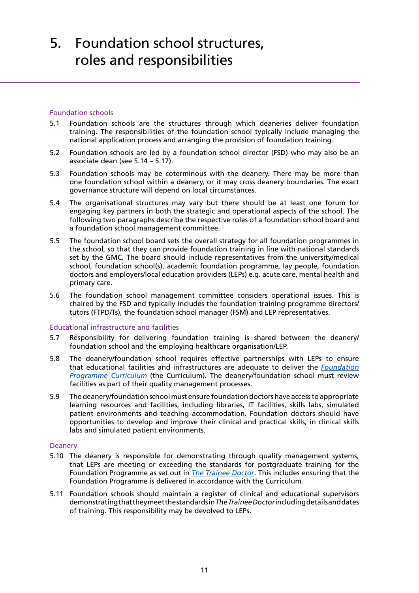### <span id="page-9-0"></span>Foundation schools

- 5.1 Foundation schools are the structures through which deaneries deliver foundation training. The responsibilities of the foundation school typically include managing the national application process and arranging the provision of foundation training.
- 5.2 Foundation schools are led by a foundation school director (FSD) who may also be an associate dean (see 5.14 – 5.17).
- 5.3 Foundation schools may be coterminous with the deanery. There may be more than one foundation school within a deanery, or it may cross deanery boundaries. The exact governance structure will depend on local circumstances.
- 5.4 The organisational structures may vary but there should be at least one forum for engaging key partners in both the strategic and operational aspects of the school. The following two paragraphs describe the respective roles of a foundation school board and a foundation school management committee.
- 5.5 The foundation school board sets the overall strategy for all foundation programmes in the school, so that they can provide foundation training in line with national standards set by the GMC. The board should include representatives from the university/medical school, foundation school(s), academic foundation programme, lay people, foundation doctors and employers/local education providers (LEPs) e.g. acute care, mental health and primary care.
- 5.6 The foundation school management committee considers operational issues. This is chaired by the FSD and typically includes the foundation training programme directors/ tutors (FTPD/Ts), the foundation school manager (FSM) and LEP representatives.

### Educational infrastructure and facilities

- 5.7 Responsibility for delivering foundation training is shared between the deanery/ foundation school and the employing healthcare organisation/LEP.
- 5.8 The deanery/foundation school requires effective partnerships with LEPs to ensure that educational facilities and infrastructures are adequate to deliver the *[Foundation](http://www.foundationprogramme.nhs.uk/download.asp?file=FP_Curriculum_2012_WEB_FINAL.PDF) [Programme Curriculum](http://www.foundationprogramme.nhs.uk/download.asp?file=FP_Curriculum_2012_WEB_FINAL.PDF)* (the Curriculum). The deanery/foundation school must review facilities as part of their quality management processes.
- 5.9 The deanery/foundation school must ensure foundation doctors have access to appropriate learning resources and facilities, including libraries, IT facilities, skills labs, simulated patient environments and teaching accommodation. Foundation doctors should have opportunities to develop and improve their clinical and practical skills, in clinical skills labs and simulated patient environments.

### Deanery

- 5.10 The deanery is responsible for demonstrating through quality management systems, that LEPs are meeting or exceeding the standards for postgraduate training for the Foundation Programme as set out in *[The Trainee Doctor](http://www.google.co.uk/url?q=http://www.gmc-uk.org/Trainee_Doctor.pdf_39274940.pdf&sa=U&ei=4_XaT5fCAsfO0QXlupnJCg&ved=0CBIQFjAA&usg=AFQjCNEIecwWb4lCu-ynvsq5AD7uCL__FQ)*. This includes ensuring that the Foundation Programme is delivered in accordance with the Curriculum.
- 5.11 Foundation schools should maintain a register of clinical and educational supervisors demonstrating that they meet the standards in *The Trainee Doctor* including details and dates of training. This responsibility may be devolved to LEPs.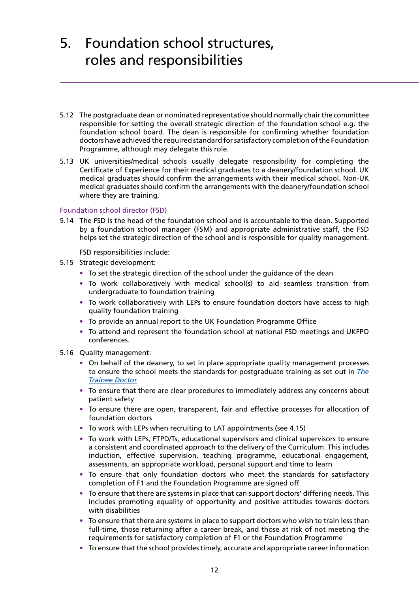- 5.12 The postgraduate dean or nominated representative should normally chair the committee responsible for setting the overall strategic direction of the foundation school e.g. the foundation school board. The dean is responsible for confirming whether foundation doctors have achieved the required standard for satisfactory completion of the Foundation Programme, although may delegate this role.
- 5.13 UK universities/medical schools usually delegate responsibility for completing the Certificate of Experience for their medical graduates to a deanery/foundation school. UK medical graduates should confirm the arrangements with their medical school. Non-UK medical graduates should confirm the arrangements with the deanery/foundation school where they are training.

### Foundation school director (FSD)

5.14 The FSD is the head of the foundation school and is accountable to the dean. Supported by a foundation school manager (FSM) and appropriate administrative staff, the FSD helps set the strategic direction of the school and is responsible for quality management.

FSD responsibilities include:

- 5.15 Strategic development:
	- **•** To set the strategic direction of the school under the guidance of the dean
	- **•** To work collaboratively with medical school(s) to aid seamless transition from undergraduate to foundation training
	- **•** To work collaboratively with LEPs to ensure foundation doctors have access to high quality foundation training
	- **•** To provide an annual report to the UK Foundation Programme Office
	- **•** To attend and represent the foundation school at national FSD meetings and UKFPO conferences.
- 5.16 Quality management:
	- **•** On behalf of the deanery, to set in place appropriate quality management processes to ensure the school meets the standards for postgraduate training as set out in *[The](http://www.gmc-uk.org/Trainee_Doctor.pdf_39274940.pdf) [Trainee Doctor](http://www.gmc-uk.org/Trainee_Doctor.pdf_39274940.pdf)*
	- **•** To ensure that there are clear procedures to immediately address any concerns about patient safety
	- **•** To ensure there are open, transparent, fair and effective processes for allocation of foundation doctors
	- **•** To work with LEPs when recruiting to LAT appointments (see 4.15)
	- **•** To work with LEPs, FTPD/Ts, educational supervisors and clinical supervisors to ensure a consistent and coordinated approach to the delivery of the Curriculum. This includes induction, effective supervision, teaching programme, educational engagement, assessments, an appropriate workload, personal support and time to learn
	- **•** To ensure that only foundation doctors who meet the standards for satisfactory completion of F1 and the Foundation Programme are signed off
	- **•** To ensure that there are systems in place that can support doctors' differing needs. This includes promoting equality of opportunity and positive attitudes towards doctors with disabilities
	- **•** To ensure that there are systems in place to support doctors who wish to train less than full-time, those returning after a career break, and those at risk of not meeting the requirements for satisfactory completion of F1 or the Foundation Programme
	- **•** To ensure that the school provides timely, accurate and appropriate career information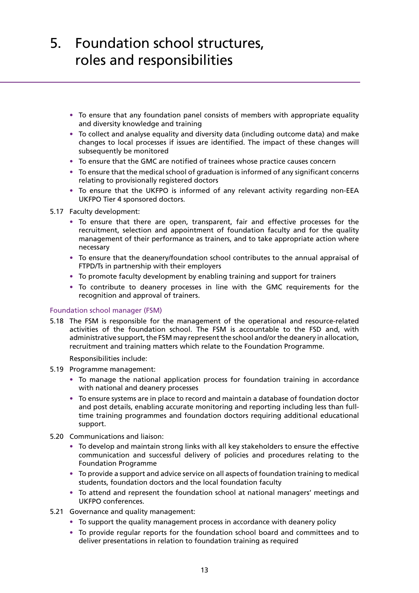- **•** To ensure that any foundation panel consists of members with appropriate equality and diversity knowledge and training
- **•** To collect and analyse equality and diversity data (including outcome data) and make changes to local processes if issues are identified. The impact of these changes will subsequently be monitored
- **•** To ensure that the GMC are notified of trainees whose practice causes concern
- **•** To ensure that the medical school of graduation is informed of any significant concerns relating to provisionally registered doctors
- **•** To ensure that the UKFPO is informed of any relevant activity regarding non-EEA UKFPO Tier 4 sponsored doctors.
- 5.17 Faculty development:
	- **•** To ensure that there are open, transparent, fair and effective processes for the recruitment, selection and appointment of foundation faculty and for the quality management of their performance as trainers, and to take appropriate action where necessary
	- **•** To ensure that the deanery/foundation school contributes to the annual appraisal of FTPD/Ts in partnership with their employers
	- **•** To promote faculty development by enabling training and support for trainers
	- **•** To contribute to deanery processes in line with the GMC requirements for the recognition and approval of trainers.

### Foundation school manager (FSM)

5.18 The FSM is responsible for the management of the operational and resource-related activities of the foundation school. The FSM is accountable to the FSD and, with administrative support, the FSM may represent the school and/or the deanery in allocation, recruitment and training matters which relate to the Foundation Programme.

Responsibilities include:

- 5.19 Programme management:
	- **•** To manage the national application process for foundation training in accordance with national and deanery processes
	- **•** To ensure systems are in place to record and maintain a database of foundation doctor and post details, enabling accurate monitoring and reporting including less than fulltime training programmes and foundation doctors requiring additional educational support.
- 5.20 Communications and liaison:
	- **•** To develop and maintain strong links with all key stakeholders to ensure the effective communication and successful delivery of policies and procedures relating to the Foundation Programme
	- **•** To provide a support and advice service on all aspects of foundation training to medical students, foundation doctors and the local foundation faculty
	- **•** To attend and represent the foundation school at national managers' meetings and UKFPO conferences.
- 5.21 Governance and quality management:
	- **•** To support the quality management process in accordance with deanery policy
	- **•** To provide regular reports for the foundation school board and committees and to deliver presentations in relation to foundation training as required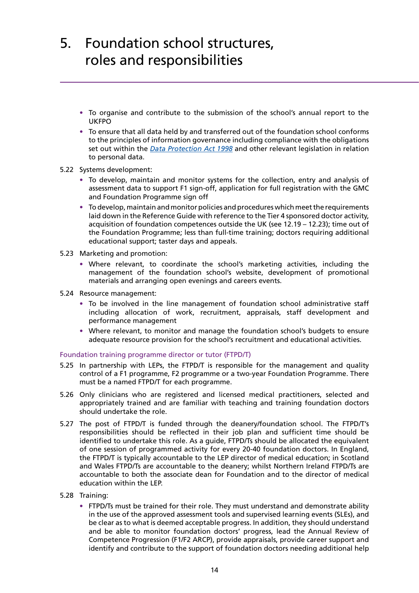- **•** To organise and contribute to the submission of the school's annual report to the UKFPO
- **•** To ensure that all data held by and transferred out of the foundation school conforms to the principles of information governance including compliance with the obligations set out within the *[Data Protection Act 1998](http://www.legislation.gov.uk/ukpga/1998/29/contents)* and other relevant legislation in relation to personal data.
- 5.22 Systems development:
	- **•** To develop, maintain and monitor systems for the collection, entry and analysis of assessment data to support F1 sign-off, application for full registration with the GMC and Foundation Programme sign off
	- **•** To develop, maintain and monitor policies and procedures which meet the requirements laid down in the Reference Guide with reference to the Tier 4 sponsored doctor activity, acquisition of foundation competences outside the UK (see 12.19 – 12.23); time out of the Foundation Programme; less than full-time training; doctors requiring additional educational support; taster days and appeals.
- 5.23 Marketing and promotion:
	- **•** Where relevant, to coordinate the school's marketing activities, including the management of the foundation school's website, development of promotional materials and arranging open evenings and careers events.
- 5.24 Resource management:
	- **•** To be involved in the line management of foundation school administrative staff including allocation of work, recruitment, appraisals, staff development and performance management
	- **•** Where relevant, to monitor and manage the foundation school's budgets to ensure adequate resource provision for the school's recruitment and educational activities.

## Foundation training programme director or tutor (FTPD/T)

- 5.25 In partnership with LEPs, the FTPD/T is responsible for the management and quality control of a F1 programme, F2 programme or a two-year Foundation Programme. There must be a named FTPD/T for each programme.
- 5.26 Only clinicians who are registered and licensed medical practitioners, selected and appropriately trained and are familiar with teaching and training foundation doctors should undertake the role.
- 5.27 The post of FTPD/T is funded through the deanery/foundation school. The FTPD/T's responsibilities should be reflected in their job plan and sufficient time should be identified to undertake this role. As a guide, FTPD/Ts should be allocated the equivalent of one session of programmed activity for every 20-40 foundation doctors. In England, the FTPD/T is typically accountable to the LEP director of medical education; in Scotland and Wales FTPD/Ts are accountable to the deanery; whilst Northern Ireland FTPD/Ts are accountable to both the associate dean for Foundation and to the director of medical education within the LEP.
- 5.28 Training:
	- **•** FTPD/Ts must be trained for their role. They must understand and demonstrate ability in the use of the approved assessment tools and supervised learning events (SLEs), and be clear as to what is deemed acceptable progress. In addition, they should understand and be able to monitor foundation doctors' progress, lead the Annual Review of Competence Progression (F1/F2 ARCP), provide appraisals, provide career support and identify and contribute to the support of foundation doctors needing additional help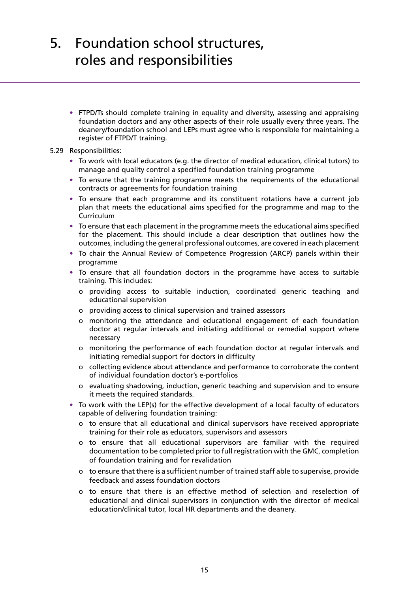**•** FTPD/Ts should complete training in equality and diversity, assessing and appraising foundation doctors and any other aspects of their role usually every three years. The deanery/foundation school and LEPs must agree who is responsible for maintaining a register of FTPD/T training.

### 5.29 Responsibilities:

- **•** To work with local educators (e.g. the director of medical education, clinical tutors) to manage and quality control a specified foundation training programme
- **•** To ensure that the training programme meets the requirements of the educational contracts or agreements for foundation training
- **•** To ensure that each programme and its constituent rotations have a current job plan that meets the educational aims specified for the programme and map to the **Curriculum**
- **•** To ensure that each placement in the programme meets the educational aims specified for the placement. This should include a clear description that outlines how the outcomes, including the general professional outcomes, are covered in each placement
- **•** To chair the Annual Review of Competence Progression (ARCP) panels within their programme
- **•** To ensure that all foundation doctors in the programme have access to suitable training. This includes:
	- o providing access to suitable induction, coordinated generic teaching and educational supervision
	- o providing access to clinical supervision and trained assessors
	- o monitoring the attendance and educational engagement of each foundation doctor at regular intervals and initiating additional or remedial support where necessary
	- o monitoring the performance of each foundation doctor at regular intervals and initiating remedial support for doctors in difficulty
	- o collecting evidence about attendance and performance to corroborate the content of individual foundation doctor's e-portfolios
	- o evaluating shadowing, induction, generic teaching and supervision and to ensure it meets the required standards.
- **•** To work with the LEP(s) for the effective development of a local faculty of educators capable of delivering foundation training:
	- o to ensure that all educational and clinical supervisors have received appropriate training for their role as educators, supervisors and assessors
	- o to ensure that all educational supervisors are familiar with the required documentation to be completed prior to full registration with the GMC, completion of foundation training and for revalidation
	- o to ensure that there is a sufficient number of trained staff able to supervise, provide feedback and assess foundation doctors
	- o to ensure that there is an effective method of selection and reselection of educational and clinical supervisors in conjunction with the director of medical education/clinical tutor, local HR departments and the deanery.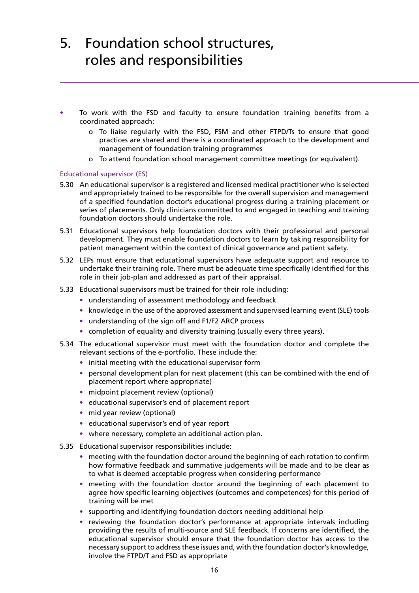- **•** To work with the FSD and faculty to ensure foundation training benefits from a coordinated approach:
	- o To liaise regularly with the FSD, FSM and other FTPD/Ts to ensure that good practices are shared and there is a coordinated approach to the development and management of foundation training programmes
	- o To attend foundation school management committee meetings (or equivalent).

### Educational supervisor (ES)

- 5.30 An educational supervisor is a registered and licensed medical practitioner who is selected and appropriately trained to be responsible for the overall supervision and management of a specified foundation doctor's educational progress during a training placement or series of placements. Only clinicians committed to and engaged in teaching and training foundation doctors should undertake the role.
- 5.31 Educational supervisors help foundation doctors with their professional and personal development. They must enable foundation doctors to learn by taking responsibility for patient management within the context of clinical governance and patient safety.
- 5.32 LEPs must ensure that educational supervisors have adequate support and resource to undertake their training role. There must be adequate time specifically identified for this role in their job-plan and addressed as part of their appraisal.
- 5.33 Educational supervisors must be trained for their role including:
	- **•** understanding of assessment methodology and feedback
	- **•** knowledge in the use of the approved assessment and supervised learning event (SLE) tools
	- **•** understanding of the sign off and F1/F2 ARCP process
	- **•** completion of equality and diversity training (usually every three years).
- 5.34 The educational supervisor must meet with the foundation doctor and complete the relevant sections of the e-portfolio. These include the:
	- **•** initial meeting with the educational supervisor form
	- **•** personal development plan for next placement (this can be combined with the end of placement report where appropriate)
	- **•** midpoint placement review (optional)
	- **•** educational supervisor's end of placement report
	- **•** mid year review (optional)
	- **•** educational supervisor's end of year report
	- **•** where necessary, complete an additional action plan.
- 5.35 Educational supervisor responsibilities include:
	- **•** meeting with the foundation doctor around the beginning of each rotation to confirm how formative feedback and summative judgements will be made and to be clear as to what is deemed acceptable progress when considering performance
	- **•** meeting with the foundation doctor around the beginning of each placement to agree how specific learning objectives (outcomes and competences) for this period of training will be met
	- **•** supporting and identifying foundation doctors needing additional help
	- **•** reviewing the foundation doctor's performance at appropriate intervals including providing the results of multi-source and SLE feedback. If concerns are identified, the educational supervisor should ensure that the foundation doctor has access to the necessary support to address these issues and, with the foundation doctor's knowledge, involve the FTPD/T and FSD as appropriate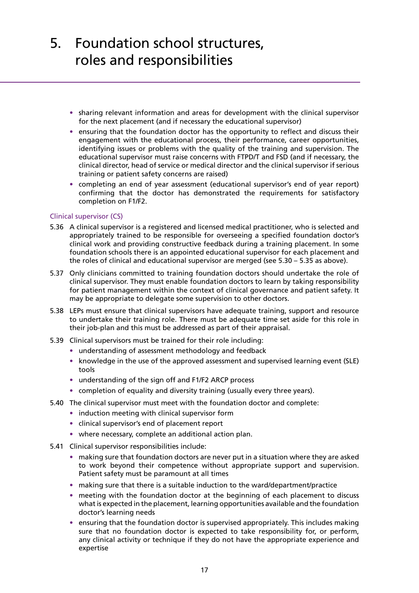- **•** sharing relevant information and areas for development with the clinical supervisor for the next placement (and if necessary the educational supervisor)
- **•** ensuring that the foundation doctor has the opportunity to reflect and discuss their engagement with the educational process, their performance, career opportunities, identifying issues or problems with the quality of the training and supervision. The educational supervisor must raise concerns with FTPD/T and FSD (and if necessary, the clinical director, head of service or medical director and the clinical supervisor if serious training or patient safety concerns are raised)
- **•** completing an end of year assessment (educational supervisor's end of year report) confirming that the doctor has demonstrated the requirements for satisfactory completion on F1/F2.

### Clinical supervisor (CS)

- 5.36 A clinical supervisor is a registered and licensed medical practitioner, who is selected and appropriately trained to be responsible for overseeing a specified foundation doctor's clinical work and providing constructive feedback during a training placement. In some foundation schools there is an appointed educational supervisor for each placement and the roles of clinical and educational supervisor are merged (see 5.30 – 5.35 as above).
- 5.37 Only clinicians committed to training foundation doctors should undertake the role of clinical supervisor. They must enable foundation doctors to learn by taking responsibility for patient management within the context of clinical governance and patient safety. It may be appropriate to delegate some supervision to other doctors.
- 5.38 LEPs must ensure that clinical supervisors have adequate training, support and resource to undertake their training role. There must be adequate time set aside for this role in their job-plan and this must be addressed as part of their appraisal.
- 5.39 Clinical supervisors must be trained for their role including:
	- **•** understanding of assessment methodology and feedback
	- knowledge in the use of the approved assessment and supervised learning event (SLE) tools
	- **•** understanding of the sign off and F1/F2 ARCP process
	- **•** completion of equality and diversity training (usually every three years).
- 5.40 The clinical supervisor must meet with the foundation doctor and complete:
	- **•** induction meeting with clinical supervisor form
	- **•** clinical supervisor's end of placement report
	- **•** where necessary, complete an additional action plan.
- 5.41 Clinical supervisor responsibilities include:
	- **•** making sure that foundation doctors are never put in a situation where they are asked to work beyond their competence without appropriate support and supervision. Patient safety must be paramount at all times
	- **•** making sure that there is a suitable induction to the ward/department/practice
	- **•** meeting with the foundation doctor at the beginning of each placement to discuss what is expected in the placement, learning opportunities available and the foundation doctor's learning needs
	- **•** ensuring that the foundation doctor is supervised appropriately. This includes making sure that no foundation doctor is expected to take responsibility for, or perform, any clinical activity or technique if they do not have the appropriate experience and expertise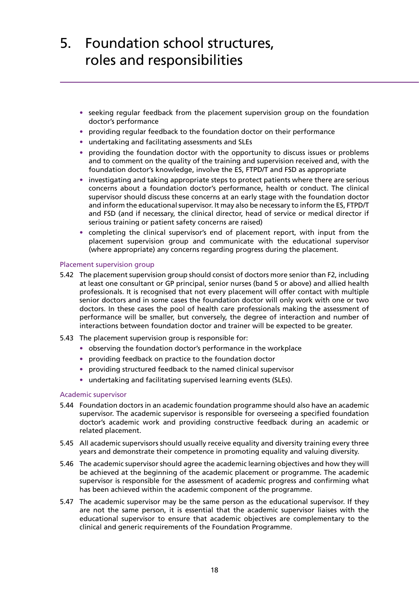- **•** seeking regular feedback from the placement supervision group on the foundation doctor's performance
- **•** providing regular feedback to the foundation doctor on their performance
- **•** undertaking and facilitating assessments and SLEs
- **•** providing the foundation doctor with the opportunity to discuss issues or problems and to comment on the quality of the training and supervision received and, with the foundation doctor's knowledge, involve the ES, FTPD/T and FSD as appropriate
- **•** investigating and taking appropriate steps to protect patients where there are serious concerns about a foundation doctor's performance, health or conduct. The clinical supervisor should discuss these concerns at an early stage with the foundation doctor and inform the educational supervisor. It may also be necessary to inform the ES, FTPD/T and FSD (and if necessary, the clinical director, head of service or medical director if serious training or patient safety concerns are raised)
- **•** completing the clinical supervisor's end of placement report, with input from the placement supervision group and communicate with the educational supervisor (where appropriate) any concerns regarding progress during the placement.

### Placement supervision group

- 5.42 The placement supervision group should consist of doctors more senior than F2, including at least one consultant or GP principal, senior nurses (band 5 or above) and allied health professionals. It is recognised that not every placement will offer contact with multiple senior doctors and in some cases the foundation doctor will only work with one or two doctors. In these cases the pool of health care professionals making the assessment of performance will be smaller, but conversely, the degree of interaction and number of interactions between foundation doctor and trainer will be expected to be greater.
- 5.43 The placement supervision group is responsible for:
	- **•** observing the foundation doctor's performance in the workplace
	- **•** providing feedback on practice to the foundation doctor
	- **•** providing structured feedback to the named clinical supervisor
	- **•** undertaking and facilitating supervised learning events (SLEs).

### Academic supervisor

- 5.44 Foundation doctors in an academic foundation programme should also have an academic supervisor. The academic supervisor is responsible for overseeing a specified foundation doctor's academic work and providing constructive feedback during an academic or related placement.
- 5.45 All academic supervisors should usually receive equality and diversity training every three years and demonstrate their competence in promoting equality and valuing diversity.
- 5.46 The academic supervisor should agree the academic learning objectives and how they will be achieved at the beginning of the academic placement or programme. The academic supervisor is responsible for the assessment of academic progress and confirming what has been achieved within the academic component of the programme.
- 5.47 The academic supervisor may be the same person as the educational supervisor. If they are not the same person, it is essential that the academic supervisor liaises with the educational supervisor to ensure that academic objectives are complementary to the clinical and generic requirements of the Foundation Programme.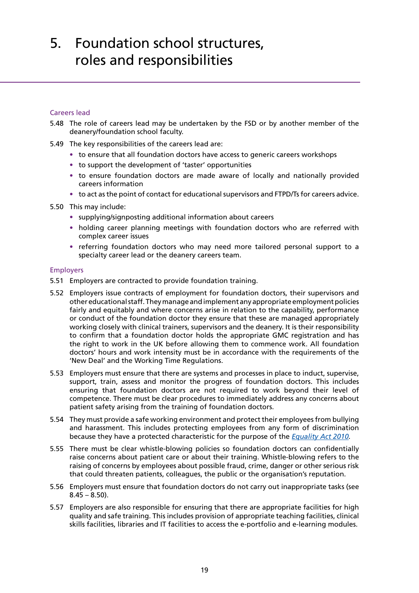### Careers lead

- 5.48 The role of careers lead may be undertaken by the FSD or by another member of the deanery/foundation school faculty.
- 5.49 The key responsibilities of the careers lead are:
	- **•** to ensure that all foundation doctors have access to generic careers workshops
	- **•** to support the development of 'taster' opportunities
	- **•** to ensure foundation doctors are made aware of locally and nationally provided careers information
	- **•** to act as the point of contact for educational supervisors and FTPD/Ts for careers advice.
- 5.50 This may include:
	- **•** supplying/signposting additional information about careers
	- **•** holding career planning meetings with foundation doctors who are referred with complex career issues
	- **•** referring foundation doctors who may need more tailored personal support to a specialty career lead or the deanery careers team.

### Employers

- 5.51 Employers are contracted to provide foundation training.
- 5.52 Employers issue contracts of employment for foundation doctors, their supervisors and other educational staff. They manage and implement any appropriate employment policies fairly and equitably and where concerns arise in relation to the capability, performance or conduct of the foundation doctor they ensure that these are managed appropriately working closely with clinical trainers, supervisors and the deanery. It is their responsibility to confirm that a foundation doctor holds the appropriate GMC registration and has the right to work in the UK before allowing them to commence work. All foundation doctors' hours and work intensity must be in accordance with the requirements of the 'New Deal' and the Working Time Regulations.
- 5.53 Employers must ensure that there are systems and processes in place to induct, supervise, support, train, assess and monitor the progress of foundation doctors. This includes ensuring that foundation doctors are not required to work beyond their level of competence. There must be clear procedures to immediately address any concerns about patient safety arising from the training of foundation doctors.
- 5.54 They must provide a safe working environment and protect their employees from bullying and harassment. This includes protecting employees from any form of discrimination because they have a protected characteristic for the purpose of the *[Equality Act 2010.](http://www.legislation.gov.uk/ukpga/2010/15/contents)*
- 5.55 There must be clear whistle-blowing policies so foundation doctors can confidentially raise concerns about patient care or about their training. Whistle-blowing refers to the raising of concerns by employees about possible fraud, crime, danger or other serious risk that could threaten patients, colleagues, the public or the organisation's reputation.
- 5.56 Employers must ensure that foundation doctors do not carry out inappropriate tasks (see  $8.45 - 8.50$ ).
- 5.57 Employers are also responsible for ensuring that there are appropriate facilities for high quality and safe training. This includes provision of appropriate teaching facilities, clinical skills facilities, libraries and IT facilities to access the e-portfolio and e-learning modules.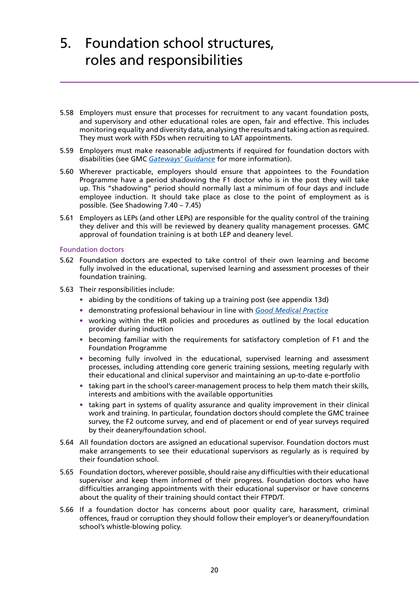- 5.58 Employers must ensure that processes for recruitment to any vacant foundation posts, and supervisory and other educational roles are open, fair and effective. This includes monitoring equality and diversity data, analysing the results and taking action as required. They must work with FSDs when recruiting to LAT appointments.
- 5.59 Employers must make reasonable adjustments if required for foundation doctors with disabilities (see GMC *[Gateways' Guidance](http://www.gmc-uk.org/education/undergraduate/gateways_guidance.asp)* for more information).
- 5.60 Wherever practicable, employers should ensure that appointees to the Foundation Programme have a period shadowing the F1 doctor who is in the post they will take up. This "shadowing" period should normally last a minimum of four days and include employee induction. It should take place as close to the point of employment as is possible. (See Shadowing 7.40 – 7.45)
- 5.61 Employers as LEPs (and other LEPs) are responsible for the quality control of the training they deliver and this will be reviewed by deanery quality management processes. GMC approval of foundation training is at both LEP and deanery level.

### Foundation doctors

- 5.62 Foundation doctors are expected to take control of their own learning and become fully involved in the educational, supervised learning and assessment processes of their foundation training.
- 5.63 Their responsibilities include:
	- **•** abiding by the conditions of taking up a training post (see appendix 13d)
	- **•** demonstrating professional behaviour in line with *[Good Medical Practice](http://www.gmc-uk.org/guidance/good_medical_practice.asp)*
	- **•** working within the HR policies and procedures as outlined by the local education provider during induction
	- **•** becoming familiar with the requirements for satisfactory completion of F1 and the Foundation Programme
	- **•** becoming fully involved in the educational, supervised learning and assessment processes, including attending core generic training sessions, meeting regularly with their educational and clinical supervisor and maintaining an up-to-date e-portfolio
	- **•** taking part in the school's career-management process to help them match their skills, interests and ambitions with the available opportunities
	- **•** taking part in systems of quality assurance and quality improvement in their clinical work and training. In particular, foundation doctors should complete the GMC trainee survey, the F2 outcome survey, and end of placement or end of year surveys required by their deanery/foundation school.
- 5.64 All foundation doctors are assigned an educational supervisor. Foundation doctors must make arrangements to see their educational supervisors as regularly as is required by their foundation school.
- 5.65 Foundation doctors, wherever possible, should raise any difficulties with their educational supervisor and keep them informed of their progress. Foundation doctors who have difficulties arranging appointments with their educational supervisor or have concerns about the quality of their training should contact their FTPD/T.
- 5.66 If a foundation doctor has concerns about poor quality care, harassment, criminal offences, fraud or corruption they should follow their employer's or deanery/foundation school's whistle-blowing policy.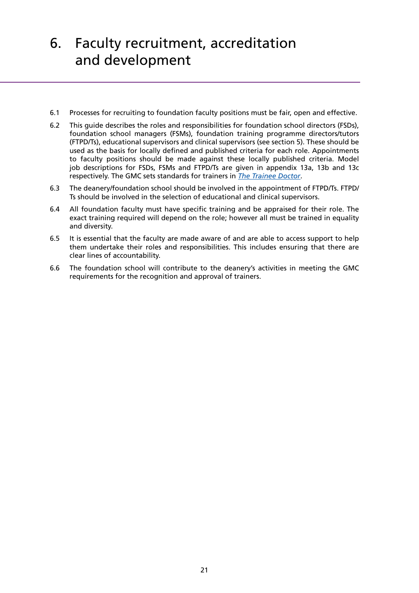# <span id="page-19-0"></span>6. Faculty recruitment, accreditation and development

- 6.1 Processes for recruiting to foundation faculty positions must be fair, open and effective.
- 6.2 This guide describes the roles and responsibilities for foundation school directors (FSDs), foundation school managers (FSMs), foundation training programme directors/tutors (FTPD/Ts), educational supervisors and clinical supervisors (see section 5). These should be used as the basis for locally defined and published criteria for each role. Appointments to faculty positions should be made against these locally published criteria. Model job descriptions for FSDs, FSMs and FTPD/Ts are given in appendix 13a, 13b and 13c respectively. The GMC sets standards for trainers in *[The Trainee Doctor](http://www.google.co.uk/url?q=http://www.gmc-uk.org/Trainee_Doctor.pdf_39274940.pdf&sa=U&ei=ZvraT-20DKWG0AXokZDsCg&ved=0CBIQFjAA&usg=AFQjCNEDCN0i0zXmQrAfpFLVZhsWbOZksA)*.
- 6.3 The deanery/foundation school should be involved in the appointment of FTPD/Ts. FTPD/ Ts should be involved in the selection of educational and clinical supervisors.
- 6.4 All foundation faculty must have specific training and be appraised for their role. The exact training required will depend on the role; however all must be trained in equality and diversity.
- 6.5 It is essential that the faculty are made aware of and are able to access support to help them undertake their roles and responsibilities. This includes ensuring that there are clear lines of accountability.
- 6.6 The foundation school will contribute to the deanery's activities in meeting the GMC requirements for the recognition and approval of trainers.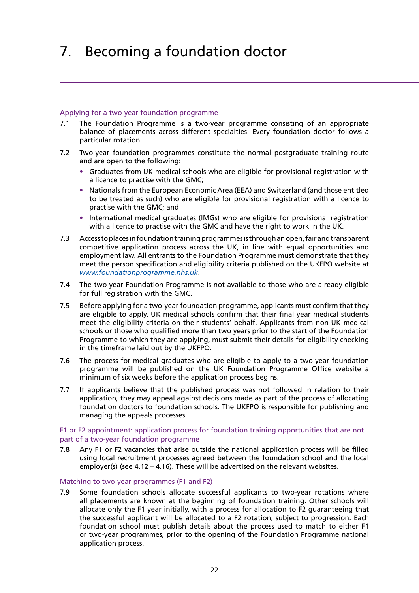### <span id="page-20-0"></span>Applying for a two-year foundation programme

- 7.1 The Foundation Programme is a two-year programme consisting of an appropriate balance of placements across different specialties. Every foundation doctor follows a particular rotation.
- 7.2 Two-year foundation programmes constitute the normal postgraduate training route and are open to the following:
	- **•** Graduates from UK medical schools who are eligible for provisional registration with a licence to practise with the GMC;
	- **•** Nationals from the European Economic Area (EEA) and Switzerland (and those entitled to be treated as such) who are eligible for provisional registration with a licence to practise with the GMC; and
	- **•** International medical graduates (IMGs) who are eligible for provisional registration with a licence to practise with the GMC and have the right to work in the UK.
- 7.3 Access to places in foundation training programmes is through an open, fair and transparent competitive application process across the UK, in line with equal opportunities and employment law. All entrants to the Foundation Programme must demonstrate that they meet the person specification and eligibility criteria published on the UKFPO website at *[www.foundationprogramme.nhs.uk](http://www.foundationprogramme.nhs.uk/pages/home)*.
- 7.4 The two-year Foundation Programme is not available to those who are already eligible for full registration with the GMC.
- 7.5 Before applying for a two-year foundation programme, applicants must confirm that they are eligible to apply. UK medical schools confirm that their final year medical students meet the eligibility criteria on their students' behalf. Applicants from non-UK medical schools or those who qualified more than two years prior to the start of the Foundation Programme to which they are applying, must submit their details for eligibility checking in the timeframe laid out by the UKFPO.
- 7.6 The process for medical graduates who are eligible to apply to a two-year foundation programme will be published on the UK Foundation Programme Office website a minimum of six weeks before the application process begins.
- 7.7 If applicants believe that the published process was not followed in relation to their application, they may appeal against decisions made as part of the process of allocating foundation doctors to foundation schools. The UKFPO is responsible for publishing and managing the appeals processes.

### F1 or F2 appointment: application process for foundation training opportunities that are not part of a two-year foundation programme

7.8 Any F1 or F2 vacancies that arise outside the national application process will be filled using local recruitment processes agreed between the foundation school and the local employer(s) (see 4.12 – 4.16). These will be advertised on the relevant websites.

### Matching to two-year programmes (F1 and F2)

7.9 Some foundation schools allocate successful applicants to two-year rotations where all placements are known at the beginning of foundation training. Other schools will allocate only the F1 year initially, with a process for allocation to F2 guaranteeing that the successful applicant will be allocated to a F2 rotation, subject to progression. Each foundation school must publish details about the process used to match to either F1 or two-year programmes, prior to the opening of the Foundation Programme national application process.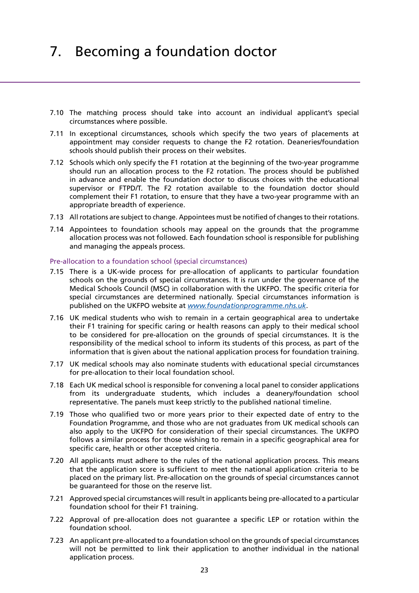- 7.10 The matching process should take into account an individual applicant's special circumstances where possible.
- 7.11 In exceptional circumstances, schools which specify the two years of placements at appointment may consider requests to change the F2 rotation. Deaneries/foundation schools should publish their process on their websites.
- 7.12 Schools which only specify the F1 rotation at the beginning of the two-year programme should run an allocation process to the F2 rotation. The process should be published in advance and enable the foundation doctor to discuss choices with the educational supervisor or FTPD/T. The F2 rotation available to the foundation doctor should complement their F1 rotation, to ensure that they have a two-year programme with an appropriate breadth of experience.
- 7.13 All rotations are subject to change. Appointees must be notified of changes to their rotations.
- 7.14 Appointees to foundation schools may appeal on the grounds that the programme allocation process was not followed. Each foundation school is responsible for publishing and managing the appeals process.

### Pre-allocation to a foundation school (special circumstances)

- 7.15 There is a UK-wide process for pre-allocation of applicants to particular foundation schools on the grounds of special circumstances. It is run under the governance of the Medical Schools Council (MSC) in collaboration with the UKFPO. The specific criteria for special circumstances are determined nationally. Special circumstances information is published on the UKFPO website at *[www.foundationprogramme.nhs.uk](http://www.foundationprogramme.nhs.uk/pages/home)*.
- 7.16 UK medical students who wish to remain in a certain geographical area to undertake their F1 training for specific caring or health reasons can apply to their medical school to be considered for pre-allocation on the grounds of special circumstances. It is the responsibility of the medical school to inform its students of this process, as part of the information that is given about the national application process for foundation training.
- 7.17 UK medical schools may also nominate students with educational special circumstances for pre-allocation to their local foundation school.
- 7.18 Each UK medical school is responsible for convening a local panel to consider applications from its undergraduate students, which includes a deanery/foundation school representative. The panels must keep strictly to the published national timeline.
- 7.19 Those who qualified two or more years prior to their expected date of entry to the Foundation Programme, and those who are not graduates from UK medical schools can also apply to the UKFPO for consideration of their special circumstances. The UKFPO follows a similar process for those wishing to remain in a specific geographical area for specific care, health or other accepted criteria.
- 7.20 All applicants must adhere to the rules of the national application process. This means that the application score is sufficient to meet the national application criteria to be placed on the primary list. Pre-allocation on the grounds of special circumstances cannot be guaranteed for those on the reserve list.
- 7.21 Approved special circumstances will result in applicants being pre-allocated to a particular foundation school for their F1 training.
- 7.22 Approval of pre-allocation does not guarantee a specific LEP or rotation within the foundation school.
- 7.23 An applicant pre-allocated to a foundation school on the grounds of special circumstances will not be permitted to link their application to another individual in the national application process.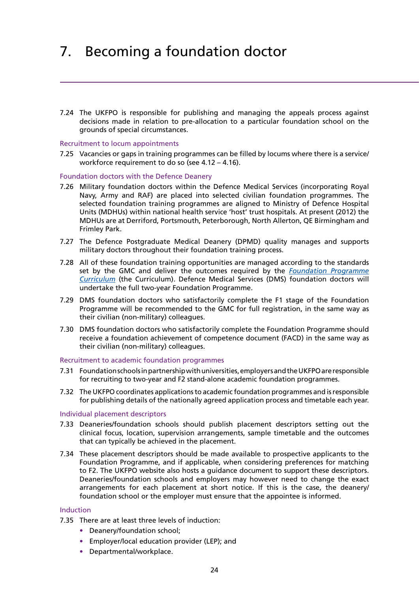7.24 The UKFPO is responsible for publishing and managing the appeals process against decisions made in relation to pre-allocation to a particular foundation school on the grounds of special circumstances.

### Recruitment to locum appointments

7.25 Vacancies or gaps in training programmes can be filled by locums where there is a service/ workforce requirement to do so (see 4.12 – 4.16).

### Foundation doctors with the Defence Deanery

- 7.26 Military foundation doctors within the Defence Medical Services (incorporating Royal Navy, Army and RAF) are placed into selected civilian foundation programmes. The selected foundation training programmes are aligned to Ministry of Defence Hospital Units (MDHUs) within national health service 'host' trust hospitals. At present (2012) the MDHUs are at Derriford, Portsmouth, Peterborough, North Allerton, QE Birmingham and Frimley Park.
- 7.27 The Defence Postgraduate Medical Deanery (DPMD) quality manages and supports military doctors throughout their foundation training process.
- 7.28 All of these foundation training opportunities are managed according to the standards set by the GMC and deliver the outcomes required by the *[Foundation Programme](http://www.foundationprogramme.nhs.uk/download.asp?file=FP_Curriculum_2012_WEB_FINAL.PDF) [Curriculum](http://www.foundationprogramme.nhs.uk/download.asp?file=FP_Curriculum_2012_WEB_FINAL.PDF)* (the Curriculum). Defence Medical Services (DMS) foundation doctors will undertake the full two-year Foundation Programme.
- 7.29 DMS foundation doctors who satisfactorily complete the F1 stage of the Foundation Programme will be recommended to the GMC for full registration, in the same way as their civilian (non-military) colleagues.
- 7.30 DMS foundation doctors who satisfactorily complete the Foundation Programme should receive a foundation achievement of competence document (FACD) in the same way as their civilian (non-military) colleagues.

### Recruitment to academic foundation programmes

- 7.31 Foundation schools in partnership with universities, employers and the UKFPO are responsible for recruiting to two-year and F2 stand-alone academic foundation programmes.
- 7.32 The UKFPO coordinates applications to academic foundation programmes and is responsible for publishing details of the nationally agreed application process and timetable each year.

### Individual placement descriptors

- 7.33 Deaneries/foundation schools should publish placement descriptors setting out the clinical focus, location, supervision arrangements, sample timetable and the outcomes that can typically be achieved in the placement.
- 7.34 These placement descriptors should be made available to prospective applicants to the Foundation Programme, and if applicable, when considering preferences for matching to F2. The UKFPO website also hosts a guidance document to support these descriptors. Deaneries/foundation schools and employers may however need to change the exact arrangements for each placement at short notice. If this is the case, the deanery/ foundation school or the employer must ensure that the appointee is informed.

### Induction

- 7.35 There are at least three levels of induction:
	- **•** Deanery/foundation school;
	- **•** Employer/local education provider (LEP); and
	- **•** Departmental/workplace.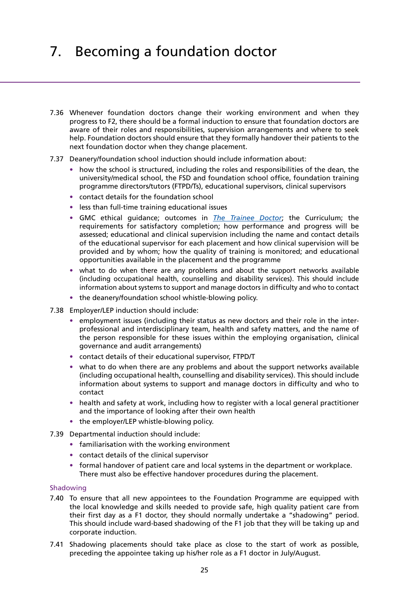- 7.36 Whenever foundation doctors change their working environment and when they progress to F2, there should be a formal induction to ensure that foundation doctors are aware of their roles and responsibilities, supervision arrangements and where to seek help. Foundation doctors should ensure that they formally handover their patients to the next foundation doctor when they change placement.
- 7.37 Deanery/foundation school induction should include information about:
	- **•** how the school is structured, including the roles and responsibilities of the dean, the university/medical school, the FSD and foundation school office, foundation training programme directors/tutors (FTPD/Ts), educational supervisors, clinical supervisors
	- **•** contact details for the foundation school
	- **•** less than full-time training educational issues
	- **•** GMC ethical guidance; outcomes in *[The Trainee Doctor](http://www.google.co.uk/url?q=http://www.gmc-uk.org/Trainee_Doctor.pdf_39274940.pdf&sa=U&ei=ZvraT-20DKWG0AXokZDsCg&ved=0CBIQFjAA&usg=AFQjCNEDCN0i0zXmQrAfpFLVZhsWbOZksA)*; the Curriculum; the requirements for satisfactory completion; how performance and progress will be assessed; educational and clinical supervision including the name and contact details of the educational supervisor for each placement and how clinical supervision will be provided and by whom; how the quality of training is monitored; and educational opportunities available in the placement and the programme
	- **•** what to do when there are any problems and about the support networks available (including occupational health, counselling and disability services). This should include information about systems to support and manage doctors in difficulty and who to contact
	- **•** the deanery/foundation school whistle-blowing policy.
- 7.38 Employer/LEP induction should include:
	- **•** employment issues (including their status as new doctors and their role in the interprofessional and interdisciplinary team, health and safety matters, and the name of the person responsible for these issues within the employing organisation, clinical governance and audit arrangements)
	- **•** contact details of their educational supervisor, FTPD/T
	- what to do when there are any problems and about the support networks available (including occupational health, counselling and disability services). This should include information about systems to support and manage doctors in difficulty and who to contact
	- **•** health and safety at work, including how to register with a local general practitioner and the importance of looking after their own health
	- **•** the employer/LEP whistle-blowing policy.
- 7.39 Departmental induction should include:
	- **•** familiarisation with the working environment
	- **•** contact details of the clinical supervisor
	- **•** formal handover of patient care and local systems in the department or workplace. There must also be effective handover procedures during the placement.

### Shadowing

- 7.40 To ensure that all new appointees to the Foundation Programme are equipped with the local knowledge and skills needed to provide safe, high quality patient care from their first day as a F1 doctor, they should normally undertake a "shadowing" period. This should include ward-based shadowing of the F1 job that they will be taking up and corporate induction.
- 7.41 Shadowing placements should take place as close to the start of work as possible, preceding the appointee taking up his/her role as a F1 doctor in July/August.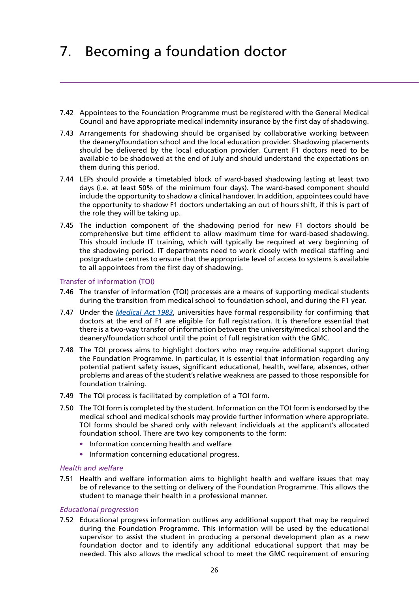- 7.42 Appointees to the Foundation Programme must be registered with the General Medical Council and have appropriate medical indemnity insurance by the first day of shadowing.
- 7.43 Arrangements for shadowing should be organised by collaborative working between the deanery/foundation school and the local education provider. Shadowing placements should be delivered by the local education provider. Current F1 doctors need to be available to be shadowed at the end of July and should understand the expectations on them during this period.
- 7.44 LEPs should provide a timetabled block of ward-based shadowing lasting at least two days (i.e. at least 50% of the minimum four days). The ward-based component should include the opportunity to shadow a clinical handover. In addition, appointees could have the opportunity to shadow F1 doctors undertaking an out of hours shift, if this is part of the role they will be taking up.
- 7.45 The induction component of the shadowing period for new F1 doctors should be comprehensive but time efficient to allow maximum time for ward-based shadowing. This should include IT training, which will typically be required at very beginning of the shadowing period. IT departments need to work closely with medical staffing and postgraduate centres to ensure that the appropriate level of access to systems is available to all appointees from the first day of shadowing.

### Transfer of information (TOI)

- 7.46 The transfer of information (TOI) processes are a means of supporting medical students during the transition from medical school to foundation school, and during the F1 year.
- 7.47 Under the *[Medical Act 1983](http://www.gmc-uk.org/about/legislation/medical_act.asp)*, universities have formal responsibility for confirming that doctors at the end of F1 are eligible for full registration. It is therefore essential that there is a two-way transfer of information between the university/medical school and the deanery/foundation school until the point of full registration with the GMC.
- 7.48 The TOI process aims to highlight doctors who may require additional support during the Foundation Programme. In particular, it is essential that information regarding any potential patient safety issues, significant educational, health, welfare, absences, other problems and areas of the student's relative weakness are passed to those responsible for foundation training.
- 7.49 The TOI process is facilitated by completion of a TOI form.
- 7.50 The TOI form is completed by the student. Information on the TOI form is endorsed by the medical school and medical schools may provide further information where appropriate. TOI forms should be shared only with relevant individuals at the applicant's allocated foundation school. There are two key components to the form:
	- **•** Information concerning health and welfare
	- **•** Information concerning educational progress.

### *Health and welfare*

7.51 Health and welfare information aims to highlight health and welfare issues that may be of relevance to the setting or delivery of the Foundation Programme. This allows the student to manage their health in a professional manner.

### *Educational progression*

7.52 Educational progress information outlines any additional support that may be required during the Foundation Programme. This information will be used by the educational supervisor to assist the student in producing a personal development plan as a new foundation doctor and to identify any additional educational support that may be needed. This also allows the medical school to meet the GMC requirement of ensuring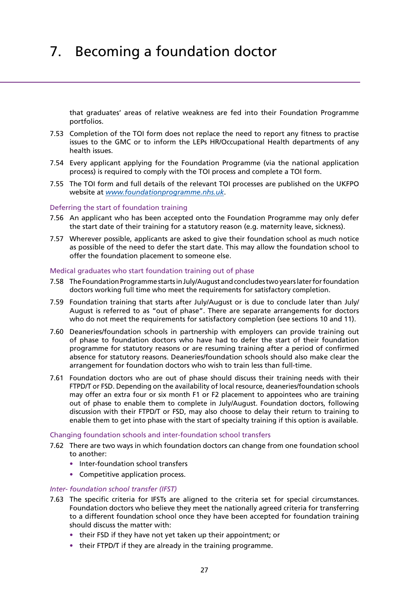that graduates' areas of relative weakness are fed into their Foundation Programme portfolios.

- 7.53 Completion of the TOI form does not replace the need to report any fitness to practise issues to the GMC or to inform the LEPs HR/Occupational Health departments of any health issues.
- 7.54 Every applicant applying for the Foundation Programme (via the national application process) is required to comply with the TOI process and complete a TOI form.
- 7.55 The TOI form and full details of the relevant TOI processes are published on the UKFPO website at *[www.foundationprogramme.nhs.uk](http://www.foundationprogramme.nhs.uk/pages/home)*.

### Deferring the start of foundation training

- 7.56 An applicant who has been accepted onto the Foundation Programme may only defer the start date of their training for a statutory reason (e.g. maternity leave, sickness).
- 7.57 Wherever possible, applicants are asked to give their foundation school as much notice as possible of the need to defer the start date. This may allow the foundation school to offer the foundation placement to someone else.

### Medical graduates who start foundation training out of phase

- 7.58 The Foundation Programme starts in July/August and concludes two years later for foundation doctors working full time who meet the requirements for satisfactory completion.
- 7.59 Foundation training that starts after July/August or is due to conclude later than July/ August is referred to as "out of phase". There are separate arrangements for doctors who do not meet the requirements for satisfactory completion (see sections 10 and 11).
- 7.60 Deaneries/foundation schools in partnership with employers can provide training out of phase to foundation doctors who have had to defer the start of their foundation programme for statutory reasons or are resuming training after a period of confirmed absence for statutory reasons. Deaneries/foundation schools should also make clear the arrangement for foundation doctors who wish to train less than full-time.
- 7.61 Foundation doctors who are out of phase should discuss their training needs with their FTPD/T or FSD. Depending on the availability of local resource, deaneries/foundation schools may offer an extra four or six month F1 or F2 placement to appointees who are training out of phase to enable them to complete in July/August. Foundation doctors, following discussion with their FTPD/T or FSD, may also choose to delay their return to training to enable them to get into phase with the start of specialty training if this option is available.

### Changing foundation schools and inter-foundation school transfers

- 7.62 There are two ways in which foundation doctors can change from one foundation school to another:
	- **•** Inter-foundation school transfers
	- **•** Competitive application process.

### *Inter- foundation school transfer (IFST)*

- 7.63 The specific criteria for IFSTs are aligned to the criteria set for special circumstances. Foundation doctors who believe they meet the nationally agreed criteria for transferring to a different foundation school once they have been accepted for foundation training should discuss the matter with:
	- **•** their FSD if they have not yet taken up their appointment; or
	- **•** their FTPD/T if they are already in the training programme.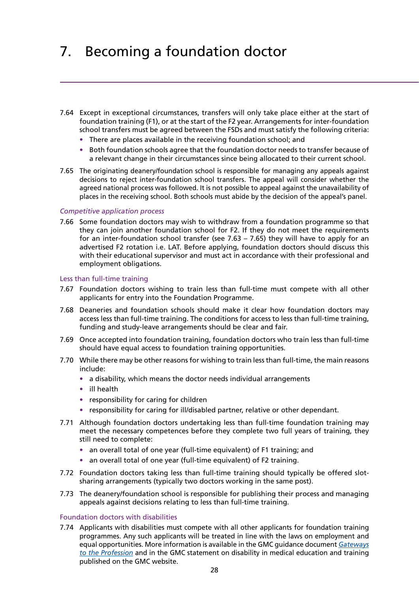- 7.64 Except in exceptional circumstances, transfers will only take place either at the start of foundation training (F1), or at the start of the F2 year. Arrangements for inter-foundation school transfers must be agreed between the FSDs and must satisfy the following criteria:
	- **•** There are places available in the receiving foundation school; and
	- **•** Both foundation schools agree that the foundation doctor needs to transfer because of a relevant change in their circumstances since being allocated to their current school.
- 7.65 The originating deanery/foundation school is responsible for managing any appeals against decisions to reject inter-foundation school transfers. The appeal will consider whether the agreed national process was followed. It is not possible to appeal against the unavailability of places in the receiving school. Both schools must abide by the decision of the appeal's panel.

### *Competitive application process*

7.66 Some foundation doctors may wish to withdraw from a foundation programme so that they can join another foundation school for F2. If they do not meet the requirements for an inter-foundation school transfer (see 7.63 – 7.65) they will have to apply for an advertised F2 rotation i.e. LAT. Before applying, foundation doctors should discuss this with their educational supervisor and must act in accordance with their professional and employment obligations.

### Less than full-time training

- 7.67 Foundation doctors wishing to train less than full-time must compete with all other applicants for entry into the Foundation Programme.
- 7.68 Deaneries and foundation schools should make it clear how foundation doctors may access less than full-time training. The conditions for access to less than full-time training, funding and study-leave arrangements should be clear and fair.
- 7.69 Once accepted into foundation training, foundation doctors who train less than full-time should have equal access to foundation training opportunities.
- 7.70 While there may be other reasons for wishing to train less than full-time, the main reasons include:
	- **•** a disability, which means the doctor needs individual arrangements
	- **•** ill health
	- **•** responsibility for caring for children
	- **•** responsibility for caring for ill/disabled partner, relative or other dependant.
- 7.71 Although foundation doctors undertaking less than full-time foundation training may meet the necessary competences before they complete two full years of training, they still need to complete:
	- **•** an overall total of one year (full-time equivalent) of F1 training; and
	- **•** an overall total of one year (full-time equivalent) of F2 training.
- 7.72 Foundation doctors taking less than full-time training should typically be offered slotsharing arrangements (typically two doctors working in the same post).
- 7.73 The deanery/foundation school is responsible for publishing their process and managing appeals against decisions relating to less than full-time training.

### Foundation doctors with disabilities

7.74 Applicants with disabilities must compete with all other applicants for foundation training programmes. Any such applicants will be treated in line with the laws on employment and equal opportunities. More information is available in the GMC guidance document *[Gateways](http://www.gmc-uk.org/education/undergraduate/gateways_guidance.asp) [to the Profession](http://www.gmc-uk.org/education/undergraduate/gateways_guidance.asp)* and in the GMC statement on disability in medical education and training published on the GMC website.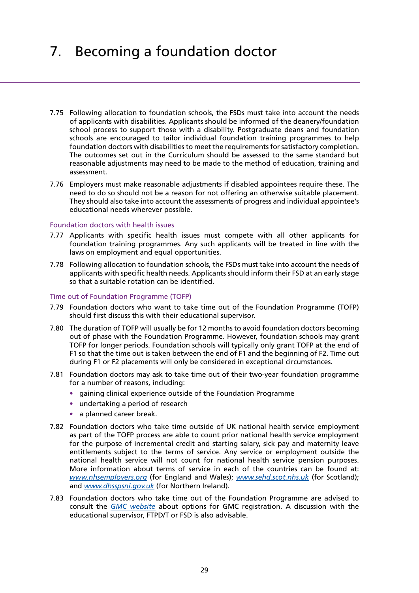- 7.75 Following allocation to foundation schools, the FSDs must take into account the needs of applicants with disabilities. Applicants should be informed of the deanery/foundation school process to support those with a disability. Postgraduate deans and foundation schools are encouraged to tailor individual foundation training programmes to help foundation doctors with disabilities to meet the requirements for satisfactory completion. The outcomes set out in the Curriculum should be assessed to the same standard but reasonable adjustments may need to be made to the method of education, training and assessment.
- 7.76 Employers must make reasonable adjustments if disabled appointees require these. The need to do so should not be a reason for not offering an otherwise suitable placement. They should also take into account the assessments of progress and individual appointee's educational needs wherever possible.

### Foundation doctors with health issues

- 7.77 Applicants with specific health issues must compete with all other applicants for foundation training programmes. Any such applicants will be treated in line with the laws on employment and equal opportunities.
- 7.78 Following allocation to foundation schools, the FSDs must take into account the needs of applicants with specific health needs. Applicants should inform their FSD at an early stage so that a suitable rotation can be identified.

### Time out of Foundation Programme (TOFP)

- 7.79 Foundation doctors who want to take time out of the Foundation Programme (TOFP) should first discuss this with their educational supervisor.
- 7.80 The duration of TOFP will usually be for 12 months to avoid foundation doctors becoming out of phase with the Foundation Programme. However, foundation schools may grant TOFP for longer periods. Foundation schools will typically only grant TOFP at the end of F1 so that the time out is taken between the end of F1 and the beginning of F2. Time out during F1 or F2 placements will only be considered in exceptional circumstances.
- 7.81 Foundation doctors may ask to take time out of their two-year foundation programme for a number of reasons, including:
	- **•** gaining clinical experience outside of the Foundation Programme
	- **•** undertaking a period of research
	- **•** a planned career break.
- 7.82 Foundation doctors who take time outside of UK national health service employment as part of the TOFP process are able to count prior national health service employment for the purpose of incremental credit and starting salary, sick pay and maternity leave entitlements subject to the terms of service. Any service or employment outside the national health service will not count for national health service pension purposes. More information about terms of service in each of the countries can be found at: *[www.nhsemployers.org](http://www.nhsemployers.org/)* (for England and Wales); *[www.sehd.scot.nhs.uk](http://www.sehd.scot.nhs.uk)* (for Scotland); and *[www.dhsspsni.gov.uk](http://www.dhsspsni.gov.uk)* (for Northern Ireland).
- 7.83 Foundation doctors who take time out of the Foundation Programme are advised to consult the *[GMC website](http://www.gmc-uk.org)* about options for GMC registration. A discussion with the educational supervisor, FTPD/T or FSD is also advisable.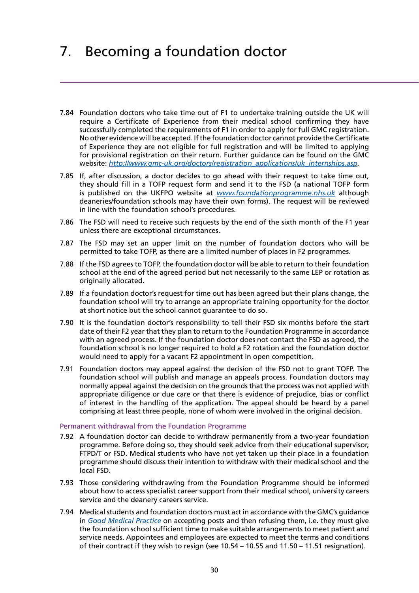- 7.84 Foundation doctors who take time out of F1 to undertake training outside the UK will require a Certificate of Experience from their medical school confirming they have successfully completed the requirements of F1 in order to apply for full GMC registration. No other evidence will be accepted. If the foundation doctor cannot provide the Certificate of Experience they are not eligible for full registration and will be limited to applying for provisional registration on their return. Further guidance can be found on the GMC website: *[http://www.gmc-uk.org/doctors/registration\\_applications/uk\\_internships.asp](http://www.gmc-uk.org/doctors/registration_applications/uk_internships.asp).*
- 7.85 If, after discussion, a doctor decides to go ahead with their request to take time out, they should fill in a TOFP request form and send it to the FSD (a national TOFP form is published on the UKFPO website at *[www.foundationprogramme.nhs.uk](http://www.foundationprogramme.nhs.uk/pages/home)* although deaneries/foundation schools may have their own forms). The request will be reviewed in line with the foundation school's procedures.
- 7.86 The FSD will need to receive such requests by the end of the sixth month of the F1 year unless there are exceptional circumstances.
- 7.87 The FSD may set an upper limit on the number of foundation doctors who will be permitted to take TOFP, as there are a limited number of places in F2 programmes.
- 7.88 If the FSD agrees to TOFP, the foundation doctor will be able to return to their foundation school at the end of the agreed period but not necessarily to the same LEP or rotation as originally allocated.
- 7.89 If a foundation doctor's request for time out has been agreed but their plans change, the foundation school will try to arrange an appropriate training opportunity for the doctor at short notice but the school cannot guarantee to do so.
- 7.90 It is the foundation doctor's responsibility to tell their FSD six months before the start date of their F2 year that they plan to return to the Foundation Programme in accordance with an agreed process. If the foundation doctor does not contact the FSD as agreed, the foundation school is no longer required to hold a F2 rotation and the foundation doctor would need to apply for a vacant F2 appointment in open competition.
- 7.91 Foundation doctors may appeal against the decision of the FSD not to grant TOFP. The foundation school will publish and manage an appeals process. Foundation doctors may normally appeal against the decision on the grounds that the process was not applied with appropriate diligence or due care or that there is evidence of prejudice, bias or conflict of interest in the handling of the application. The appeal should be heard by a panel comprising at least three people, none of whom were involved in the original decision.

### Permanent withdrawal from the Foundation Programme

- 7.92 A foundation doctor can decide to withdraw permanently from a two-year foundation programme. Before doing so, they should seek advice from their educational supervisor, FTPD/T or FSD. Medical students who have not yet taken up their place in a foundation programme should discuss their intention to withdraw with their medical school and the local FSD.
- 7.93 Those considering withdrawing from the Foundation Programme should be informed about how to access specialist career support from their medical school, university careers service and the deanery careers service.
- 7.94 Medical students and foundation doctors must act in accordance with the GMC's guidance in *[Good Medical Practice](http://www.gmc-uk.org/guidance/good_medical_practice.asp)* on accepting posts and then refusing them, i.e. they must give the foundation school sufficient time to make suitable arrangements to meet patient and service needs. Appointees and employees are expected to meet the terms and conditions of their contract if they wish to resign (see 10.54 – 10.55 and 11.50 – 11.51 resignation).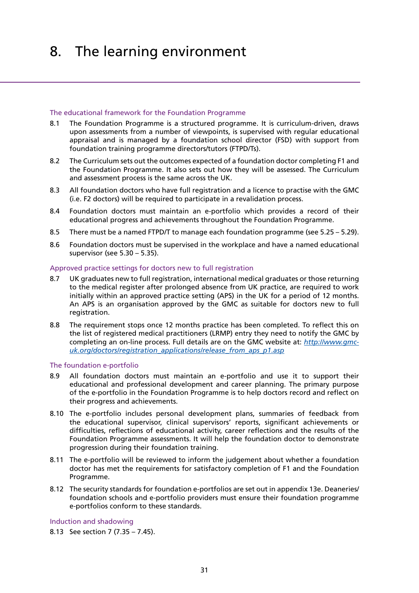### <span id="page-29-0"></span>The educational framework for the Foundation Programme

- 8.1 The Foundation Programme is a structured programme. It is curriculum-driven, draws upon assessments from a number of viewpoints, is supervised with regular educational appraisal and is managed by a foundation school director (FSD) with support from foundation training programme directors/tutors (FTPD/Ts).
- 8.2 The Curriculum sets out the outcomes expected of a foundation doctor completing F1 and the Foundation Programme. It also sets out how they will be assessed. The Curriculum and assessment process is the same across the UK.
- 8.3 All foundation doctors who have full registration and a licence to practise with the GMC (i.e. F2 doctors) will be required to participate in a revalidation process.
- 8.4 Foundation doctors must maintain an e-portfolio which provides a record of their educational progress and achievements throughout the Foundation Programme.
- 8.5 There must be a named FTPD/T to manage each foundation programme (see 5.25 5.29).
- 8.6 Foundation doctors must be supervised in the workplace and have a named educational supervisor (see 5.30 – 5.35).

### Approved practice settings for doctors new to full registration

- 8.7 UK graduates new to full registration, international medical graduates or those returning to the medical register after prolonged absence from UK practice, are required to work initially within an approved practice setting (APS) in the UK for a period of 12 months. An APS is an organisation approved by the GMC as suitable for doctors new to full registration.
- 8.8 The requirement stops once 12 months practice has been completed. To reflect this on the list of registered medical practitioners (LRMP) entry they need to notify the GMC by completing an on-line process. Full details are on the GMC website at: *[http://www.gmc](http://www.gmc-uk.org/doctors/registration_applications/release_from_aps_p1.asp)[uk.org/doctors/registration\\_applications/release\\_from\\_aps\\_p1.asp](http://www.gmc-uk.org/doctors/registration_applications/release_from_aps_p1.asp)*

### The foundation e-portfolio

- 8.9 All foundation doctors must maintain an e-portfolio and use it to support their educational and professional development and career planning. The primary purpose of the e-portfolio in the Foundation Programme is to help doctors record and reflect on their progress and achievements.
- 8.10 The e-portfolio includes personal development plans, summaries of feedback from the educational supervisor, clinical supervisors' reports, significant achievements or difficulties, reflections of educational activity, career reflections and the results of the Foundation Programme assessments. It will help the foundation doctor to demonstrate progression during their foundation training.
- 8.11 The e-portfolio will be reviewed to inform the judgement about whether a foundation doctor has met the requirements for satisfactory completion of F1 and the Foundation Programme.
- 8.12 The security standards for foundation e-portfolios are set out in appendix 13e. Deaneries/ foundation schools and e-portfolio providers must ensure their foundation programme e-portfolios conform to these standards.

Induction and shadowing

8.13 See section 7 (7.35 – 7.45).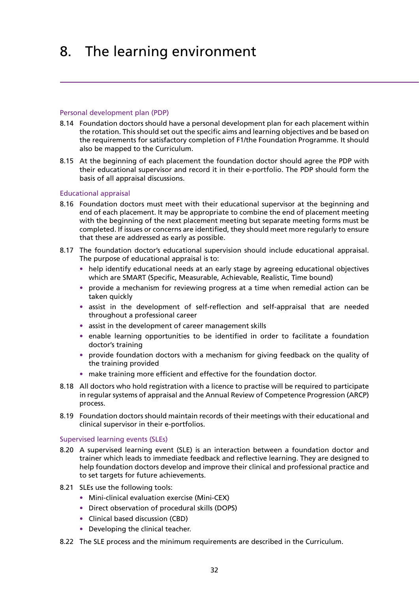### Personal development plan (PDP)

- 8.14 Foundation doctors should have a personal development plan for each placement within the rotation. This should set out the specific aims and learning objectives and be based on the requirements for satisfactory completion of F1/the Foundation Programme. It should also be mapped to the Curriculum.
- 8.15 At the beginning of each placement the foundation doctor should agree the PDP with their educational supervisor and record it in their e-portfolio. The PDP should form the basis of all appraisal discussions.

### Educational appraisal

- 8.16 Foundation doctors must meet with their educational supervisor at the beginning and end of each placement. It may be appropriate to combine the end of placement meeting with the beginning of the next placement meeting but separate meeting forms must be completed. If issues or concerns are identified, they should meet more regularly to ensure that these are addressed as early as possible.
- 8.17 The foundation doctor's educational supervision should include educational appraisal. The purpose of educational appraisal is to:
	- **•** help identify educational needs at an early stage by agreeing educational objectives which are SMART (Specific, Measurable, Achievable, Realistic, Time bound)
	- **•** provide a mechanism for reviewing progress at a time when remedial action can be taken quickly
	- **•** assist in the development of self-reflection and self-appraisal that are needed throughout a professional career
	- **•** assist in the development of career management skills
	- enable learning opportunities to be identified in order to facilitate a foundation doctor's training
	- **•** provide foundation doctors with a mechanism for giving feedback on the quality of the training provided
	- **•** make training more efficient and effective for the foundation doctor.
- 8.18 All doctors who hold registration with a licence to practise will be required to participate in regular systems of appraisal and the Annual Review of Competence Progression (ARCP) process.
- 8.19 Foundation doctors should maintain records of their meetings with their educational and clinical supervisor in their e-portfolios.

### Supervised learning events (SLEs)

- 8.20 A supervised learning event (SLE) is an interaction between a foundation doctor and trainer which leads to immediate feedback and reflective learning. They are designed to help foundation doctors develop and improve their clinical and professional practice and to set targets for future achievements.
- 8.21 SLEs use the following tools:
	- **•** Mini-clinical evaluation exercise (Mini-CEX)
	- **•** Direct observation of procedural skills (DOPS)
	- **•** Clinical based discussion (CBD)
	- **•** Developing the clinical teacher.
- 8.22 The SLE process and the minimum requirements are described in the Curriculum.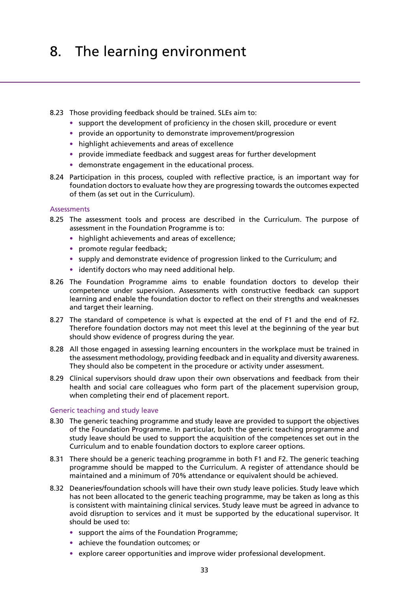### 8.23 Those providing feedback should be trained. SLEs aim to:

- **•** support the development of proficiency in the chosen skill, procedure or event
- **•** provide an opportunity to demonstrate improvement/progression
- **•** highlight achievements and areas of excellence
- **•** provide immediate feedback and suggest areas for further development
- **•** demonstrate engagement in the educational process.
- 8.24 Participation in this process, coupled with reflective practice, is an important way for foundation doctors to evaluate how they are progressing towards the outcomes expected of them (as set out in the Curriculum).

### **Assessments**

- 8.25 The assessment tools and process are described in the Curriculum. The purpose of assessment in the Foundation Programme is to:
	- **•** highlight achievements and areas of excellence;
	- **•** promote regular feedback;
	- **•** supply and demonstrate evidence of progression linked to the Curriculum; and
	- **•** identify doctors who may need additional help.
- 8.26 The Foundation Programme aims to enable foundation doctors to develop their competence under supervision. Assessments with constructive feedback can support learning and enable the foundation doctor to reflect on their strengths and weaknesses and target their learning.
- 8.27 The standard of competence is what is expected at the end of F1 and the end of F2. Therefore foundation doctors may not meet this level at the beginning of the year but should show evidence of progress during the year.
- 8.28 All those engaged in assessing learning encounters in the workplace must be trained in the assessment methodology, providing feedback and in equality and diversity awareness. They should also be competent in the procedure or activity under assessment.
- 8.29 Clinical supervisors should draw upon their own observations and feedback from their health and social care colleagues who form part of the placement supervision group, when completing their end of placement report.

### Generic teaching and study leave

- 8.30 The generic teaching programme and study leave are provided to support the objectives of the Foundation Programme. In particular, both the generic teaching programme and study leave should be used to support the acquisition of the competences set out in the Curriculum and to enable foundation doctors to explore career options.
- 8.31 There should be a generic teaching programme in both F1 and F2. The generic teaching programme should be mapped to the Curriculum. A register of attendance should be maintained and a minimum of 70% attendance or equivalent should be achieved.
- 8.32 Deaneries/foundation schools will have their own study leave policies. Study leave which has not been allocated to the generic teaching programme, may be taken as long as this is consistent with maintaining clinical services. Study leave must be agreed in advance to avoid disruption to services and it must be supported by the educational supervisor. It should be used to:
	- **•** support the aims of the Foundation Programme;
	- **•** achieve the foundation outcomes; or
	- **•** explore career opportunities and improve wider professional development.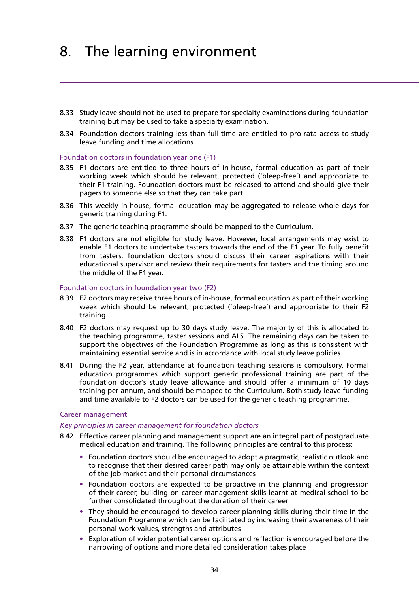- 8.33 Study leave should not be used to prepare for specialty examinations during foundation training but may be used to take a specialty examination.
- 8.34 Foundation doctors training less than full-time are entitled to pro-rata access to study leave funding and time allocations.

### Foundation doctors in foundation year one (F1)

- 8.35 F1 doctors are entitled to three hours of in-house, formal education as part of their working week which should be relevant, protected ('bleep-free') and appropriate to their F1 training. Foundation doctors must be released to attend and should give their pagers to someone else so that they can take part.
- 8.36 This weekly in-house, formal education may be aggregated to release whole days for generic training during F1.
- 8.37 The generic teaching programme should be mapped to the Curriculum.
- 8.38 F1 doctors are not eligible for study leave. However, local arrangements may exist to enable F1 doctors to undertake tasters towards the end of the F1 year. To fully benefit from tasters, foundation doctors should discuss their career aspirations with their educational supervisor and review their requirements for tasters and the timing around the middle of the F1 year.

### Foundation doctors in foundation year two (F2)

- 8.39 F2 doctors may receive three hours of in-house, formal education as part of their working week which should be relevant, protected ('bleep-free') and appropriate to their F2 training.
- 8.40 F2 doctors may request up to 30 days study leave. The majority of this is allocated to the teaching programme, taster sessions and ALS. The remaining days can be taken to support the objectives of the Foundation Programme as long as this is consistent with maintaining essential service and is in accordance with local study leave policies.
- 8.41 During the F2 year, attendance at foundation teaching sessions is compulsory. Formal education programmes which support generic professional training are part of the foundation doctor's study leave allowance and should offer a minimum of 10 days training per annum, and should be mapped to the Curriculum. Both study leave funding and time available to F2 doctors can be used for the generic teaching programme.

### Career management

### *Key principles in career management for foundation doctors*

- 8.42 Effective career planning and management support are an integral part of postgraduate medical education and training. The following principles are central to this process:
	- **•** Foundation doctors should be encouraged to adopt a pragmatic, realistic outlook and to recognise that their desired career path may only be attainable within the context of the job market and their personal circumstances
	- **•** Foundation doctors are expected to be proactive in the planning and progression of their career, building on career management skills learnt at medical school to be further consolidated throughout the duration of their career
	- **•** They should be encouraged to develop career planning skills during their time in the Foundation Programme which can be facilitated by increasing their awareness of their personal work values, strengths and attributes
	- **•** Exploration of wider potential career options and reflection is encouraged before the narrowing of options and more detailed consideration takes place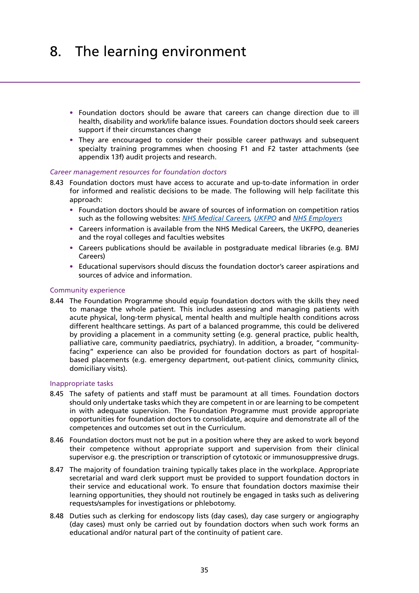- **•** Foundation doctors should be aware that careers can change direction due to ill health, disability and work/life balance issues. Foundation doctors should seek careers support if their circumstances change
- **•** They are encouraged to consider their possible career pathways and subsequent specialty training programmes when choosing F1 and F2 taster attachments (see appendix 13f) audit projects and research.

### *Career management resources for foundation doctors*

- 8.43 Foundation doctors must have access to accurate and up-to-date information in order for informed and realistic decisions to be made. The following will help facilitate this approach:
	- **•** Foundation doctors should be aware of sources of information on competition ratios such as the following websites: *[NHS Medical Careers](http://www.medicalcareers.nhs.uk), [UKFPO](http://www.foundationprogramme.nhs.uk/pages/home)* and *[NHS Employers](http://www.nhsemployers.org)*
	- **•** Careers information is available from the NHS Medical Careers, the UKFPO, deaneries and the royal colleges and faculties websites
	- **•** Careers publications should be available in postgraduate medical libraries (e.g. BMJ Careers)
	- **•** Educational supervisors should discuss the foundation doctor's career aspirations and sources of advice and information.

### Community experience

8.44 The Foundation Programme should equip foundation doctors with the skills they need to manage the whole patient. This includes assessing and managing patients with acute physical, long-term physical, mental health and multiple health conditions across different healthcare settings. As part of a balanced programme, this could be delivered by providing a placement in a community setting (e.g. general practice, public health, palliative care, community paediatrics, psychiatry). In addition, a broader, "communityfacing" experience can also be provided for foundation doctors as part of hospitalbased placements (e.g. emergency department, out-patient clinics, community clinics, domiciliary visits).

### Inappropriate tasks

- 8.45 The safety of patients and staff must be paramount at all times. Foundation doctors should only undertake tasks which they are competent in or are learning to be competent in with adequate supervision. The Foundation Programme must provide appropriate opportunities for foundation doctors to consolidate, acquire and demonstrate all of the competences and outcomes set out in the Curriculum.
- 8.46 Foundation doctors must not be put in a position where they are asked to work beyond their competence without appropriate support and supervision from their clinical supervisor e.g. the prescription or transcription of cytotoxic or immunosuppressive drugs.
- 8.47 The majority of foundation training typically takes place in the workplace. Appropriate secretarial and ward clerk support must be provided to support foundation doctors in their service and educational work. To ensure that foundation doctors maximise their learning opportunities, they should not routinely be engaged in tasks such as delivering requests/samples for investigations or phlebotomy.
- 8.48 Duties such as clerking for endoscopy lists (day cases), day case surgery or angiography (day cases) must only be carried out by foundation doctors when such work forms an educational and/or natural part of the continuity of patient care.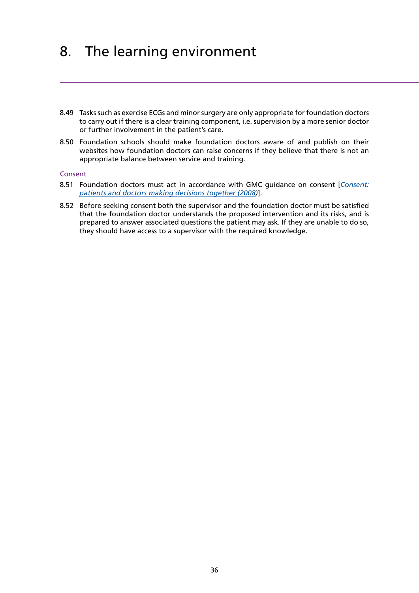- 8.49 Tasks such as exercise ECGs and minor surgery are only appropriate for foundation doctors to carry out if there is a clear training component, i.e. supervision by a more senior doctor or further involvement in the patient's care.
- 8.50 Foundation schools should make foundation doctors aware of and publish on their websites how foundation doctors can raise concerns if they believe that there is not an appropriate balance between service and training.

### Consent

- 8.51 Foundation doctors must act in accordance with GMC guidance on consent [*[Consent:](http://www.gmc-uk.org/guidance/ethical_guidance/consent_guidance_index.asp) [patients and doctors making decisions together \(2008](http://www.gmc-uk.org/guidance/ethical_guidance/consent_guidance_index.asp))*].
- 8.52 Before seeking consent both the supervisor and the foundation doctor must be satisfied that the foundation doctor understands the proposed intervention and its risks, and is prepared to answer associated questions the patient may ask. If they are unable to do so, they should have access to a supervisor with the required knowledge.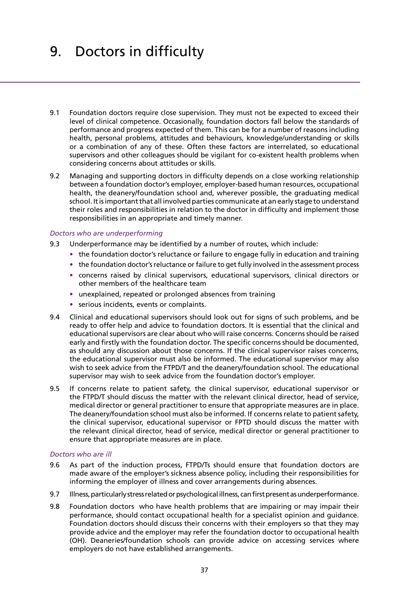# <span id="page-35-0"></span>9. Doctors in difficulty

- 9.1 Foundation doctors require close supervision. They must not be expected to exceed their level of clinical competence. Occasionally, foundation doctors fall below the standards of performance and progress expected of them. This can be for a number of reasons including health, personal problems, attitudes and behaviours, knowledge/understanding or skills or a combination of any of these. Often these factors are interrelated, so educational supervisors and other colleagues should be vigilant for co-existent health problems when considering concerns about attitudes or skills.
- 9.2 Managing and supporting doctors in difficulty depends on a close working relationship between a foundation doctor's employer, employer-based human resources, occupational health, the deanery/foundation school and, wherever possible, the graduating medical school. It is important that all involved parties communicate at an early stage to understand their roles and responsibilities in relation to the doctor in difficulty and implement those responsibilities in an appropriate and timely manner.

### *Doctors who are underperforming*

- 9.3 Underperformance may be identified by a number of routes, which include:
	- the foundation doctor's reluctance or failure to engage fully in education and training
	- the foundation doctor's reluctance or failure to get fully involved in the assessment process
	- **•** concerns raised by clinical supervisors, educational supervisors, clinical directors or other members of the healthcare team
	- unexplained, repeated or prolonged absences from training
	- **•** serious incidents, events or complaints.
- 9.4 Clinical and educational supervisors should look out for signs of such problems, and be ready to offer help and advice to foundation doctors. It is essential that the clinical and educational supervisors are clear about who will raise concerns. Concerns should be raised early and firstly with the foundation doctor. The specific concerns should be documented, as should any discussion about those concerns. If the clinical supervisor raises concerns, the educational supervisor must also be informed. The educational supervisor may also wish to seek advice from the FTPD/T and the deanery/foundation school. The educational supervisor may wish to seek advice from the foundation doctor's employer.
- 9.5 If concerns relate to patient safety, the clinical supervisor, educational supervisor or the FTPD/T should discuss the matter with the relevant clinical director, head of service, medical director or general practitioner to ensure that appropriate measures are in place. The deanery/foundation school must also be informed. If concerns relate to patient safety, the clinical supervisor, educational supervisor or FPTD should discuss the matter with the relevant clinical director, head of service, medical director or general practitioner to ensure that appropriate measures are in place.

### *Doctors who are ill*

- 9.6 As part of the induction process, FTPD/Ts should ensure that foundation doctors are made aware of the employer's sickness absence policy, including their responsibilities for informing the employer of illness and cover arrangements during absences.
- 9.7 Illness, particularly stress related or psychological illness, can first present as underperformance.
- 9.8 Foundation doctors who have health problems that are impairing or may impair their performance, should contact occupational health for a specialist opinion and guidance. Foundation doctors should discuss their concerns with their employers so that they may provide advice and the employer may refer the foundation doctor to occupational health (OH). Deaneries/foundation schools can provide advice on accessing services where employers do not have established arrangements.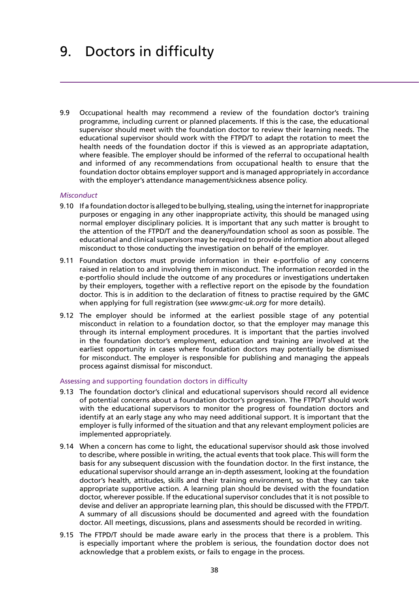# 9. Doctors in difficulty

9.9 Occupational health may recommend a review of the foundation doctor's training programme, including current or planned placements. If this is the case, the educational supervisor should meet with the foundation doctor to review their learning needs. The educational supervisor should work with the FTPD/T to adapt the rotation to meet the health needs of the foundation doctor if this is viewed as an appropriate adaptation, where feasible. The employer should be informed of the referral to occupational health and informed of any recommendations from occupational health to ensure that the foundation doctor obtains employer support and is managed appropriately in accordance with the employer's attendance management/sickness absence policy.

### *Misconduct*

- 9.10 If a foundation doctor is alleged to be bullying, stealing, using the internet for inappropriate purposes or engaging in any other inappropriate activity, this should be managed using normal employer disciplinary policies. It is important that any such matter is brought to the attention of the FTPD/T and the deanery/foundation school as soon as possible. The educational and clinical supervisors may be required to provide information about alleged misconduct to those conducting the investigation on behalf of the employer.
- 9.11 Foundation doctors must provide information in their e-portfolio of any concerns raised in relation to and involving them in misconduct. The information recorded in the e-portfolio should include the outcome of any procedures or investigations undertaken by their employers, together with a reflective report on the episode by the foundation doctor. This is in addition to the declaration of fitness to practise required by the GMC when applying for full registration (see *[www.gmc-uk.org](http://www.gmc-uk.org)* for more details).
- 9.12 The employer should be informed at the earliest possible stage of any potential misconduct in relation to a foundation doctor, so that the employer may manage this through its internal employment procedures. It is important that the parties involved in the foundation doctor's employment, education and training are involved at the earliest opportunity in cases where foundation doctors may potentially be dismissed for misconduct. The employer is responsible for publishing and managing the appeals process against dismissal for misconduct.

### Assessing and supporting foundation doctors in difficulty

- 9.13 The foundation doctor's clinical and educational supervisors should record all evidence of potential concerns about a foundation doctor's progression. The FTPD/T should work with the educational supervisors to monitor the progress of foundation doctors and identify at an early stage any who may need additional support. It is important that the employer is fully informed of the situation and that any relevant employment policies are implemented appropriately.
- 9.14 When a concern has come to light, the educational supervisor should ask those involved to describe, where possible in writing, the actual events that took place. This will form the basis for any subsequent discussion with the foundation doctor. In the first instance, the educational supervisor should arrange an in-depth assessment, looking at the foundation doctor's health, attitudes, skills and their training environment, so that they can take appropriate supportive action. A learning plan should be devised with the foundation doctor, wherever possible. If the educational supervisor concludes that it is not possible to devise and deliver an appropriate learning plan, this should be discussed with the FTPD/T. A summary of all discussions should be documented and agreed with the foundation doctor. All meetings, discussions, plans and assessments should be recorded in writing.
- 9.15 The FTPD/T should be made aware early in the process that there is a problem. This is especially important where the problem is serious, the foundation doctor does not acknowledge that a problem exists, or fails to engage in the process.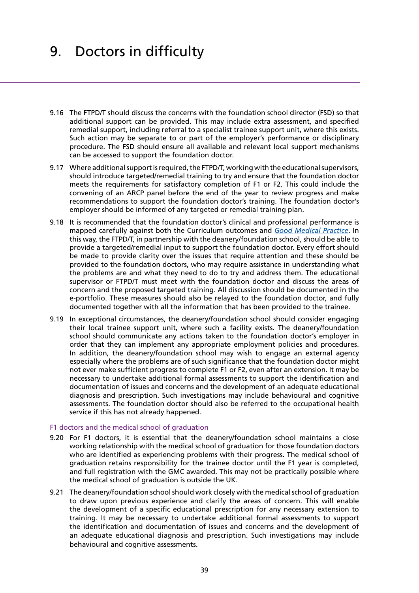# 9. Doctors in difficulty

- 9.16 The FTPD/T should discuss the concerns with the foundation school director (FSD) so that additional support can be provided. This may include extra assessment, and specified remedial support, including referral to a specialist trainee support unit, where this exists. Such action may be separate to or part of the employer's performance or disciplinary procedure. The FSD should ensure all available and relevant local support mechanisms can be accessed to support the foundation doctor.
- 9.17 Where additional support is required, the FTPD/T, working with the educational supervisors, should introduce targeted/remedial training to try and ensure that the foundation doctor meets the requirements for satisfactory completion of F1 or F2. This could include the convening of an ARCP panel before the end of the year to review progress and make recommendations to support the foundation doctor's training. The foundation doctor's employer should be informed of any targeted or remedial training plan.
- 9.18 It is recommended that the foundation doctor's clinical and professional performance is mapped carefully against both the Curriculum outcomes and *[Good Medical Practice](http://www.gmc-uk.org/guidance/good_medical_practice.asp)*. In this way, the FTPD/T, in partnership with the deanery/foundation school, should be able to provide a targeted/remedial input to support the foundation doctor. Every effort should be made to provide clarity over the issues that require attention and these should be provided to the foundation doctors, who may require assistance in understanding what the problems are and what they need to do to try and address them. The educational supervisor or FTPD/T must meet with the foundation doctor and discuss the areas of concern and the proposed targeted training. All discussion should be documented in the e-portfolio. These measures should also be relayed to the foundation doctor, and fully documented together with all the information that has been provided to the trainee.
- 9.19 In exceptional circumstances, the deanery/foundation school should consider engaging their local trainee support unit, where such a facility exists. The deanery/foundation school should communicate any actions taken to the foundation doctor's employer in order that they can implement any appropriate employment policies and procedures. In addition, the deanery/foundation school may wish to engage an external agency especially where the problems are of such significance that the foundation doctor might not ever make sufficient progress to complete F1 or F2, even after an extension. It may be necessary to undertake additional formal assessments to support the identification and documentation of issues and concerns and the development of an adequate educational diagnosis and prescription. Such investigations may include behavioural and cognitive assessments. The foundation doctor should also be referred to the occupational health service if this has not already happened.

### F1 doctors and the medical school of graduation

- 9.20 For F1 doctors, it is essential that the deanery/foundation school maintains a close working relationship with the medical school of graduation for those foundation doctors who are identified as experiencing problems with their progress. The medical school of graduation retains responsibility for the trainee doctor until the F1 year is completed, and full registration with the GMC awarded. This may not be practically possible where the medical school of graduation is outside the UK.
- 9.21 The deanery/foundation school should work closely with the medical school of graduation to draw upon previous experience and clarify the areas of concern. This will enable the development of a specific educational prescription for any necessary extension to training. It may be necessary to undertake additional formal assessments to support the identification and documentation of issues and concerns and the development of an adequate educational diagnosis and prescription. Such investigations may include behavioural and cognitive assessments.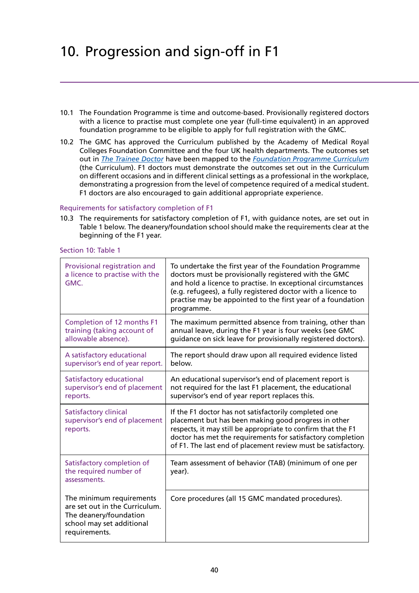- 10.1 The Foundation Programme is time and outcome-based. Provisionally registered doctors with a licence to practise must complete one year (full-time equivalent) in an approved foundation programme to be eligible to apply for full registration with the GMC.
- 10.2 The GMC has approved the Curriculum published by the Academy of Medical Royal Colleges Foundation Committee and the four UK health departments. The outcomes set out in *[The Trainee Doctor](http://www.gmc-uk.org/Trainee_Doctor.pdf_39274940.pdf)* have been mapped to the *[Foundation Programme Curriculum](http://www.foundationprogramme.nhs.uk/download.asp?file=FP_Curriculum_2012_WEB_FINAL.PDF)* (the Curriculum). F1 doctors must demonstrate the outcomes set out in the Curriculum on different occasions and in different clinical settings as a professional in the workplace, demonstrating a progression from the level of competence required of a medical student. F1 doctors are also encouraged to gain additional appropriate experience.

### Requirements for satisfactory completion of F1

10.3 The requirements for satisfactory completion of F1, with guidance notes, are set out in Table 1 below. The deanery/foundation school should make the requirements clear at the beginning of the F1 year.

| Provisional registration and<br>a licence to practise with the<br>GMC.                                                             | To undertake the first year of the Foundation Programme<br>doctors must be provisionally registered with the GMC<br>and hold a licence to practise. In exceptional circumstances<br>(e.g. refugees), a fully registered doctor with a licence to<br>practise may be appointed to the first year of a foundation<br>programme. |
|------------------------------------------------------------------------------------------------------------------------------------|-------------------------------------------------------------------------------------------------------------------------------------------------------------------------------------------------------------------------------------------------------------------------------------------------------------------------------|
| Completion of 12 months F1<br>training (taking account of<br>allowable absence).                                                   | The maximum permitted absence from training, other than<br>annual leave, during the F1 year is four weeks (see GMC<br>quidance on sick leave for provisionally registered doctors).                                                                                                                                           |
| A satisfactory educational<br>supervisor's end of year report.                                                                     | The report should draw upon all required evidence listed<br>below.                                                                                                                                                                                                                                                            |
| Satisfactory educational<br>supervisor's end of placement<br>reports.                                                              | An educational supervisor's end of placement report is<br>not required for the last F1 placement, the educational<br>supervisor's end of year report replaces this.                                                                                                                                                           |
| <b>Satisfactory clinical</b><br>supervisor's end of placement<br>reports.                                                          | If the F1 doctor has not satisfactorily completed one<br>placement but has been making good progress in other<br>respects, it may still be appropriate to confirm that the F1<br>doctor has met the requirements for satisfactory completion<br>of F1. The last end of placement review must be satisfactory.                 |
| Satisfactory completion of<br>the required number of<br>assessments.                                                               | Team assessment of behavior (TAB) (minimum of one per<br>year).                                                                                                                                                                                                                                                               |
| The minimum requirements<br>are set out in the Curriculum.<br>The deanery/foundation<br>school may set additional<br>requirements. | Core procedures (all 15 GMC mandated procedures).                                                                                                                                                                                                                                                                             |

Section 10: Table 1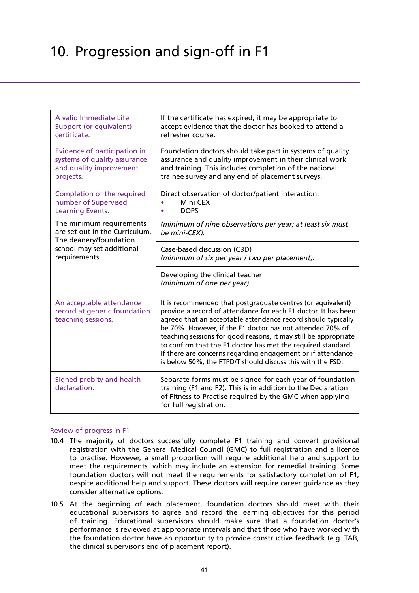| A valid Immediate Life<br>Support (or equivalent)<br>certificate.                                                                  | If the certificate has expired, it may be appropriate to<br>accept evidence that the doctor has booked to attend a<br>refresher course.                                                                                                                                                                                                                                                                                                                                                                                    |
|------------------------------------------------------------------------------------------------------------------------------------|----------------------------------------------------------------------------------------------------------------------------------------------------------------------------------------------------------------------------------------------------------------------------------------------------------------------------------------------------------------------------------------------------------------------------------------------------------------------------------------------------------------------------|
| Evidence of participation in<br>systems of quality assurance<br>and quality improvement<br>projects.                               | Foundation doctors should take part in systems of quality<br>assurance and quality improvement in their clinical work<br>and training. This includes completion of the national<br>trainee survey and any end of placement surveys.                                                                                                                                                                                                                                                                                        |
| Completion of the required<br>number of Supervised<br>Learning Events.                                                             | Direct observation of doctor/patient interaction:<br>Mini CEX<br><b>DOPS</b>                                                                                                                                                                                                                                                                                                                                                                                                                                               |
| The minimum requirements<br>are set out in the Curriculum.<br>The deanery/foundation<br>school may set additional<br>requirements. | (minimum of nine observations per year; at least six must<br>be mini-CEX).                                                                                                                                                                                                                                                                                                                                                                                                                                                 |
|                                                                                                                                    | Case-based discussion (CBD)<br>(minimum of six per year / two per placement).                                                                                                                                                                                                                                                                                                                                                                                                                                              |
|                                                                                                                                    | Developing the clinical teacher<br>(minimum of one per year).                                                                                                                                                                                                                                                                                                                                                                                                                                                              |
| An acceptable attendance<br>record at generic foundation<br>teaching sessions.                                                     | It is recommended that postgraduate centres (or equivalent)<br>provide a record of attendance for each F1 doctor. It has been<br>agreed that an acceptable attendance record should typically<br>be 70%. However, if the F1 doctor has not attended 70% of<br>teaching sessions for good reasons, it may still be appropriate<br>to confirm that the F1 doctor has met the required standard.<br>If there are concerns regarding engagement or if attendance<br>is below 50%, the FTPD/T should discuss this with the FSD. |
| Signed probity and health<br>declaration.                                                                                          | Separate forms must be signed for each year of foundation<br>training (F1 and F2). This is in addition to the Declaration<br>of Fitness to Practise required by the GMC when applying<br>for full registration.                                                                                                                                                                                                                                                                                                            |

## Review of progress in F1

- 10.4 The majority of doctors successfully complete F1 training and convert provisional registration with the General Medical Council (GMC) to full registration and a licence to practise. However, a small proportion will require additional help and support to meet the requirements, which may include an extension for remedial training. Some foundation doctors will not meet the requirements for satisfactory completion of F1, despite additional help and support. These doctors will require career guidance as they consider alternative options.
- 10.5 At the beginning of each placement, foundation doctors should meet with their educational supervisors to agree and record the learning objectives for this period of training. Educational supervisors should make sure that a foundation doctor's performance is reviewed at appropriate intervals and that those who have worked with the foundation doctor have an opportunity to provide constructive feedback (e.g. TAB, the clinical supervisor's end of placement report).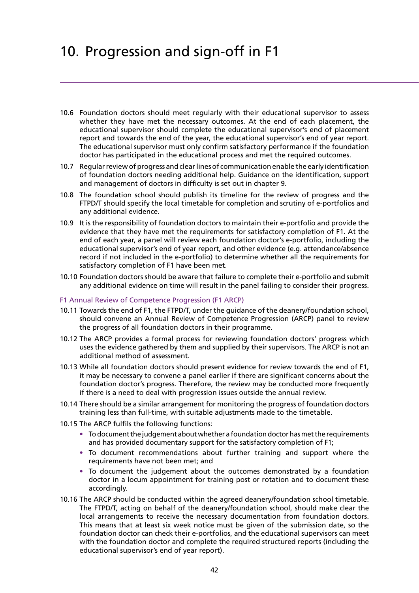- 10.6 Foundation doctors should meet regularly with their educational supervisor to assess whether they have met the necessary outcomes. At the end of each placement, the educational supervisor should complete the educational supervisor's end of placement report and towards the end of the year, the educational supervisor's end of year report. The educational supervisor must only confirm satisfactory performance if the foundation doctor has participated in the educational process and met the required outcomes.
- 10.7 Regular review of progress and clear lines of communication enable the early identification of foundation doctors needing additional help. Guidance on the identification, support and management of doctors in difficulty is set out in chapter 9.
- 10.8 The foundation school should publish its timeline for the review of progress and the FTPD/T should specify the local timetable for completion and scrutiny of e-portfolios and any additional evidence.
- 10.9 It is the responsibility of foundation doctors to maintain their e-portfolio and provide the evidence that they have met the requirements for satisfactory completion of F1. At the end of each year, a panel will review each foundation doctor's e-portfolio, including the educational supervisor's end of year report, and other evidence (e.g. attendance/absence record if not included in the e-portfolio) to determine whether all the requirements for satisfactory completion of F1 have been met.
- 10.10 Foundation doctors should be aware that failure to complete their e-portfolio and submit any additional evidence on time will result in the panel failing to consider their progress.

### F1 Annual Review of Competence Progression (F1 ARCP)

- 10.11 Towards the end of F1, the FTPD/T, under the guidance of the deanery/foundation school, should convene an Annual Review of Competence Progression (ARCP) panel to review the progress of all foundation doctors in their programme.
- 10.12 The ARCP provides a formal process for reviewing foundation doctors' progress which uses the evidence gathered by them and supplied by their supervisors. The ARCP is not an additional method of assessment.
- 10.13 While all foundation doctors should present evidence for review towards the end of F1, it may be necessary to convene a panel earlier if there are significant concerns about the foundation doctor's progress. Therefore, the review may be conducted more frequently if there is a need to deal with progression issues outside the annual review.
- 10.14 There should be a similar arrangement for monitoring the progress of foundation doctors training less than full-time, with suitable adjustments made to the timetable.
- 10.15 The ARCP fulfils the following functions:
	- **•** To document the judgement about whether a foundation doctor has met the requirements and has provided documentary support for the satisfactory completion of F1;
	- **•** To document recommendations about further training and support where the requirements have not been met; and
	- **•** To document the judgement about the outcomes demonstrated by a foundation doctor in a locum appointment for training post or rotation and to document these accordingly.
- 10.16 The ARCP should be conducted within the agreed deanery/foundation school timetable. The FTPD/T, acting on behalf of the deanery/foundation school, should make clear the local arrangements to receive the necessary documentation from foundation doctors. This means that at least six week notice must be given of the submission date, so the foundation doctor can check their e-portfolios, and the educational supervisors can meet with the foundation doctor and complete the required structured reports (including the educational supervisor's end of year report).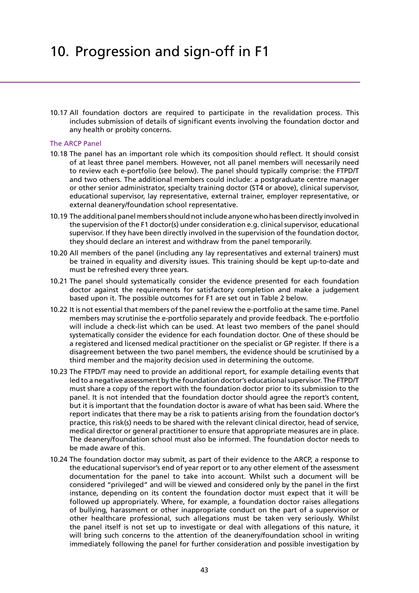10.17 All foundation doctors are required to participate in the revalidation process. This includes submission of details of significant events involving the foundation doctor and any health or probity concerns.

#### The ARCP Panel

- 10.18 The panel has an important role which its composition should reflect. It should consist of at least three panel members. However, not all panel members will necessarily need to review each e-portfolio (see below). The panel should typically comprise: the FTPD/T and two others. The additional members could include: a postgraduate centre manager or other senior administrator, specialty training doctor (ST4 or above), clinical supervisor, educational supervisor, lay representative, external trainer, employer representative, or external deanery/foundation school representative.
- 10.19 The additional panel members should not include anyone who has been directly involved in the supervision of the F1 doctor(s) under consideration e.g. clinical supervisor, educational supervisor. If they have been directly involved in the supervision of the foundation doctor, they should declare an interest and withdraw from the panel temporarily.
- 10.20 All members of the panel (including any lay representatives and external trainers) must be trained in equality and diversity issues. This training should be kept up-to-date and must be refreshed every three years.
- 10.21 The panel should systematically consider the evidence presented for each foundation doctor against the requirements for satisfactory completion and make a judgement based upon it. The possible outcomes for F1 are set out in Table 2 below.
- 10.22 It is not essential that members of the panel review the e-portfolio at the same time. Panel members may scrutinise the e-portfolio separately and provide feedback. The e-portfolio will include a check-list which can be used. At least two members of the panel should systematically consider the evidence for each foundation doctor. One of these should be a registered and licensed medical practitioner on the specialist or GP register. If there is a disagreement between the two panel members, the evidence should be scrutinised by a third member and the majority decision used in determining the outcome.
- 10.23 The FTPD/T may need to provide an additional report, for example detailing events that led to a negative assessment by the foundation doctor's educational supervisor. The FTPD/T must share a copy of the report with the foundation doctor prior to its submission to the panel. It is not intended that the foundation doctor should agree the report's content, but it is important that the foundation doctor is aware of what has been said. Where the report indicates that there may be a risk to patients arising from the foundation doctor's practice, this risk(s) needs to be shared with the relevant clinical director, head of service, medical director or general practitioner to ensure that appropriate measures are in place. The deanery/foundation school must also be informed. The foundation doctor needs to be made aware of this.
- 10.24 The foundation doctor may submit, as part of their evidence to the ARCP, a response to the educational supervisor's end of year report or to any other element of the assessment documentation for the panel to take into account. Whilst such a document will be considered "privileged" and will be viewed and considered only by the panel in the first instance, depending on its content the foundation doctor must expect that it will be followed up appropriately. Where, for example, a foundation doctor raises allegations of bullying, harassment or other inappropriate conduct on the part of a supervisor or other healthcare professional, such allegations must be taken very seriously. Whilst the panel itself is not set up to investigate or deal with allegations of this nature, it will bring such concerns to the attention of the deanery/foundation school in writing immediately following the panel for further consideration and possible investigation by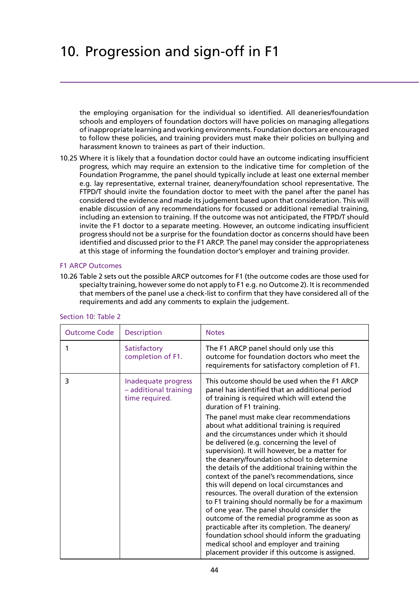the employing organisation for the individual so identified. All deaneries/foundation schools and employers of foundation doctors will have policies on managing allegations of inappropriate learning and working environments. Foundation doctors are encouraged to follow these policies, and training providers must make their policies on bullying and harassment known to trainees as part of their induction.

10.25 Where it is likely that a foundation doctor could have an outcome indicating insufficient progress, which may require an extension to the indicative time for completion of the Foundation Programme, the panel should typically include at least one external member e.g. lay representative, external trainer, deanery/foundation school representative. The FTPD/T should invite the foundation doctor to meet with the panel after the panel has considered the evidence and made its judgement based upon that consideration. This will enable discussion of any recommendations for focussed or additional remedial training, including an extension to training. If the outcome was not anticipated, the FTPD/T should invite the F1 doctor to a separate meeting. However, an outcome indicating insufficient progress should not be a surprise for the foundation doctor as concerns should have been identified and discussed prior to the F1 ARCP. The panel may consider the appropriateness at this stage of informing the foundation doctor's employer and training provider.

### F1 ARCP Outcomes

10.26 Table 2 sets out the possible ARCP outcomes for F1 (the outcome codes are those used for specialty training, however some do not apply to F1 e.g. no Outcome 2). It is recommended that members of the panel use a check-list to confirm that they have considered all of the requirements and add any comments to explain the judgement.

| <b>Description</b><br><b>Outcome Code</b>                           | <b>Notes</b>                                                                                                                                                                                                                                                                                                                                                                                                                                                                                                                                                                                                                                                                                                                                                                                                                                                                                                                                                                                                                     |
|---------------------------------------------------------------------|----------------------------------------------------------------------------------------------------------------------------------------------------------------------------------------------------------------------------------------------------------------------------------------------------------------------------------------------------------------------------------------------------------------------------------------------------------------------------------------------------------------------------------------------------------------------------------------------------------------------------------------------------------------------------------------------------------------------------------------------------------------------------------------------------------------------------------------------------------------------------------------------------------------------------------------------------------------------------------------------------------------------------------|
| Satisfactory<br>1<br>completion of F1.                              | The F1 ARCP panel should only use this<br>outcome for foundation doctors who meet the<br>requirements for satisfactory completion of F1.                                                                                                                                                                                                                                                                                                                                                                                                                                                                                                                                                                                                                                                                                                                                                                                                                                                                                         |
| 3<br>Inadequate progress<br>- additional training<br>time required. | This outcome should be used when the F1 ARCP<br>panel has identified that an additional period<br>of training is required which will extend the<br>duration of F1 training.<br>The panel must make clear recommendations<br>about what additional training is required<br>and the circumstances under which it should<br>be delivered (e.g. concerning the level of<br>supervision). It will however, be a matter for<br>the deanery/foundation school to determine<br>the details of the additional training within the<br>context of the panel's recommendations, since<br>this will depend on local circumstances and<br>resources. The overall duration of the extension<br>to F1 training should normally be for a maximum<br>of one year. The panel should consider the<br>outcome of the remedial programme as soon as<br>practicable after its completion. The deanery/<br>foundation school should inform the graduating<br>medical school and employer and training<br>placement provider if this outcome is assigned. |

### Section 10: Table 2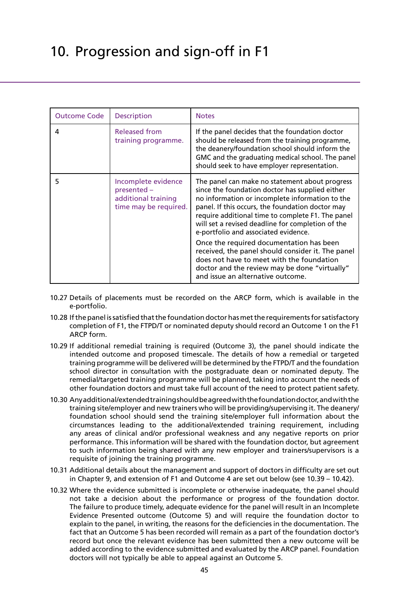| <b>Outcome Code</b> | <b>Description</b>                                                                 | <b>Notes</b>                                                                                                                                                                                                                                                                                                                                               |  |
|---------------------|------------------------------------------------------------------------------------|------------------------------------------------------------------------------------------------------------------------------------------------------------------------------------------------------------------------------------------------------------------------------------------------------------------------------------------------------------|--|
| 4                   | <b>Released from</b><br>training programme.                                        | If the panel decides that the foundation doctor<br>should be released from the training programme,<br>the deanery/foundation school should inform the<br>GMC and the graduating medical school. The panel<br>should seek to have employer representation.                                                                                                  |  |
| 5                   | Incomplete evidence<br>presented -<br>additional training<br>time may be required. | The panel can make no statement about progress<br>since the foundation doctor has supplied either<br>no information or incomplete information to the<br>panel. If this occurs, the foundation doctor may<br>require additional time to complete F1. The panel<br>will set a revised deadline for completion of the<br>e-portfolio and associated evidence. |  |
|                     |                                                                                    | Once the required documentation has been<br>received, the panel should consider it. The panel<br>does not have to meet with the foundation<br>doctor and the review may be done "virtually"<br>and issue an alternative outcome.                                                                                                                           |  |

- 10.27 Details of placements must be recorded on the ARCP form, which is available in the e-portfolio.
- 10.28 If the panel is satisfied that the foundation doctor has met the requirements for satisfactory completion of F1, the FTPD/T or nominated deputy should record an Outcome 1 on the F1 ARCP form.
- 10.29 If additional remedial training is required (Outcome 3), the panel should indicate the intended outcome and proposed timescale. The details of how a remedial or targeted training programme will be delivered will be determined by the FTPD/T and the foundation school director in consultation with the postgraduate dean or nominated deputy. The remedial/targeted training programme will be planned, taking into account the needs of other foundation doctors and must take full account of the need to protect patient safety.
- 10.30 Any additional/extended training should be agreed with the foundation doctor, and with the training site/employer and new trainers who will be providing/supervising it. The deanery/ foundation school should send the training site/employer full information about the circumstances leading to the additional/extended training requirement, including any areas of clinical and/or professional weakness and any negative reports on prior performance. This information will be shared with the foundation doctor, but agreement to such information being shared with any new employer and trainers/supervisors is a requisite of joining the training programme.
- 10.31 Additional details about the management and support of doctors in difficulty are set out in Chapter 9, and extension of F1 and Outcome 4 are set out below (see 10.39 – 10.42).
- 10.32 Where the evidence submitted is incomplete or otherwise inadequate, the panel should not take a decision about the performance or progress of the foundation doctor. The failure to produce timely, adequate evidence for the panel will result in an Incomplete Evidence Presented outcome (Outcome 5) and will require the foundation doctor to explain to the panel, in writing, the reasons for the deficiencies in the documentation. The fact that an Outcome 5 has been recorded will remain as a part of the foundation doctor's record but once the relevant evidence has been submitted then a new outcome will be added according to the evidence submitted and evaluated by the ARCP panel. Foundation doctors will not typically be able to appeal against an Outcome 5.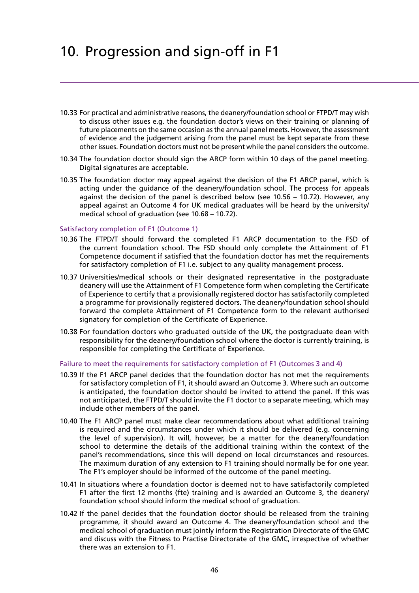- 10.33 For practical and administrative reasons, the deanery/foundation school or FTPD/T may wish to discuss other issues e.g. the foundation doctor's views on their training or planning of future placements on the same occasion as the annual panel meets. However, the assessment of evidence and the judgement arising from the panel must be kept separate from these other issues. Foundation doctors must not be present while the panel considers the outcome.
- 10.34 The foundation doctor should sign the ARCP form within 10 days of the panel meeting. Digital signatures are acceptable.
- 10.35 The foundation doctor may appeal against the decision of the F1 ARCP panel, which is acting under the guidance of the deanery/foundation school. The process for appeals against the decision of the panel is described below (see 10.56 – 10.72). However, any appeal against an Outcome 4 for UK medical graduates will be heard by the university/ medical school of graduation (see 10.68 – 10.72).

#### Satisfactory completion of F1 (Outcome 1)

- 10.36 The FTPD/T should forward the completed F1 ARCP documentation to the FSD of the current foundation school. The FSD should only complete the Attainment of F1 Competence document if satisfied that the foundation doctor has met the requirements for satisfactory completion of F1 i.e. subject to any quality management process.
- 10.37 Universities/medical schools or their designated representative in the postgraduate deanery will use the Attainment of F1 Competence form when completing the Certificate of Experience to certify that a provisionally registered doctor has satisfactorily completed a programme for provisionally registered doctors. The deanery/foundation school should forward the complete Attainment of F1 Competence form to the relevant authorised signatory for completion of the Certificate of Experience.
- 10.38 For foundation doctors who graduated outside of the UK, the postgraduate dean with responsibility for the deanery/foundation school where the doctor is currently training, is responsible for completing the Certificate of Experience.

### Failure to meet the requirements for satisfactory completion of F1 (Outcomes 3 and 4)

- 10.39 If the F1 ARCP panel decides that the foundation doctor has not met the requirements for satisfactory completion of F1, it should award an Outcome 3. Where such an outcome is anticipated, the foundation doctor should be invited to attend the panel. If this was not anticipated, the FTPD/T should invite the F1 doctor to a separate meeting, which may include other members of the panel.
- 10.40 The F1 ARCP panel must make clear recommendations about what additional training is required and the circumstances under which it should be delivered (e.g. concerning the level of supervision). It will, however, be a matter for the deanery/foundation school to determine the details of the additional training within the context of the panel's recommendations, since this will depend on local circumstances and resources. The maximum duration of any extension to F1 training should normally be for one year. The F1's employer should be informed of the outcome of the panel meeting.
- 10.41 In situations where a foundation doctor is deemed not to have satisfactorily completed F1 after the first 12 months (fte) training and is awarded an Outcome 3, the deanery/ foundation school should inform the medical school of graduation.
- 10.42 If the panel decides that the foundation doctor should be released from the training programme, it should award an Outcome 4. The deanery/foundation school and the medical school of graduation must jointly inform the Registration Directorate of the GMC and discuss with the Fitness to Practise Directorate of the GMC, irrespective of whether there was an extension to F1.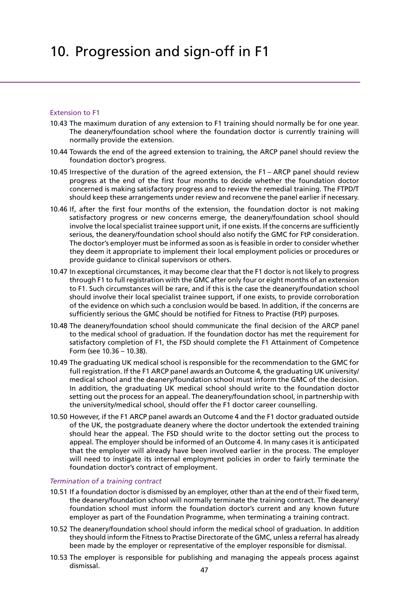#### Extension to F1

- 10.43 The maximum duration of any extension to F1 training should normally be for one year. The deanery/foundation school where the foundation doctor is currently training will normally provide the extension.
- 10.44 Towards the end of the agreed extension to training, the ARCP panel should review the foundation doctor's progress.
- 10.45 Irrespective of the duration of the agreed extension, the F1 ARCP panel should review progress at the end of the first four months to decide whether the foundation doctor concerned is making satisfactory progress and to review the remedial training. The FTPD/T should keep these arrangements under review and reconvene the panel earlier if necessary.
- 10.46 If, after the first four months of the extension, the foundation doctor is not making satisfactory progress or new concerns emerge, the deanery/foundation school should involve the local specialist trainee support unit, if one exists. If the concerns are sufficiently serious, the deanery/foundation school should also notify the GMC for FtP consideration. The doctor's employer must be informed as soon as is feasible in order to consider whether they deem it appropriate to implement their local employment policies or procedures or provide guidance to clinical supervisors or others.
- 10.47 In exceptional circumstances, it may become clear that the F1 doctor is not likely to progress through F1 to full registration with the GMC after only four or eight months of an extension to F1. Such circumstances will be rare, and if this is the case the deanery/foundation school should involve their local specialist trainee support, if one exists, to provide corroboration of the evidence on which such a conclusion would be based. In addition, if the concerns are sufficiently serious the GMC should be notified for Fitness to Practise (FtP) purposes.
- 10.48 The deanery/foundation school should communicate the final decision of the ARCP panel to the medical school of graduation. If the foundation doctor has met the requirement for satisfactory completion of F1, the FSD should complete the F1 Attainment of Competence Form (see 10.36 – 10.38).
- 10.49 The graduating UK medical school is responsible for the recommendation to the GMC for full registration. If the F1 ARCP panel awards an Outcome 4, the graduating UK university/ medical school and the deanery/foundation school must inform the GMC of the decision. In addition, the graduating UK medical school should write to the foundation doctor setting out the process for an appeal. The deanery/foundation school, in partnership with the university/medical school, should offer the F1 doctor career counselling.
- 10.50 However, if the F1 ARCP panel awards an Outcome 4 and the F1 doctor graduated outside of the UK, the postgraduate deanery where the doctor undertook the extended training should hear the appeal. The FSD should write to the doctor setting out the process to appeal. The employer should be informed of an Outcome 4. In many cases it is anticipated that the employer will already have been involved earlier in the process. The employer will need to instigate its internal employment policies in order to fairly terminate the foundation doctor's contract of employment.

#### *Termination of a training contract*

- 10.51 If a foundation doctor is dismissed by an employer, other than at the end of their fixed term, the deanery/foundation school will normally terminate the training contract. The deanery/ foundation school must inform the foundation doctor's current and any known future employer as part of the Foundation Programme, when terminating a training contract.
- 10.52 The deanery/foundation school should inform the medical school of graduation. In addition they should inform the Fitness to Practise Directorate of the GMC, unless a referral has already been made by the employer or representative of the employer responsible for dismissal.
- 10.53 The employer is responsible for publishing and managing the appeals process against dismissal.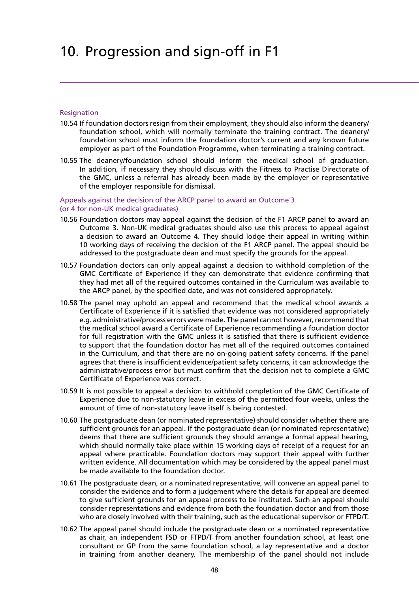#### **Resignation**

- 10.54 If foundation doctors resign from their employment, they should also inform the deanery/ foundation school, which will normally terminate the training contract. The deanery/ foundation school must inform the foundation doctor's current and any known future employer as part of the Foundation Programme, when terminating a training contract.
- 10.55 The deanery/foundation school should inform the medical school of graduation. In addition, if necessary they should discuss with the Fitness to Practise Directorate of the GMC, unless a referral has already been made by the employer or representative of the employer responsible for dismissal.

## Appeals against the decision of the ARCP panel to award an Outcome 3 (or 4 for non-UK medical graduates)

- 10.56 Foundation doctors may appeal against the decision of the F1 ARCP panel to award an Outcome 3. Non-UK medical graduates should also use this process to appeal against a decision to award an Outcome 4. They should lodge their appeal in writing within 10 working days of receiving the decision of the F1 ARCP panel. The appeal should be addressed to the postgraduate dean and must specify the grounds for the appeal.
- 10.57 Foundation doctors can only appeal against a decision to withhold completion of the GMC Certificate of Experience if they can demonstrate that evidence confirming that they had met all of the required outcomes contained in the Curriculum was available to the ARCP panel, by the specified date, and was not considered appropriately.
- 10.58 The panel may uphold an appeal and recommend that the medical school awards a Certificate of Experience if it is satisfied that evidence was not considered appropriately e.g. administrative/process errors were made. The panel cannot however, recommend that the medical school award a Certificate of Experience recommending a foundation doctor for full registration with the GMC unless it is satisfied that there is sufficient evidence to support that the foundation doctor has met all of the required outcomes contained in the Curriculum, and that there are no on-going patient safety concerns. If the panel agrees that there is insufficient evidence/patient safety concerns, it can acknowledge the administrative/process error but must confirm that the decision not to complete a GMC Certificate of Experience was correct.
- 10.59 It is not possible to appeal a decision to withhold completion of the GMC Certificate of Experience due to non-statutory leave in excess of the permitted four weeks, unless the amount of time of non-statutory leave itself is being contested.
- 10.60 The postgraduate dean (or nominated representative) should consider whether there are sufficient grounds for an appeal. If the postgraduate dean (or nominated representative) deems that there are sufficient grounds they should arrange a formal appeal hearing, which should normally take place within 15 working days of receipt of a request for an appeal where practicable. Foundation doctors may support their appeal with further written evidence. All documentation which may be considered by the appeal panel must be made available to the foundation doctor.
- 10.61 The postgraduate dean, or a nominated representative, will convene an appeal panel to consider the evidence and to form a judgement where the details for appeal are deemed to give sufficient grounds for an appeal process to be instituted. Such an appeal should consider representations and evidence from both the foundation doctor and from those who are closely involved with their training, such as the educational supervisor or FTPD/T.
- 10.62 The appeal panel should include the postgraduate dean or a nominated representative as chair, an independent FSD or FTPD/T from another foundation school, at least one consultant or GP from the same foundation school, a lay representative and a doctor in training from another deanery. The membership of the panel should not include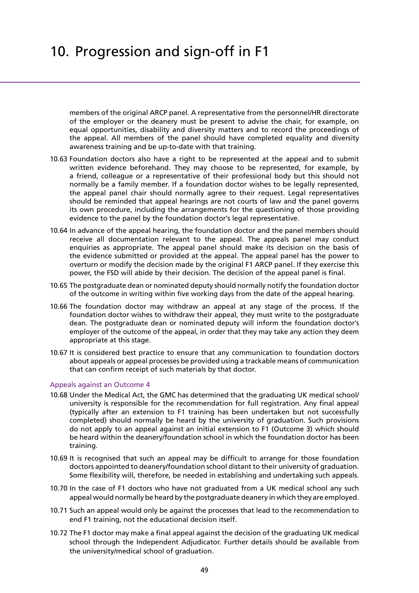members of the original ARCP panel. A representative from the personnel/HR directorate of the employer or the deanery must be present to advise the chair, for example, on equal opportunities, disability and diversity matters and to record the proceedings of the appeal. All members of the panel should have completed equality and diversity awareness training and be up-to-date with that training.

- 10.63 Foundation doctors also have a right to be represented at the appeal and to submit written evidence beforehand. They may choose to be represented, for example, by a friend, colleague or a representative of their professional body but this should not normally be a family member. If a foundation doctor wishes to be legally represented, the appeal panel chair should normally agree to their request. Legal representatives should be reminded that appeal hearings are not courts of law and the panel governs its own procedure, including the arrangements for the questioning of those providing evidence to the panel by the foundation doctor's legal representative.
- 10.64 In advance of the appeal hearing, the foundation doctor and the panel members should receive all documentation relevant to the appeal. The appeals panel may conduct enquiries as appropriate. The appeal panel should make its decision on the basis of the evidence submitted or provided at the appeal. The appeal panel has the power to overturn or modify the decision made by the original F1 ARCP panel. If they exercise this power, the FSD will abide by their decision. The decision of the appeal panel is final.
- 10.65 The postgraduate dean or nominated deputy should normally notify the foundation doctor of the outcome in writing within five working days from the date of the appeal hearing.
- 10.66 The foundation doctor may withdraw an appeal at any stage of the process. If the foundation doctor wishes to withdraw their appeal, they must write to the postgraduate dean. The postgraduate dean or nominated deputy will inform the foundation doctor's employer of the outcome of the appeal, in order that they may take any action they deem appropriate at this stage.
- 10.67 It is considered best practice to ensure that any communication to foundation doctors about appeals or appeal processes be provided using a trackable means of communication that can confirm receipt of such materials by that doctor.

### Appeals against an Outcome 4

- 10.68 Under the Medical Act, the GMC has determined that the graduating UK medical school/ university is responsible for the recommendation for full registration. Any final appeal (typically after an extension to F1 training has been undertaken but not successfully completed) should normally be heard by the university of graduation. Such provisions do not apply to an appeal against an initial extension to F1 (Outcome 3) which should be heard within the deanery/foundation school in which the foundation doctor has been training.
- 10.69 It is recognised that such an appeal may be difficult to arrange for those foundation doctors appointed to deanery/foundation school distant to their university of graduation. Some flexibility will, therefore, be needed in establishing and undertaking such appeals.
- 10.70 In the case of F1 doctors who have not graduated from a UK medical school any such appeal would normally be heard by the postgraduate deanery in which they are employed.
- 10.71 Such an appeal would only be against the processes that lead to the recommendation to end F1 training, not the educational decision itself.
- 10.72 The F1 doctor may make a final appeal against the decision of the graduating UK medical school through the Independent Adjudicator. Further details should be available from the university/medical school of graduation.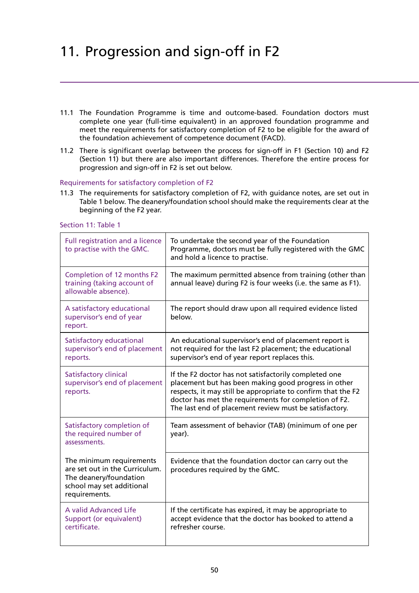- 11.1 The Foundation Programme is time and outcome-based. Foundation doctors must complete one year (full-time equivalent) in an approved foundation programme and meet the requirements for satisfactory completion of F2 to be eligible for the award of the foundation achievement of competence document (FACD).
- 11.2 There is significant overlap between the process for sign-off in F1 (Section 10) and F2 (Section 11) but there are also important differences. Therefore the entire process for progression and sign-off in F2 is set out below.

## Requirements for satisfactory completion of F2

11.3 The requirements for satisfactory completion of F2, with guidance notes, are set out in Table 1 below. The deanery/foundation school should make the requirements clear at the beginning of the F2 year.

Section 11: Table 1

| Full registration and a licence<br>to practise with the GMC.                                                                       | To undertake the second year of the Foundation<br>Programme, doctors must be fully registered with the GMC<br>and hold a licence to practise.                                                                                                                                                    |
|------------------------------------------------------------------------------------------------------------------------------------|--------------------------------------------------------------------------------------------------------------------------------------------------------------------------------------------------------------------------------------------------------------------------------------------------|
| Completion of 12 months F2<br>training (taking account of<br>allowable absence).                                                   | The maximum permitted absence from training (other than<br>annual leave) during F2 is four weeks (i.e. the same as F1).                                                                                                                                                                          |
| A satisfactory educational<br>supervisor's end of year<br>report.                                                                  | The report should draw upon all required evidence listed<br>below.                                                                                                                                                                                                                               |
| Satisfactory educational<br>supervisor's end of placement<br>reports.                                                              | An educational supervisor's end of placement report is<br>not required for the last F2 placement; the educational<br>supervisor's end of year report replaces this.                                                                                                                              |
| Satisfactory clinical<br>supervisor's end of placement<br>reports.                                                                 | If the F2 doctor has not satisfactorily completed one<br>placement but has been making good progress in other<br>respects, it may still be appropriate to confirm that the F2<br>doctor has met the requirements for completion of F2.<br>The last end of placement review must be satisfactory. |
| Satisfactory completion of<br>the required number of<br>assessments.                                                               | Team assessment of behavior (TAB) (minimum of one per<br>year).                                                                                                                                                                                                                                  |
| The minimum requirements<br>are set out in the Curriculum.<br>The deanery/foundation<br>school may set additional<br>requirements. | Evidence that the foundation doctor can carry out the<br>procedures required by the GMC.                                                                                                                                                                                                         |
| A valid Advanced Life<br>Support (or equivalent)<br>certificate.                                                                   | If the certificate has expired, it may be appropriate to<br>accept evidence that the doctor has booked to attend a<br>refresher course.                                                                                                                                                          |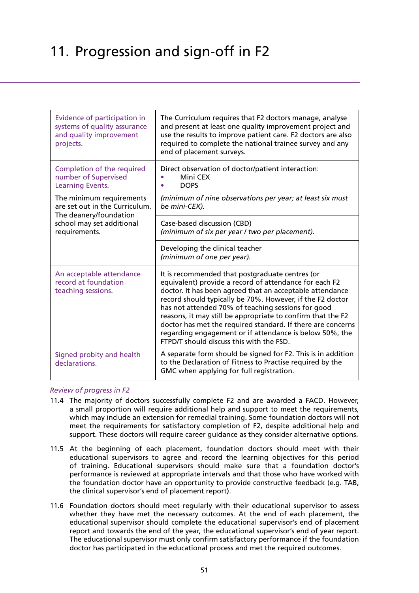| Evidence of participation in<br>systems of quality assurance<br>and quality improvement<br>projects. | The Curriculum requires that F2 doctors manage, analyse<br>and present at least one quality improvement project and<br>use the results to improve patient care. F2 doctors are also<br>required to complete the national trainee survey and any<br>end of placement surveys.                                                                                                                                                                                                                                                  |  |
|------------------------------------------------------------------------------------------------------|-------------------------------------------------------------------------------------------------------------------------------------------------------------------------------------------------------------------------------------------------------------------------------------------------------------------------------------------------------------------------------------------------------------------------------------------------------------------------------------------------------------------------------|--|
| Completion of the required<br>number of Supervised<br>Learning Events.                               | Direct observation of doctor/patient interaction:<br>Mini CEX<br><b>DOPS</b>                                                                                                                                                                                                                                                                                                                                                                                                                                                  |  |
| The minimum requirements<br>are set out in the Curriculum.<br>The deanery/foundation                 | (minimum of nine observations per year; at least six must<br>be mini-CEX).                                                                                                                                                                                                                                                                                                                                                                                                                                                    |  |
| school may set additional<br>requirements.                                                           | Case-based discussion (CBD)<br>(minimum of six per year / two per placement).                                                                                                                                                                                                                                                                                                                                                                                                                                                 |  |
|                                                                                                      | Developing the clinical teacher<br>(minimum of one per year).                                                                                                                                                                                                                                                                                                                                                                                                                                                                 |  |
| An acceptable attendance<br>record at foundation<br>teaching sessions.                               | It is recommended that postgraduate centres (or<br>equivalent) provide a record of attendance for each F2<br>doctor. It has been agreed that an acceptable attendance<br>record should typically be 70%. However, if the F2 doctor<br>has not attended 70% of teaching sessions for good<br>reasons, it may still be appropriate to confirm that the F2<br>doctor has met the required standard. If there are concerns<br>regarding engagement or if attendance is below 50%, the<br>FTPD/T should discuss this with the FSD. |  |
| Signed probity and health<br>declarations.                                                           | A separate form should be signed for F2. This is in addition<br>to the Declaration of Fitness to Practise required by the<br>GMC when applying for full registration.                                                                                                                                                                                                                                                                                                                                                         |  |

## *Review of progress in F2*

- 11.4 The majority of doctors successfully complete F2 and are awarded a FACD. However, a small proportion will require additional help and support to meet the requirements, which may include an extension for remedial training. Some foundation doctors will not meet the requirements for satisfactory completion of F2, despite additional help and support. These doctors will require career guidance as they consider alternative options.
- 11.5 At the beginning of each placement, foundation doctors should meet with their educational supervisors to agree and record the learning objectives for this period of training. Educational supervisors should make sure that a foundation doctor's performance is reviewed at appropriate intervals and that those who have worked with the foundation doctor have an opportunity to provide constructive feedback (e.g. TAB, the clinical supervisor's end of placement report).
- 11.6 Foundation doctors should meet regularly with their educational supervisor to assess whether they have met the necessary outcomes. At the end of each placement, the educational supervisor should complete the educational supervisor's end of placement report and towards the end of the year, the educational supervisor's end of year report. The educational supervisor must only confirm satisfactory performance if the foundation doctor has participated in the educational process and met the required outcomes.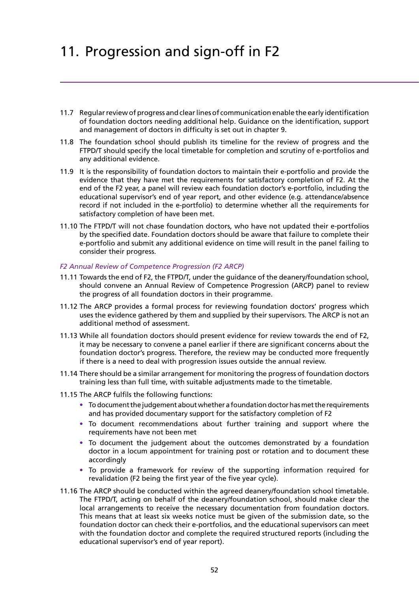- 11.7 Regular review of progress and clear lines of communication enable the early identification of foundation doctors needing additional help. Guidance on the identification, support and management of doctors in difficulty is set out in chapter 9.
- 11.8 The foundation school should publish its timeline for the review of progress and the FTPD/T should specify the local timetable for completion and scrutiny of e-portfolios and any additional evidence.
- 11.9 It is the responsibility of foundation doctors to maintain their e-portfolio and provide the evidence that they have met the requirements for satisfactory completion of F2. At the end of the F2 year, a panel will review each foundation doctor's e-portfolio, including the educational supervisor's end of year report, and other evidence (e.g. attendance/absence record if not included in the e-portfolio) to determine whether all the requirements for satisfactory completion of have been met.
- 11.10 The FTPD/T will not chase foundation doctors, who have not updated their e-portfolios by the specified date. Foundation doctors should be aware that failure to complete their e-portfolio and submit any additional evidence on time will result in the panel failing to consider their progress.

### *F2 Annual Review of Competence Progression (F2 ARCP)*

- 11.11 Towards the end of F2, the FTPD/T, under the guidance of the deanery/foundation school, should convene an Annual Review of Competence Progression (ARCP) panel to review the progress of all foundation doctors in their programme.
- 11.12 The ARCP provides a formal process for reviewing foundation doctors' progress which uses the evidence gathered by them and supplied by their supervisors. The ARCP is not an additional method of assessment.
- 11.13 While all foundation doctors should present evidence for review towards the end of F2, it may be necessary to convene a panel earlier if there are significant concerns about the foundation doctor's progress. Therefore, the review may be conducted more frequently if there is a need to deal with progression issues outside the annual review.
- 11.14 There should be a similar arrangement for monitoring the progress of foundation doctors training less than full time, with suitable adjustments made to the timetable.
- 11.15 The ARCP fulfils the following functions:
	- **•** To document the judgement about whether a foundation doctor has met the requirements and has provided documentary support for the satisfactory completion of F2
	- **•** To document recommendations about further training and support where the requirements have not been met
	- **•** To document the judgement about the outcomes demonstrated by a foundation doctor in a locum appointment for training post or rotation and to document these accordingly
	- **•** To provide a framework for review of the supporting information required for revalidation (F2 being the first year of the five year cycle).
- 11.16 The ARCP should be conducted within the agreed deanery/foundation school timetable. The FTPD/T, acting on behalf of the deanery/foundation school, should make clear the local arrangements to receive the necessary documentation from foundation doctors. This means that at least six weeks notice must be given of the submission date, so the foundation doctor can check their e-portfolios, and the educational supervisors can meet with the foundation doctor and complete the required structured reports (including the educational supervisor's end of year report).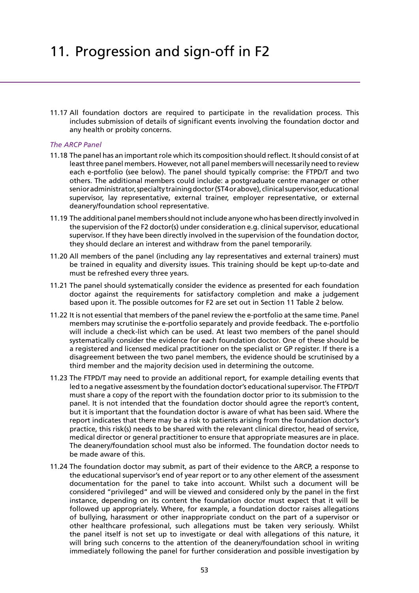11.17 All foundation doctors are required to participate in the revalidation process. This includes submission of details of significant events involving the foundation doctor and any health or probity concerns.

### *The ARCP Panel*

- 11.18 The panel has an important role which its composition should reflect. It should consist of at least three panel members. However, not all panel members will necessarily need to review each e-portfolio (see below). The panel should typically comprise: the FTPD/T and two others. The additional members could include: a postgraduate centre manager or other senior administrator, specialty training doctor (ST4 or above), clinical supervisor, educational supervisor, lay representative, external trainer, employer representative, or external deanery/foundation school representative.
- 11.19 The additional panel members should not include anyone who has been directly involved in the supervision of the F2 doctor(s) under consideration e.g. clinical supervisor, educational supervisor. If they have been directly involved in the supervision of the foundation doctor, they should declare an interest and withdraw from the panel temporarily.
- 11.20 All members of the panel (including any lay representatives and external trainers) must be trained in equality and diversity issues. This training should be kept up-to-date and must be refreshed every three years.
- 11.21 The panel should systematically consider the evidence as presented for each foundation doctor against the requirements for satisfactory completion and make a judgement based upon it. The possible outcomes for F2 are set out in Section 11 Table 2 below.
- 11.22 It is not essential that members of the panel review the e-portfolio at the same time. Panel members may scrutinise the e-portfolio separately and provide feedback. The e-portfolio will include a check-list which can be used. At least two members of the panel should systematically consider the evidence for each foundation doctor. One of these should be a registered and licensed medical practitioner on the specialist or GP register. If there is a disagreement between the two panel members, the evidence should be scrutinised by a third member and the majority decision used in determining the outcome.
- 11.23 The FTPD/T may need to provide an additional report, for example detailing events that led to a negative assessment by the foundation doctor's educational supervisor. The FTPD/T must share a copy of the report with the foundation doctor prior to its submission to the panel. It is not intended that the foundation doctor should agree the report's content, but it is important that the foundation doctor is aware of what has been said. Where the report indicates that there may be a risk to patients arising from the foundation doctor's practice, this risk(s) needs to be shared with the relevant clinical director, head of service, medical director or general practitioner to ensure that appropriate measures are in place. The deanery/foundation school must also be informed. The foundation doctor needs to be made aware of this.
- 11.24 The foundation doctor may submit, as part of their evidence to the ARCP, a response to the educational supervisor's end of year report or to any other element of the assessment documentation for the panel to take into account. Whilst such a document will be considered "privileged" and will be viewed and considered only by the panel in the first instance, depending on its content the foundation doctor must expect that it will be followed up appropriately. Where, for example, a foundation doctor raises allegations of bullying, harassment or other inappropriate conduct on the part of a supervisor or other healthcare professional, such allegations must be taken very seriously. Whilst the panel itself is not set up to investigate or deal with allegations of this nature, it will bring such concerns to the attention of the deanery/foundation school in writing immediately following the panel for further consideration and possible investigation by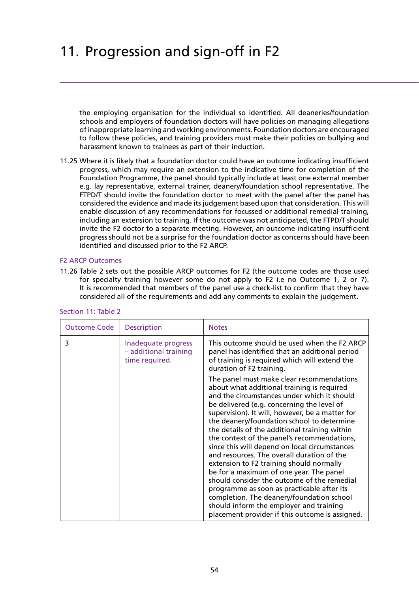the employing organisation for the individual so identified. All deaneries/foundation schools and employers of foundation doctors will have policies on managing allegations of inappropriate learning and working environments. Foundation doctors are encouraged to follow these policies, and training providers must make their policies on bullying and harassment known to trainees as part of their induction.

11.25 Where it is likely that a foundation doctor could have an outcome indicating insufficient progress, which may require an extension to the indicative time for completion of the Foundation Programme, the panel should typically include at least one external member e.g. lay representative, external trainer, deanery/foundation school representative. The FTPD/T should invite the foundation doctor to meet with the panel after the panel has considered the evidence and made its judgement based upon that consideration. This will enable discussion of any recommendations for focussed or additional remedial training, including an extension to training. If the outcome was not anticipated, the FTPD/T should invite the F2 doctor to a separate meeting. However, an outcome indicating insufficient progress should not be a surprise for the foundation doctor as concerns should have been identified and discussed prior to the F2 ARCP.

### F2 ARCP Outcomes

11.26 Table 2 sets out the possible ARCP outcomes for F2 (the outcome codes are those used for specialty training however some do not apply to F2 i.e no Outcome 1, 2 or 7). It is recommended that members of the panel use a check-list to confirm that they have considered all of the requirements and add any comments to explain the judgement.

| <b>Outcome Code</b> | <b>Description</b>                                             | <b>Notes</b>                                                                                                                                                                                                                                                                                                                                                                                                                                                                                                                                                                                                                                                                                                                                                                                                        |
|---------------------|----------------------------------------------------------------|---------------------------------------------------------------------------------------------------------------------------------------------------------------------------------------------------------------------------------------------------------------------------------------------------------------------------------------------------------------------------------------------------------------------------------------------------------------------------------------------------------------------------------------------------------------------------------------------------------------------------------------------------------------------------------------------------------------------------------------------------------------------------------------------------------------------|
| 3                   | Inadequate progress<br>- additional training<br>time required. | This outcome should be used when the F2 ARCP<br>panel has identified that an additional period<br>of training is required which will extend the<br>duration of F2 training.                                                                                                                                                                                                                                                                                                                                                                                                                                                                                                                                                                                                                                         |
|                     |                                                                | The panel must make clear recommendations<br>about what additional training is required<br>and the circumstances under which it should<br>be delivered (e.g. concerning the level of<br>supervision). It will, however, be a matter for<br>the deanery/foundation school to determine<br>the details of the additional training within<br>the context of the panel's recommendations,<br>since this will depend on local circumstances<br>and resources. The overall duration of the<br>extension to F2 training should normally<br>be for a maximum of one year. The panel<br>should consider the outcome of the remedial<br>programme as soon as practicable after its<br>completion. The deanery/foundation school<br>should inform the employer and training<br>placement provider if this outcome is assigned. |

### Section 11: Table 2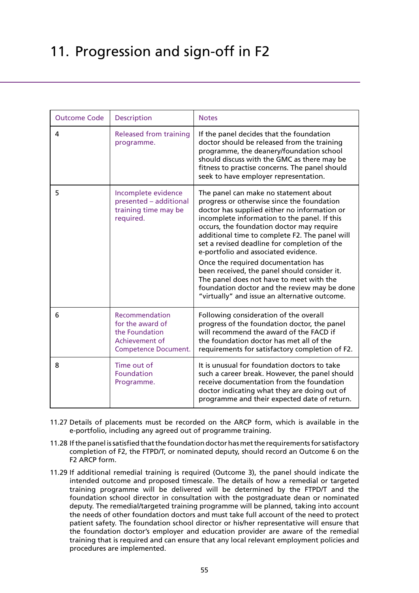| <b>Outcome Code</b> | <b>Description</b>                                                                                    | <b>Notes</b>                                                                                                                                                                                                                                                                                                                                                                                                                                                                                                                                                                                                   |
|---------------------|-------------------------------------------------------------------------------------------------------|----------------------------------------------------------------------------------------------------------------------------------------------------------------------------------------------------------------------------------------------------------------------------------------------------------------------------------------------------------------------------------------------------------------------------------------------------------------------------------------------------------------------------------------------------------------------------------------------------------------|
| 4                   | <b>Released from training</b><br>programme.                                                           | If the panel decides that the foundation<br>doctor should be released from the training<br>programme, the deanery/foundation school<br>should discuss with the GMC as there may be<br>fitness to practise concerns. The panel should<br>seek to have employer representation.                                                                                                                                                                                                                                                                                                                                  |
| 5                   | Incomplete evidence<br>presented - additional<br>training time may be<br>required.                    | The panel can make no statement about<br>progress or otherwise since the foundation<br>doctor has supplied either no information or<br>incomplete information to the panel. If this<br>occurs, the foundation doctor may require<br>additional time to complete F2. The panel will<br>set a revised deadline for completion of the<br>e-portfolio and associated evidence.<br>Once the required documentation has<br>been received, the panel should consider it.<br>The panel does not have to meet with the<br>foundation doctor and the review may be done<br>"virtually" and issue an alternative outcome. |
| 6                   | Recommendation<br>for the award of<br>the Foundation<br>Achievement of<br><b>Competence Document.</b> | Following consideration of the overall<br>progress of the foundation doctor, the panel<br>will recommend the award of the FACD if<br>the foundation doctor has met all of the<br>requirements for satisfactory completion of F2.                                                                                                                                                                                                                                                                                                                                                                               |
| 8                   | Time out of<br><b>Foundation</b><br>Programme.                                                        | It is unusual for foundation doctors to take<br>such a career break. However, the panel should<br>receive documentation from the foundation<br>doctor indicating what they are doing out of<br>programme and their expected date of return.                                                                                                                                                                                                                                                                                                                                                                    |

- 11.27 Details of placements must be recorded on the ARCP form, which is available in the e-portfolio, including any agreed out of programme training.
- 11.28 If the panel is satisfied that the foundation doctor has met the requirements for satisfactory completion of F2, the FTPD/T, or nominated deputy, should record an Outcome 6 on the F2 ARCP form.
- 11.29 If additional remedial training is required (Outcome 3), the panel should indicate the intended outcome and proposed timescale. The details of how a remedial or targeted training programme will be delivered will be determined by the FTPD/T and the foundation school director in consultation with the postgraduate dean or nominated deputy. The remedial/targeted training programme will be planned, taking into account the needs of other foundation doctors and must take full account of the need to protect patient safety. The foundation school director or his/her representative will ensure that the foundation doctor's employer and education provider are aware of the remedial training that is required and can ensure that any local relevant employment policies and procedures are implemented.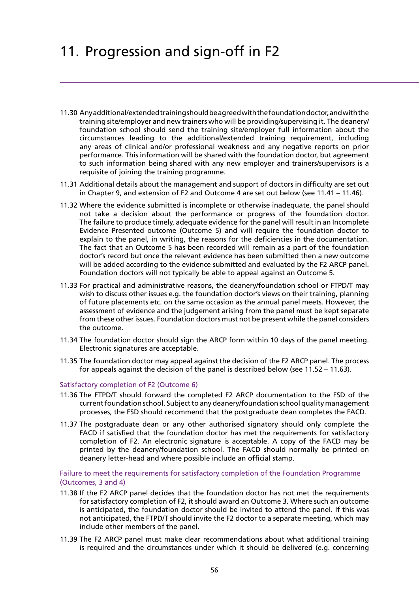- 11.30 Any additional/extended training should be agreed with the foundation doctor, and with the training site/employer and new trainers who will be providing/supervising it. The deanery/ foundation school should send the training site/employer full information about the circumstances leading to the additional/extended training requirement, including any areas of clinical and/or professional weakness and any negative reports on prior performance. This information will be shared with the foundation doctor, but agreement to such information being shared with any new employer and trainers/supervisors is a requisite of joining the training programme.
- 11.31 Additional details about the management and support of doctors in difficulty are set out in Chapter 9, and extension of F2 and Outcome 4 are set out below (see 11.41 – 11.46).
- 11.32 Where the evidence submitted is incomplete or otherwise inadequate, the panel should not take a decision about the performance or progress of the foundation doctor. The failure to produce timely, adequate evidence for the panel will result in an Incomplete Evidence Presented outcome (Outcome 5) and will require the foundation doctor to explain to the panel, in writing, the reasons for the deficiencies in the documentation. The fact that an Outcome 5 has been recorded will remain as a part of the foundation doctor's record but once the relevant evidence has been submitted then a new outcome will be added according to the evidence submitted and evaluated by the F2 ARCP panel. Foundation doctors will not typically be able to appeal against an Outcome 5.
- 11.33 For practical and administrative reasons, the deanery/foundation school or FTPD/T may wish to discuss other issues e.g. the foundation doctor's views on their training, planning of future placements etc. on the same occasion as the annual panel meets. However, the assessment of evidence and the judgement arising from the panel must be kept separate from these other issues. Foundation doctors must not be present while the panel considers the outcome.
- 11.34 The foundation doctor should sign the ARCP form within 10 days of the panel meeting. Electronic signatures are acceptable.
- 11.35 The foundation doctor may appeal against the decision of the F2 ARCP panel. The process for appeals against the decision of the panel is described below (see 11.52 – 11.63).

### Satisfactory completion of F2 (Outcome 6)

- 11.36 The FTPD/T should forward the completed F2 ARCP documentation to the FSD of the current foundation school. Subject to any deanery/foundation school quality management processes, the FSD should recommend that the postgraduate dean completes the FACD.
- 11.37 The postgraduate dean or any other authorised signatory should only complete the FACD if satisfied that the foundation doctor has met the requirements for satisfactory completion of F2. An electronic signature is acceptable. A copy of the FACD may be printed by the deanery/foundation school. The FACD should normally be printed on deanery letter-head and where possible include an official stamp.

Failure to meet the requirements for satisfactory completion of the Foundation Programme (Outcomes, 3 and 4)

- 11.38 If the F2 ARCP panel decides that the foundation doctor has not met the requirements for satisfactory completion of F2, it should award an Outcome 3. Where such an outcome is anticipated, the foundation doctor should be invited to attend the panel. If this was not anticipated, the FTPD/T should invite the F2 doctor to a separate meeting, which may include other members of the panel.
- 11.39 The F2 ARCP panel must make clear recommendations about what additional training is required and the circumstances under which it should be delivered (e.g. concerning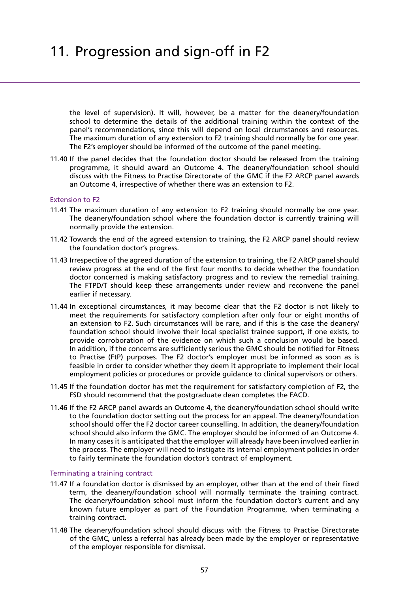the level of supervision). It will, however, be a matter for the deanery/foundation school to determine the details of the additional training within the context of the panel's recommendations, since this will depend on local circumstances and resources. The maximum duration of any extension to F2 training should normally be for one year. The F2's employer should be informed of the outcome of the panel meeting.

11.40 If the panel decides that the foundation doctor should be released from the training programme, it should award an Outcome 4. The deanery/foundation school should discuss with the Fitness to Practise Directorate of the GMC if the F2 ARCP panel awards an Outcome 4, irrespective of whether there was an extension to F2.

### Extension to F2

- 11.41 The maximum duration of any extension to F2 training should normally be one year. The deanery/foundation school where the foundation doctor is currently training will normally provide the extension.
- 11.42 Towards the end of the agreed extension to training, the F2 ARCP panel should review the foundation doctor's progress.
- 11.43 Irrespective of the agreed duration of the extension to training, the F2 ARCP panel should review progress at the end of the first four months to decide whether the foundation doctor concerned is making satisfactory progress and to review the remedial training. The FTPD/T should keep these arrangements under review and reconvene the panel earlier if necessary.
- 11.44 In exceptional circumstances, it may become clear that the F2 doctor is not likely to meet the requirements for satisfactory completion after only four or eight months of an extension to F2. Such circumstances will be rare, and if this is the case the deanery/ foundation school should involve their local specialist trainee support, if one exists, to provide corroboration of the evidence on which such a conclusion would be based. In addition, if the concerns are sufficiently serious the GMC should be notified for Fitness to Practise (FtP) purposes. The F2 doctor's employer must be informed as soon as is feasible in order to consider whether they deem it appropriate to implement their local employment policies or procedures or provide guidance to clinical supervisors or others.
- 11.45 If the foundation doctor has met the requirement for satisfactory completion of F2, the FSD should recommend that the postgraduate dean completes the FACD.
- 11.46 If the F2 ARCP panel awards an Outcome 4, the deanery/foundation school should write to the foundation doctor setting out the process for an appeal. The deanery/foundation school should offer the F2 doctor career counselling. In addition, the deanery/foundation school should also inform the GMC. The employer should be informed of an Outcome 4. In many cases it is anticipated that the employer will already have been involved earlier in the process. The employer will need to instigate its internal employment policies in order to fairly terminate the foundation doctor's contract of employment.

### Terminating a training contract

- 11.47 If a foundation doctor is dismissed by an employer, other than at the end of their fixed term, the deanery/foundation school will normally terminate the training contract. The deanery/foundation school must inform the foundation doctor's current and any known future employer as part of the Foundation Programme, when terminating a training contract.
- 11.48 The deanery/foundation school should discuss with the Fitness to Practise Directorate of the GMC, unless a referral has already been made by the employer or representative of the employer responsible for dismissal.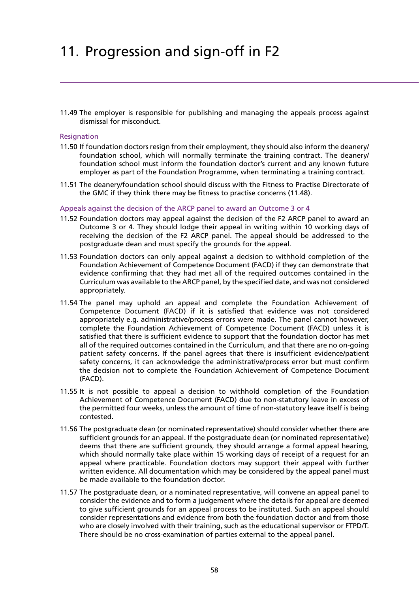11.49 The employer is responsible for publishing and managing the appeals process against dismissal for misconduct.

### **Resignation**

- 11.50 If foundation doctors resign from their employment, they should also inform the deanery/ foundation school, which will normally terminate the training contract. The deanery/ foundation school must inform the foundation doctor's current and any known future employer as part of the Foundation Programme, when terminating a training contract.
- 11.51 The deanery/foundation school should discuss with the Fitness to Practise Directorate of the GMC if they think there may be fitness to practise concerns (11.48).

#### Appeals against the decision of the ARCP panel to award an Outcome 3 or 4

- 11.52 Foundation doctors may appeal against the decision of the F2 ARCP panel to award an Outcome 3 or 4. They should lodge their appeal in writing within 10 working days of receiving the decision of the F2 ARCP panel. The appeal should be addressed to the postgraduate dean and must specify the grounds for the appeal.
- 11.53 Foundation doctors can only appeal against a decision to withhold completion of the Foundation Achievement of Competence Document (FACD) if they can demonstrate that evidence confirming that they had met all of the required outcomes contained in the Curriculum was available to the ARCP panel, by the specified date, and was not considered appropriately.
- 11.54 The panel may uphold an appeal and complete the Foundation Achievement of Competence Document (FACD) if it is satisfied that evidence was not considered appropriately e.g. administrative/process errors were made. The panel cannot however, complete the Foundation Achievement of Competence Document (FACD) unless it is satisfied that there is sufficient evidence to support that the foundation doctor has met all of the required outcomes contained in the Curriculum, and that there are no on-going patient safety concerns. If the panel agrees that there is insufficient evidence/patient safety concerns, it can acknowledge the administrative/process error but must confirm the decision not to complete the Foundation Achievement of Competence Document (FACD).
- 11.55 It is not possible to appeal a decision to withhold completion of the Foundation Achievement of Competence Document (FACD) due to non-statutory leave in excess of the permitted four weeks, unless the amount of time of non-statutory leave itself is being contested.
- 11.56 The postgraduate dean (or nominated representative) should consider whether there are sufficient grounds for an appeal. If the postgraduate dean (or nominated representative) deems that there are sufficient grounds, they should arrange a formal appeal hearing, which should normally take place within 15 working days of receipt of a request for an appeal where practicable. Foundation doctors may support their appeal with further written evidence. All documentation which may be considered by the appeal panel must be made available to the foundation doctor.
- 11.57 The postgraduate dean, or a nominated representative, will convene an appeal panel to consider the evidence and to form a judgement where the details for appeal are deemed to give sufficient grounds for an appeal process to be instituted. Such an appeal should consider representations and evidence from both the foundation doctor and from those who are closely involved with their training, such as the educational supervisor or FTPD/T. There should be no cross-examination of parties external to the appeal panel.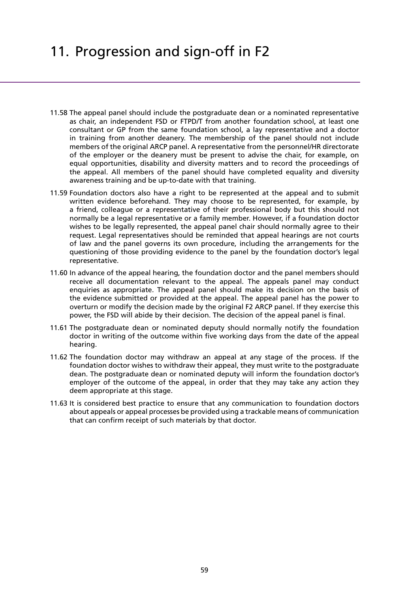- 11.58 The appeal panel should include the postgraduate dean or a nominated representative as chair, an independent FSD or FTPD/T from another foundation school, at least one consultant or GP from the same foundation school, a lay representative and a doctor in training from another deanery. The membership of the panel should not include members of the original ARCP panel. A representative from the personnel/HR directorate of the employer or the deanery must be present to advise the chair, for example, on equal opportunities, disability and diversity matters and to record the proceedings of the appeal. All members of the panel should have completed equality and diversity awareness training and be up-to-date with that training.
- 11.59 Foundation doctors also have a right to be represented at the appeal and to submit written evidence beforehand. They may choose to be represented, for example, by a friend, colleague or a representative of their professional body but this should not normally be a legal representative or a family member. However, if a foundation doctor wishes to be legally represented, the appeal panel chair should normally agree to their request. Legal representatives should be reminded that appeal hearings are not courts of law and the panel governs its own procedure, including the arrangements for the questioning of those providing evidence to the panel by the foundation doctor's legal representative.
- 11.60 In advance of the appeal hearing, the foundation doctor and the panel members should receive all documentation relevant to the appeal. The appeals panel may conduct enquiries as appropriate. The appeal panel should make its decision on the basis of the evidence submitted or provided at the appeal. The appeal panel has the power to overturn or modify the decision made by the original F2 ARCP panel. If they exercise this power, the FSD will abide by their decision. The decision of the appeal panel is final.
- 11.61 The postgraduate dean or nominated deputy should normally notify the foundation doctor in writing of the outcome within five working days from the date of the appeal hearing.
- 11.62 The foundation doctor may withdraw an appeal at any stage of the process. If the foundation doctor wishes to withdraw their appeal, they must write to the postgraduate dean. The postgraduate dean or nominated deputy will inform the foundation doctor's employer of the outcome of the appeal, in order that they may take any action they deem appropriate at this stage.
- 11.63 It is considered best practice to ensure that any communication to foundation doctors about appeals or appeal processes be provided using a trackable means of communication that can confirm receipt of such materials by that doctor.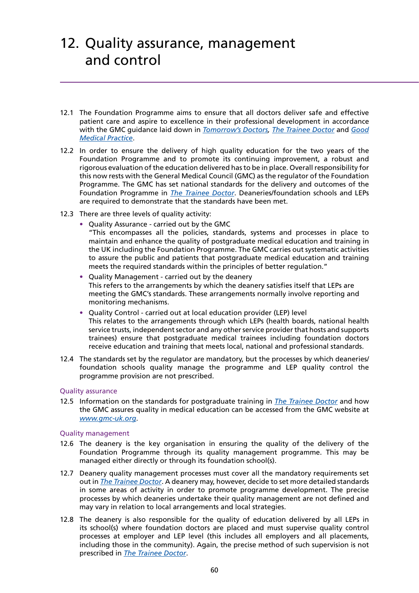- 12.1 The Foundation Programme aims to ensure that all doctors deliver safe and effective patient care and aspire to excellence in their professional development in accordance with the GMC guidance laid down in *[Tomorrow's Doctors,](http://www.gmc-uk.org/TomorrowsDoctors_2009.pdf_39260971.pdf) [The Trainee Doctor](http://www.gmc-uk.org/Trainee_Doctor.pdf_39274940.pdf)* and *[Good](http://www.gmc-uk.org/guidance/good_medical_practice.asp) [Medical Practice](http://www.gmc-uk.org/guidance/good_medical_practice.asp)*.
- 12.2 In order to ensure the delivery of high quality education for the two years of the Foundation Programme and to promote its continuing improvement, a robust and rigorous evaluation of the education delivered has to be in place. Overall responsibility for this now rests with the General Medical Council (GMC) as the regulator of the Foundation Programme. The GMC has set national standards for the delivery and outcomes of the Foundation Programme in *[The Trainee Doctor](http://www.gmc-uk.org/Trainee_Doctor.pdf_39274940.pdf)*. Deaneries/foundation schools and LEPs are required to demonstrate that the standards have been met.
- 12.3 There are three levels of quality activity:
	- **•** Quality Assurance carried out by the GMC
		- "This encompasses all the policies, standards, systems and processes in place to maintain and enhance the quality of postgraduate medical education and training in the UK including the Foundation Programme. The GMC carries out systematic activities to assure the public and patients that postgraduate medical education and training meets the required standards within the principles of better requiation."
	- **•** Quality Management carried out by the deanery This refers to the arrangements by which the deanery satisfies itself that LEPs are meeting the GMC's standards. These arrangements normally involve reporting and monitoring mechanisms.
	- **•** Quality Control carried out at local education provider (LEP) level This relates to the arrangements through which LEPs (health boards, national health service trusts, independent sector and any other service provider that hosts and supports trainees) ensure that postgraduate medical trainees including foundation doctors receive education and training that meets local, national and professional standards.
- 12.4 The standards set by the regulator are mandatory, but the processes by which deaneries/ foundation schools quality manage the programme and LEP quality control the programme provision are not prescribed.

## Quality assurance

12.5 Information on the standards for postgraduate training in *[The Trainee Doctor](http://www.gmc-uk.org/Trainee_Doctor.pdf_39274940.pdf)* and how the GMC assures quality in medical education can be accessed from the GMC website at *[www.gmc-uk.org](http://www.gmc-uk.org)*.

### Quality management

- 12.6 The deanery is the key organisation in ensuring the quality of the delivery of the Foundation Programme through its quality management programme. This may be managed either directly or through its foundation school(s).
- 12.7 Deanery quality management processes must cover all the mandatory requirements set out in *[The Trainee Doctor](http://www.gmc-uk.org/Trainee_Doctor.pdf_39274940.pdf)*. A deanery may, however, decide to set more detailed standards in some areas of activity in order to promote programme development. The precise processes by which deaneries undertake their quality management are not defined and may vary in relation to local arrangements and local strategies.
- 12.8 The deanery is also responsible for the quality of education delivered by all LEPs in its school(s) where foundation doctors are placed and must supervise quality control processes at employer and LEP level (this includes all employers and all placements, including those in the community). Again, the precise method of such supervision is not prescribed in *[The Trainee Doctor](http://www.gmc-uk.org/Trainee_Doctor.pdf_39274940.pdf)*.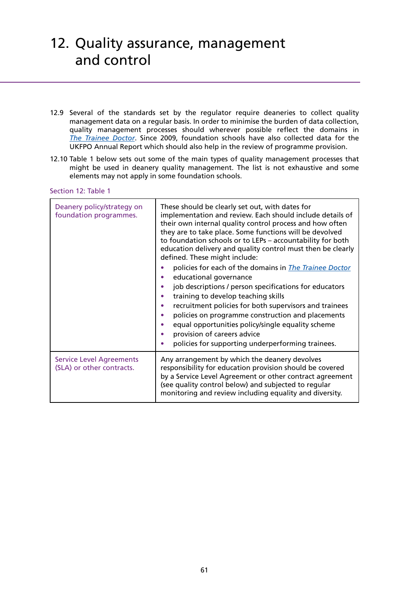- 12.9 Several of the standards set by the regulator require deaneries to collect quality management data on a regular basis. In order to minimise the burden of data collection, quality management processes should wherever possible reflect the domains in *[The Trainee Doctor](http://www.gmc-uk.org/Trainee_Doctor.pdf_39274940.pdf)*. Since 2009, foundation schools have also collected data for the UKFPO Annual Report which should also help in the review of programme provision.
- 12.10 Table 1 below sets out some of the main types of quality management processes that might be used in deanery quality management. The list is not exhaustive and some elements may not apply in some foundation schools.

#### Section 12: Table 1

| Deanery policy/strategy on<br>foundation programmes.         | These should be clearly set out, with dates for<br>implementation and review. Each should include details of<br>their own internal quality control process and how often<br>they are to take place. Some functions will be devolved<br>to foundation schools or to LEPs - accountability for both<br>education delivery and quality control must then be clearly<br>defined. These might include:                                                     |
|--------------------------------------------------------------|-------------------------------------------------------------------------------------------------------------------------------------------------------------------------------------------------------------------------------------------------------------------------------------------------------------------------------------------------------------------------------------------------------------------------------------------------------|
|                                                              | policies for each of the domains in <i>The Trainee Doctor</i><br>educational governance<br>job descriptions / person specifications for educators<br>training to develop teaching skills<br>recruitment policies for both supervisors and trainees<br>policies on programme construction and placements<br>٠<br>equal opportunities policy/single equality scheme<br>provision of careers advice<br>policies for supporting underperforming trainees. |
| <b>Service Level Agreements</b><br>(SLA) or other contracts. | Any arrangement by which the deanery devolves<br>responsibility for education provision should be covered<br>by a Service Level Agreement or other contract agreement<br>(see quality control below) and subjected to regular<br>monitoring and review including equality and diversity.                                                                                                                                                              |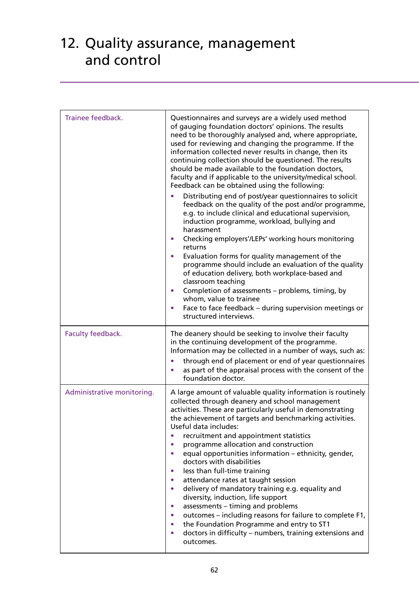| Trainee feedback.          | Questionnaires and surveys are a widely used method<br>of gauging foundation doctors' opinions. The results<br>need to be thoroughly analysed and, where appropriate,<br>used for reviewing and changing the programme. If the<br>information collected never results in change, then its<br>continuing collection should be questioned. The results<br>should be made available to the foundation doctors,<br>faculty and if applicable to the university/medical school.<br>Feedback can be obtained using the following:<br>Distributing end of post/year questionnaires to solicit<br>feedback on the quality of the post and/or programme,<br>e.g. to include clinical and educational supervision,<br>induction programme, workload, bullying and<br>harassment<br>Checking employers'/LEPs' working hours monitoring<br>returns<br>Evaluation forms for quality management of the<br>programme should include an evaluation of the quality<br>of education delivery, both workplace-based and<br>classroom teaching<br>Completion of assessments - problems, timing, by<br>whom, value to trainee<br>Face to face feedback - during supervision meetings or<br>structured interviews. |
|----------------------------|----------------------------------------------------------------------------------------------------------------------------------------------------------------------------------------------------------------------------------------------------------------------------------------------------------------------------------------------------------------------------------------------------------------------------------------------------------------------------------------------------------------------------------------------------------------------------------------------------------------------------------------------------------------------------------------------------------------------------------------------------------------------------------------------------------------------------------------------------------------------------------------------------------------------------------------------------------------------------------------------------------------------------------------------------------------------------------------------------------------------------------------------------------------------------------------------|
| Faculty feedback.          | The deanery should be seeking to involve their faculty<br>in the continuing development of the programme.<br>Information may be collected in a number of ways, such as:<br>through end of placement or end of year questionnaires<br>as part of the appraisal process with the consent of the<br>foundation doctor.                                                                                                                                                                                                                                                                                                                                                                                                                                                                                                                                                                                                                                                                                                                                                                                                                                                                          |
| Administrative monitoring. | A large amount of valuable quality information is routinely<br>collected through deanery and school management<br>activities. These are particularly useful in demonstrating<br>the achievement of targets and benchmarking activities.<br>Useful data includes:<br>recruitment and appointment statistics<br>programme allocation and construction<br>equal opportunities information - ethnicity, gender,<br>$\bullet$<br>doctors with disabilities<br>less than full-time training<br>$\bullet$<br>attendance rates at taught session<br>$\bullet$<br>delivery of mandatory training e.g. equality and<br>$\bullet$<br>diversity, induction, life support<br>assessments - timing and problems<br>$\bullet$<br>outcomes - including reasons for failure to complete F1,<br>the Foundation Programme and entry to ST1<br>doctors in difficulty – numbers, training extensions and<br>outcomes.                                                                                                                                                                                                                                                                                             |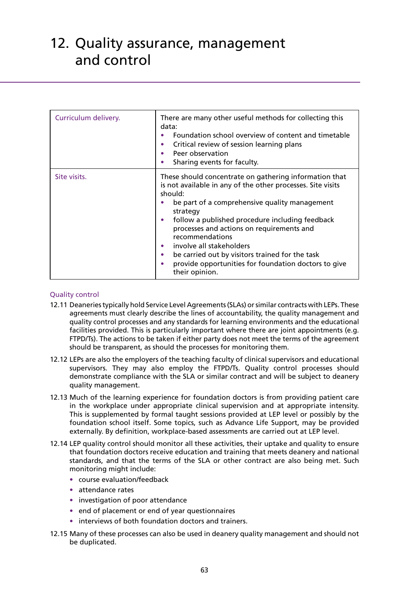| Curriculum delivery. | There are many other useful methods for collecting this<br>data:<br>Foundation school overview of content and timetable<br>Critical review of session learning plans<br>$\bullet$<br>Peer observation<br>Sharing events for faculty.                                                                                                                                                                                                                                                                                  |
|----------------------|-----------------------------------------------------------------------------------------------------------------------------------------------------------------------------------------------------------------------------------------------------------------------------------------------------------------------------------------------------------------------------------------------------------------------------------------------------------------------------------------------------------------------|
| Site visits.         | These should concentrate on gathering information that<br>is not available in any of the other processes. Site visits<br>should:<br>be part of a comprehensive quality management<br>strategy<br>follow a published procedure including feedback<br>$\bullet$<br>processes and actions on requirements and<br>recommendations<br>involve all stakeholders<br>$\bullet$<br>be carried out by visitors trained for the task<br>$\bullet$<br>provide opportunities for foundation doctors to give<br>٠<br>their opinion. |

## Quality control

- 12.11 Deaneries typically hold Service Level Agreements (SLAs) or similar contracts with LEPs. These agreements must clearly describe the lines of accountability, the quality management and quality control processes and any standards for learning environments and the educational facilities provided. This is particularly important where there are joint appointments (e.g. FTPD/Ts). The actions to be taken if either party does not meet the terms of the agreement should be transparent, as should the processes for monitoring them.
- 12.12 LEPs are also the employers of the teaching faculty of clinical supervisors and educational supervisors. They may also employ the FTPD/Ts. Quality control processes should demonstrate compliance with the SLA or similar contract and will be subject to deanery quality management.
- 12.13 Much of the learning experience for foundation doctors is from providing patient care in the workplace under appropriate clinical supervision and at appropriate intensity. This is supplemented by formal taught sessions provided at LEP level or possibly by the foundation school itself. Some topics, such as Advance Life Support, may be provided externally. By definition, workplace-based assessments are carried out at LEP level.
- 12.14 LEP quality control should monitor all these activities, their uptake and quality to ensure that foundation doctors receive education and training that meets deanery and national standards, and that the terms of the SLA or other contract are also being met. Such monitoring might include:
	- **•** course evaluation/feedback
	- **•** attendance rates
	- **•** investigation of poor attendance
	- end of placement or end of year questionnaires
	- **•** interviews of both foundation doctors and trainers.
- 12.15 Many of these processes can also be used in deanery quality management and should not be duplicated.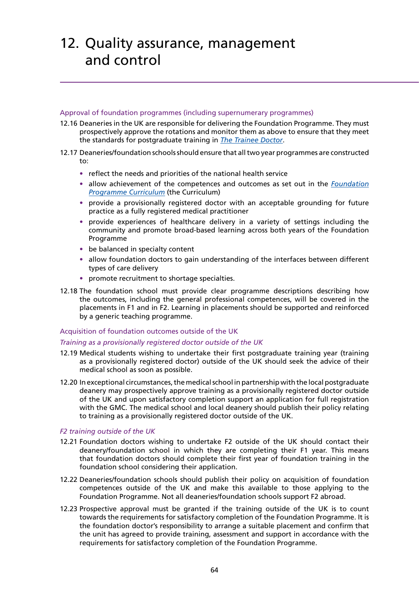### Approval of foundation programmes (including supernumerary programmes)

- 12.16 Deaneries in the UK are responsible for delivering the Foundation Programme. They must prospectively approve the rotations and monitor them as above to ensure that they meet the standards for postgraduate training in *[The Trainee Doctor](http://www.gmc-uk.org/Trainee_Doctor.pdf_39274940.pdf)*.
- 12.17 Deaneries/foundation schools should ensure that all two year programmes are constructed to:
	- **•** reflect the needs and priorities of the national health service
	- **•** allow achievement of the competences and outcomes as set out in the *[Foundation](http://www.foundationprogramme.nhs.uk/download.asp?file=FP_Curriculum_2012_WEB_FINAL.PDF) [Programme Curriculum](http://www.foundationprogramme.nhs.uk/download.asp?file=FP_Curriculum_2012_WEB_FINAL.PDF)* (the Curriculum)
	- **•** provide a provisionally registered doctor with an acceptable grounding for future practice as a fully registered medical practitioner
	- **•** provide experiences of healthcare delivery in a variety of settings including the community and promote broad-based learning across both years of the Foundation Programme
	- be balanced in specialty content
	- **•** allow foundation doctors to gain understanding of the interfaces between different types of care delivery
	- **•** promote recruitment to shortage specialties.
- 12.18 The foundation school must provide clear programme descriptions describing how the outcomes, including the general professional competences, will be covered in the placements in F1 and in F2. Learning in placements should be supported and reinforced by a generic teaching programme.

## Acquisition of foundation outcomes outside of the UK

## *Training as a provisionally registered doctor outside of the UK*

- 12.19 Medical students wishing to undertake their first postgraduate training year (training as a provisionally registered doctor) outside of the UK should seek the advice of their medical school as soon as possible.
- 12.20 In exceptional circumstances, the medical school in partnership with the local postgraduate deanery may prospectively approve training as a provisionally registered doctor outside of the UK and upon satisfactory completion support an application for full registration with the GMC. The medical school and local deanery should publish their policy relating to training as a provisionally registered doctor outside of the UK.

## *F2 training outside of the UK*

- 12.21 Foundation doctors wishing to undertake F2 outside of the UK should contact their deanery/foundation school in which they are completing their F1 year. This means that foundation doctors should complete their first year of foundation training in the foundation school considering their application.
- 12.22 Deaneries/foundation schools should publish their policy on acquisition of foundation competences outside of the UK and make this available to those applying to the Foundation Programme. Not all deaneries/foundation schools support F2 abroad.
- 12.23 Prospective approval must be granted if the training outside of the UK is to count towards the requirements for satisfactory completion of the Foundation Programme. It is the foundation doctor's responsibility to arrange a suitable placement and confirm that the unit has agreed to provide training, assessment and support in accordance with the requirements for satisfactory completion of the Foundation Programme.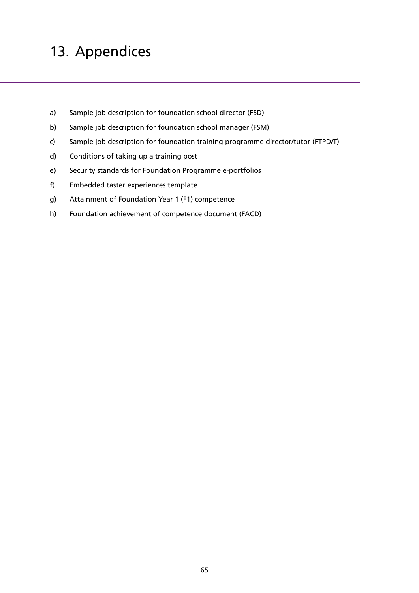# 13. Appendices

- a) Sample job description for foundation school director (FSD)
- b) Sample job description for foundation school manager (FSM)
- c) Sample job description for foundation training programme director/tutor (FTPD/T)
- d) Conditions of taking up a training post
- e) Security standards for Foundation Programme e-portfolios
- f) Embedded taster experiences template
- g) Attainment of Foundation Year 1 (F1) competence
- h) Foundation achievement of competence document (FACD)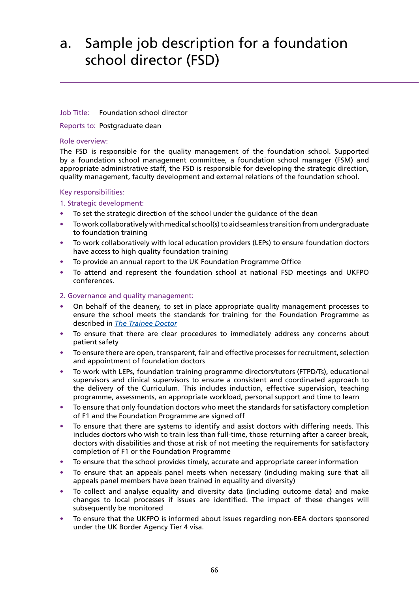# a. Sample job description for a foundation school director (FSD)

## Job Title: Foundation school director

Reports to: Postgraduate dean

## Role overview:

The FSD is responsible for the quality management of the foundation school. Supported by a foundation school management committee, a foundation school manager (FSM) and appropriate administrative staff, the FSD is responsible for developing the strategic direction, quality management, faculty development and external relations of the foundation school.

## Key responsibilities:

## 1. Strategic development:

- **•** To set the strategic direction of the school under the guidance of the dean
- **•** To work collaboratively with medical school(s) to aid seamless transition from undergraduate to foundation training
- **•** To work collaboratively with local education providers (LEPs) to ensure foundation doctors have access to high quality foundation training
- **•** To provide an annual report to the UK Foundation Programme Office
- **•** To attend and represent the foundation school at national FSD meetings and UKFPO conferences.

## 2. Governance and quality management:

- **•** On behalf of the deanery, to set in place appropriate quality management processes to ensure the school meets the standards for training for the Foundation Programme as described in *[The Trainee Doctor](http://www.gmc-uk.org/Trainee_Doctor.pdf_39274940.pdf)*
- **•** To ensure that there are clear procedures to immediately address any concerns about patient safety
- **•** To ensure there are open, transparent, fair and effective processes for recruitment, selection and appointment of foundation doctors
- **•** To work with LEPs, foundation training programme directors/tutors (FTPD/Ts), educational supervisors and clinical supervisors to ensure a consistent and coordinated approach to the delivery of the Curriculum. This includes induction, effective supervision, teaching programme, assessments, an appropriate workload, personal support and time to learn
- **•** To ensure that only foundation doctors who meet the standards for satisfactory completion of F1 and the Foundation Programme are signed off
- **•** To ensure that there are systems to identify and assist doctors with differing needs. This includes doctors who wish to train less than full-time, those returning after a career break, doctors with disabilities and those at risk of not meeting the requirements for satisfactory completion of F1 or the Foundation Programme
- **•** To ensure that the school provides timely, accurate and appropriate career information
- **•** To ensure that an appeals panel meets when necessary (including making sure that all appeals panel members have been trained in equality and diversity)
- **•** To collect and analyse equality and diversity data (including outcome data) and make changes to local processes if issues are identified. The impact of these changes will subsequently be monitored
- **•** To ensure that the UKFPO is informed about issues regarding non-EEA doctors sponsored under the UK Border Agency Tier 4 visa.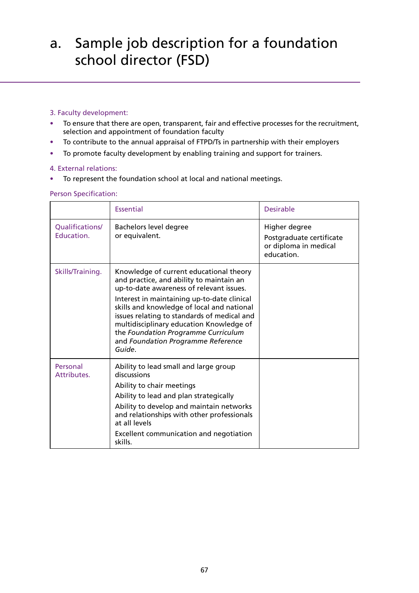# a. Sample job description for a foundation school director (FSD)

## 3. Faculty development:

- **•** To ensure that there are open, transparent, fair and effective processes for the recruitment, selection and appointment of foundation faculty
- **•** To contribute to the annual appraisal of FTPD/Ts in partnership with their employers
- **•** To promote faculty development by enabling training and support for trainers.

## 4. External relations:

**•** To represent the foundation school at local and national meetings.

## Person Specification:

|                               | <b>Essential</b>                                                                                                                                                                                                                                                                                                                                                                                               | Desirable                                                                        |
|-------------------------------|----------------------------------------------------------------------------------------------------------------------------------------------------------------------------------------------------------------------------------------------------------------------------------------------------------------------------------------------------------------------------------------------------------------|----------------------------------------------------------------------------------|
| Qualifications/<br>Education. | Bachelors level degree<br>or equivalent.                                                                                                                                                                                                                                                                                                                                                                       | Higher degree<br>Postgraduate certificate<br>or diploma in medical<br>education. |
| Skills/Training.              | Knowledge of current educational theory<br>and practice, and ability to maintain an<br>up-to-date awareness of relevant issues.<br>Interest in maintaining up-to-date clinical<br>skills and knowledge of local and national<br>issues relating to standards of medical and<br>multidisciplinary education Knowledge of<br>the Foundation Programme Curriculum<br>and Foundation Programme Reference<br>Guide. |                                                                                  |
| Personal<br>Attributes.       | Ability to lead small and large group<br>discussions<br>Ability to chair meetings<br>Ability to lead and plan strategically<br>Ability to develop and maintain networks<br>and relationships with other professionals<br>at all levels<br>Excellent communication and negotiation<br>skills.                                                                                                                   |                                                                                  |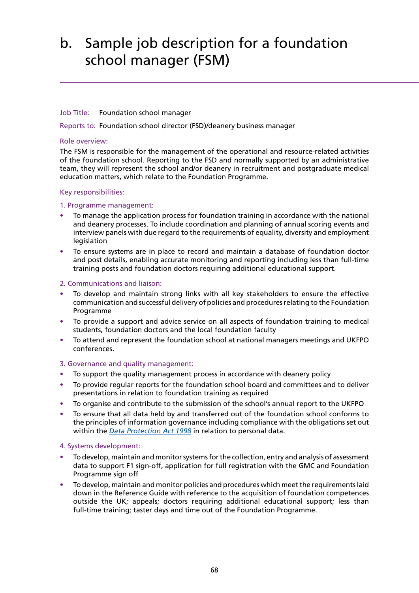# b. Sample job description for a foundation school manager (FSM)

## Job Title: Foundation school manager

Reports to: Foundation school director (FSD)/deanery business manager

### Role overview:

The FSM is responsible for the management of the operational and resource-related activities of the foundation school. Reporting to the FSD and normally supported by an administrative team, they will represent the school and/or deanery in recruitment and postgraduate medical education matters, which relate to the Foundation Programme.

## Key responsibilities:

## 1. Programme management:

- **•** To manage the application process for foundation training in accordance with the national and deanery processes. To include coordination and planning of annual scoring events and interview panels with due regard to the requirements of equality, diversity and employment legislation
- **•** To ensure systems are in place to record and maintain a database of foundation doctor and post details, enabling accurate monitoring and reporting including less than full-time training posts and foundation doctors requiring additional educational support.

## 2. Communications and liaison:

- **•** To develop and maintain strong links with all key stakeholders to ensure the effective communication and successful delivery of policies and procedures relating to the Foundation Programme
- **•** To provide a support and advice service on all aspects of foundation training to medical students, foundation doctors and the local foundation faculty
- **•** To attend and represent the foundation school at national managers meetings and UKFPO conferences.

## 3. Governance and quality management:

- **•** To support the quality management process in accordance with deanery policy
- **•** To provide regular reports for the foundation school board and committees and to deliver presentations in relation to foundation training as required
- **•** To organise and contribute to the submission of the school's annual report to the UKFPO
- **•** To ensure that all data held by and transferred out of the foundation school conforms to the principles of information governance including compliance with the obligations set out within the *[Data Protection Act 1998](http://www.legislation.gov.uk/ukpga/1998/29/contents)* in relation to personal data.

## 4. Systems development:

- **•** To develop, maintain and monitor systems for the collection, entry and analysis of assessment data to support F1 sign-off, application for full registration with the GMC and Foundation Programme sign off
- **•** To develop, maintain and monitor policies and procedures which meet the requirements laid down in the Reference Guide with reference to the acquisition of foundation competences outside the UK; appeals; doctors requiring additional educational support; less than full-time training; taster days and time out of the Foundation Programme.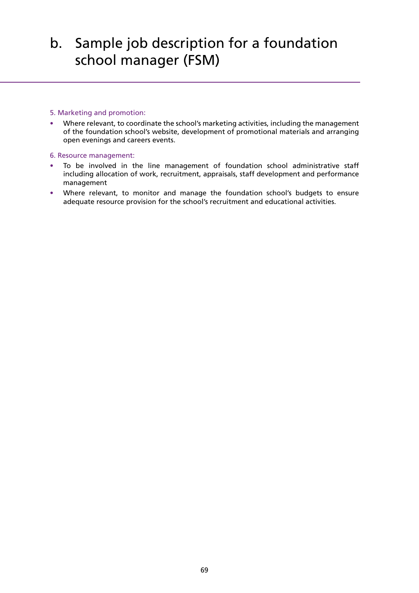# b. Sample job description for a foundation school manager (FSM)

### 5. Marketing and promotion:

**•** Where relevant, to coordinate the school's marketing activities, including the management of the foundation school's website, development of promotional materials and arranging open evenings and careers events.

### 6. Resource management:

- **•** To be involved in the line management of foundation school administrative staff including allocation of work, recruitment, appraisals, staff development and performance management
- **•** Where relevant, to monitor and manage the foundation school's budgets to ensure adequate resource provision for the school's recruitment and educational activities.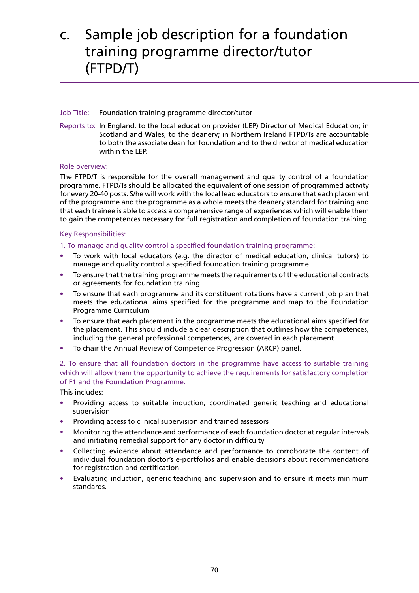# c. Sample job description for a foundation training programme director/tutor (FTPD/T)

## Job Title: Foundation training programme director/tutor

Reports to: In England, to the local education provider (LEP) Director of Medical Education; in Scotland and Wales, to the deanery; in Northern Ireland FTPD/Ts are accountable to both the associate dean for foundation and to the director of medical education within the LEP.

## Role overview:

The FTPD/T is responsible for the overall management and quality control of a foundation programme. FTPD/Ts should be allocated the equivalent of one session of programmed activity for every 20-40 posts. S/he will work with the local lead educators to ensure that each placement of the programme and the programme as a whole meets the deanery standard for training and that each trainee is able to access a comprehensive range of experiences which will enable them to gain the competences necessary for full registration and completion of foundation training.

## Key Responsibilities:

1. To manage and quality control a specified foundation training programme:

- **•** To work with local educators (e.g. the director of medical education, clinical tutors) to manage and quality control a specified foundation training programme
- **•** To ensure that the training programme meets the requirements of the educational contracts or agreements for foundation training
- **•** To ensure that each programme and its constituent rotations have a current job plan that meets the educational aims specified for the programme and map to the Foundation Programme Curriculum
- **•** To ensure that each placement in the programme meets the educational aims specified for the placement. This should include a clear description that outlines how the competences, including the general professional competences, are covered in each placement
- **•** To chair the Annual Review of Competence Progression (ARCP) panel.

2. To ensure that all foundation doctors in the programme have access to suitable training which will allow them the opportunity to achieve the requirements for satisfactory completion of F1 and the Foundation Programme.

This includes:

- **•** Providing access to suitable induction, coordinated generic teaching and educational supervision
- **•** Providing access to clinical supervision and trained assessors
- **•** Monitoring the attendance and performance of each foundation doctor at regular intervals and initiating remedial support for any doctor in difficulty
- **•** Collecting evidence about attendance and performance to corroborate the content of individual foundation doctor's e-portfolios and enable decisions about recommendations for registration and certification
- **•** Evaluating induction, generic teaching and supervision and to ensure it meets minimum standards.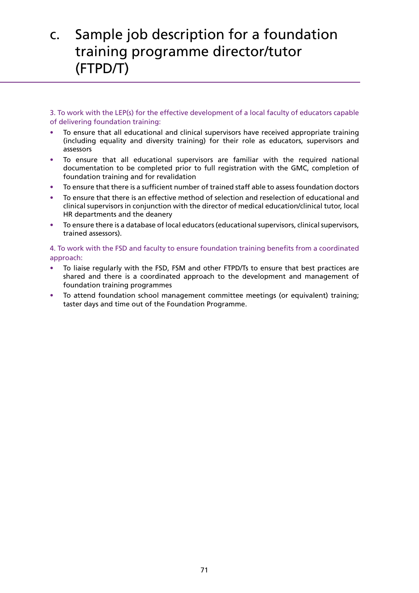# c. Sample job description for a foundation training programme director/tutor (FTPD/T)

3. To work with the LEP(s) for the effective development of a local faculty of educators capable of delivering foundation training:

- **•** To ensure that all educational and clinical supervisors have received appropriate training (including equality and diversity training) for their role as educators, supervisors and assessors
- **•** To ensure that all educational supervisors are familiar with the required national documentation to be completed prior to full registration with the GMC, completion of foundation training and for revalidation
- **•** To ensure that there is a sufficient number of trained staff able to assess foundation doctors
- **•** To ensure that there is an effective method of selection and reselection of educational and clinical supervisors in conjunction with the director of medical education/clinical tutor, local HR departments and the deanery
- **•** To ensure there is a database of local educators (educational supervisors, clinical supervisors, trained assessors).

4. To work with the FSD and faculty to ensure foundation training benefits from a coordinated approach:

- **•** To liaise regularly with the FSD, FSM and other FTPD/Ts to ensure that best practices are shared and there is a coordinated approach to the development and management of foundation training programmes
- **•** To attend foundation school management committee meetings (or equivalent) training; taster days and time out of the Foundation Programme.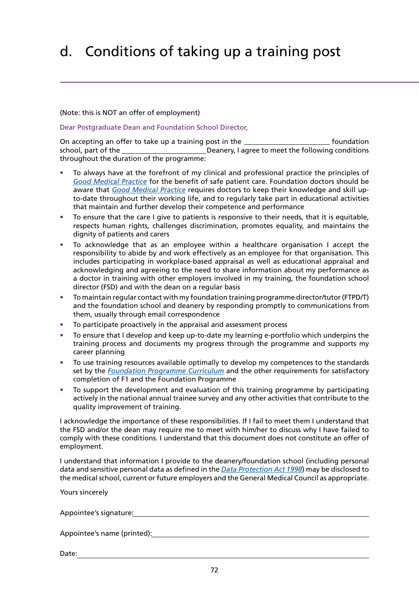# d. Conditions of taking up a training post

### (Note: this is NOT an offer of employment)

Dear Postgraduate Dean and Foundation School Director,

On accepting an offer to take up a training post in the **Foundation** foundation school, part of the **Deanery, I agree to meet the following conditions** throughout the duration of the programme:

- **•** To always have at the forefront of my clinical and professional practice the principles of *[Good Medical Practice](http://www.gmc-uk.org/guidance/good_medical_practice.asp)* for the benefit of safe patient care. Foundation doctors should be aware that *[Good Medical Practice](http://www.gmc-uk.org/guidance/good_medical_practice.asp)* requires doctors to keep their knowledge and skill upto-date throughout their working life, and to regularly take part in educational activities that maintain and further develop their competence and performance
- **•** To ensure that the care I give to patients is responsive to their needs, that it is equitable, respects human rights, challenges discrimination, promotes equality, and maintains the dignity of patients and carers
- **•** To acknowledge that as an employee within a healthcare organisation I accept the responsibility to abide by and work effectively as an employee for that organisation. This includes participating in workplace-based appraisal as well as educational appraisal and acknowledging and agreeing to the need to share information about my performance as a doctor in training with other employers involved in my training, the foundation school director (FSD) and with the dean on a regular basis
- **•** To maintain regular contact with my foundation training programme director/tutor (FTPD/T) and the foundation school and deanery by responding promptly to communications from them, usually through email correspondence
- **•** To participate proactively in the appraisal and assessment process
- **•** To ensure that I develop and keep up-to-date my learning e-portfolio which underpins the training process and documents my progress through the programme and supports my career planning
- **•** To use training resources available optimally to develop my competences to the standards set by the *[Foundation Programme Curriculum](http://www.foundationprogramme.nhs.uk/download.asp?file=FP_Curriculum_2012_WEB_FINAL.PDF)* and the other requirements for satisfactory completion of F1 and the Foundation Programme
- **•** To support the development and evaluation of this training programme by participating actively in the national annual trainee survey and any other activities that contribute to the quality improvement of training.

I acknowledge the importance of these responsibilities. If I fail to meet them I understand that the FSD and/or the dean may require me to meet with him/her to discuss why I have failed to comply with these conditions. I understand that this document does not constitute an offer of employment.

I understand that information I provide to the deanery/foundation school (including personal data and sensitive personal data as defined in the *[Data Protection Act 1998](http://www.legislation.gov.uk/ukpga/1998/29/contents)*) may be disclosed to the medical school, current or future employers and the General Medical Council as appropriate.

Yours sincerely

Appointee's signature:

Appointee's name (printed):

Date: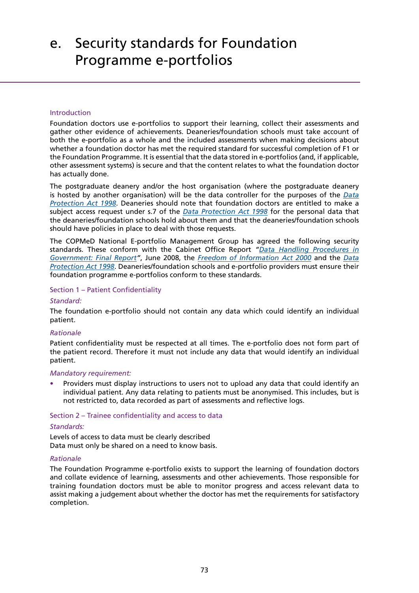# e. Security standards for Foundation Programme e-portfolios

### Introduction

Foundation doctors use e-portfolios to support their learning, collect their assessments and gather other evidence of achievements. Deaneries/foundation schools must take account of both the e-portfolio as a whole and the included assessments when making decisions about whether a foundation doctor has met the required standard for successful completion of F1 or the Foundation Programme. It is essential that the data stored in e-portfolios (and, if applicable, other assessment systems) is secure and that the content relates to what the foundation doctor has actually done.

The postgraduate deanery and/or the host organisation (where the postgraduate deanery is hosted by another organisation) will be the data controller for the purposes of the *[Data](http://www.legislation.gov.uk/ukpga/1998/29/contents) [Protection Act 1998](http://www.legislation.gov.uk/ukpga/1998/29/contents)*. Deaneries should note that foundation doctors are entitled to make a subject access request under s.7 of the *[Data Protection Act 1998](http://www.legislation.gov.uk/ukpga/1998/29/contents)* for the personal data that the deaneries/foundation schools hold about them and that the deaneries/foundation schools should have policies in place to deal with those requests.

The COPMeD National E-portfolio Management Group has agreed the following security standards. These conform with the Cabinet Office Report *["Data Handling Procedures in](http://www.cabinetoffice.gov.uk/sites/default/files/resources/final-report.pdf) [Government: Final Report](http://www.cabinetoffice.gov.uk/sites/default/files/resources/final-report.pdf)"*, June 2008, the *[Freedom of Information Act 2000](http://www.legislation.gov.uk/ukpga/2000/36/contents)* and the *[Data](http://www.legislation.gov.uk/ukpga/1998/29/contents) [Protection Act 1998](http://www.legislation.gov.uk/ukpga/1998/29/contents)*. Deaneries/foundation schools and e-portfolio providers must ensure their foundation programme e-portfolios conform to these standards.

### Section 1 – Patient Confidentiality

## *Standard:*

The foundation e-portfolio should not contain any data which could identify an individual patient.

## *Rationale*

Patient confidentiality must be respected at all times. The e-portfolio does not form part of the patient record. Therefore it must not include any data that would identify an individual patient.

### *Mandatory requirement:*

**•** Providers must display instructions to users not to upload any data that could identify an individual patient. Any data relating to patients must be anonymised. This includes, but is not restricted to, data recorded as part of assessments and reflective logs.

### Section 2 – Trainee confidentiality and access to data

### *Standards:*

Levels of access to data must be clearly described Data must only be shared on a need to know basis.

### *Rationale*

The Foundation Programme e-portfolio exists to support the learning of foundation doctors and collate evidence of learning, assessments and other achievements. Those responsible for training foundation doctors must be able to monitor progress and access relevant data to assist making a judgement about whether the doctor has met the requirements for satisfactory completion.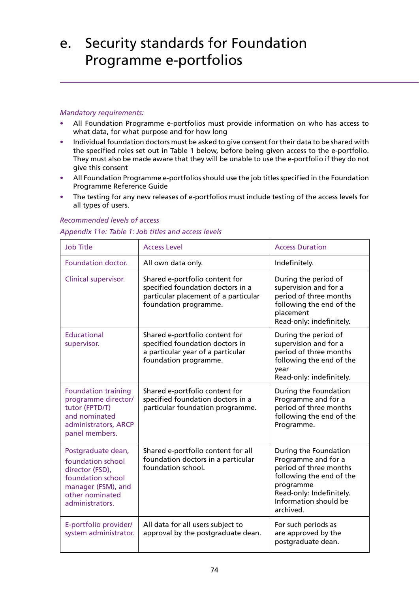# e. Security standards for Foundation Programme e-portfolios

#### *Mandatory requirements:*

- **•** All Foundation Programme e-portfolios must provide information on who has access to what data, for what purpose and for how long
- **•** Individual foundation doctors must be asked to give consent for their data to be shared with the specified roles set out in Table 1 below, before being given access to the e-portfolio. They must also be made aware that they will be unable to use the e-portfolio if they do not give this consent
- **•** All Foundation Programme e-portfolios should use the job titles specified in the Foundation Programme Reference Guide
- **•** The testing for any new releases of e-portfolios must include testing of the access levels for all types of users.

| <b>Job Title</b>                                                                                                                            | <b>Access Level</b>                                                                                                                  | <b>Access Duration</b>                                                                                                                                                            |
|---------------------------------------------------------------------------------------------------------------------------------------------|--------------------------------------------------------------------------------------------------------------------------------------|-----------------------------------------------------------------------------------------------------------------------------------------------------------------------------------|
| <b>Foundation doctor.</b>                                                                                                                   | All own data only.                                                                                                                   | Indefinitely.                                                                                                                                                                     |
| Clinical supervisor.                                                                                                                        | Shared e-portfolio content for<br>specified foundation doctors in a<br>particular placement of a particular<br>foundation programme. | During the period of<br>supervision and for a<br>period of three months<br>following the end of the<br>placement<br>Read-only: indefinitely.                                      |
| <b>Educational</b><br>supervisor.                                                                                                           | Shared e-portfolio content for<br>specified foundation doctors in<br>a particular year of a particular<br>foundation programme.      | During the period of<br>supervision and for a<br>period of three months<br>following the end of the<br>year<br>Read-only: indefinitely.                                           |
| <b>Foundation training</b><br>programme director/<br>tutor (FPTD/T)<br>and nominated<br>administrators, ARCP<br>panel members.              | Shared e-portfolio content for<br>specified foundation doctors in a<br>particular foundation programme.                              | During the Foundation<br>Programme and for a<br>period of three months<br>following the end of the<br>Programme.                                                                  |
| Postgraduate dean,<br>foundation school<br>director (FSD),<br>foundation school<br>manager (FSM), and<br>other nominated<br>administrators. | Shared e-portfolio content for all<br>foundation doctors in a particular<br>foundation school.                                       | During the Foundation<br>Programme and for a<br>period of three months<br>following the end of the<br>programme<br>Read-only: Indefinitely.<br>Information should be<br>archived. |
| E-portfolio provider/<br>system administrator.                                                                                              | All data for all users subject to<br>approval by the postgraduate dean.                                                              | For such periods as<br>are approved by the<br>postgraduate dean.                                                                                                                  |

#### *Recommended levels of access*

#### *Appendix 11e: Table 1: Job titles and access levels*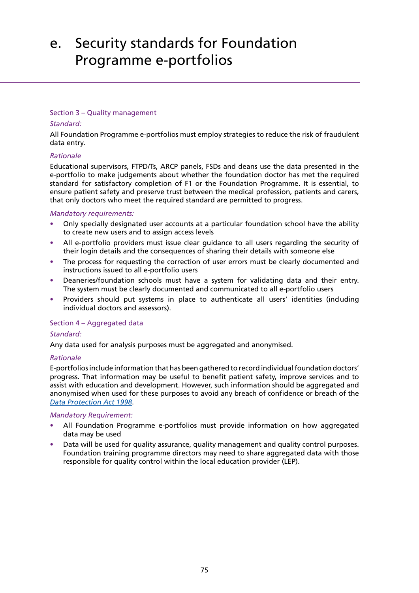# e. Security standards for Foundation Programme e-portfolios

#### Section 3 – Quality management

#### *Standard:*

All Foundation Programme e-portfolios must employ strategies to reduce the risk of fraudulent data entry.

#### *Rationale*

Educational supervisors, FTPD/Ts, ARCP panels, FSDs and deans use the data presented in the e-portfolio to make judgements about whether the foundation doctor has met the required standard for satisfactory completion of F1 or the Foundation Programme. It is essential, to ensure patient safety and preserve trust between the medical profession, patients and carers, that only doctors who meet the required standard are permitted to progress.

#### *Mandatory requirements:*

- **•** Only specially designated user accounts at a particular foundation school have the ability to create new users and to assign access levels
- **•** All e-portfolio providers must issue clear guidance to all users regarding the security of their login details and the consequences of sharing their details with someone else
- **•** The process for requesting the correction of user errors must be clearly documented and instructions issued to all e-portfolio users
- **•** Deaneries/foundation schools must have a system for validating data and their entry. The system must be clearly documented and communicated to all e-portfolio users
- **•** Providers should put systems in place to authenticate all users' identities (including individual doctors and assessors).

#### Section 4 – Aggregated data

#### *Standard:*

Any data used for analysis purposes must be aggregated and anonymised.

#### *Rationale*

E-portfolios include information that has been gathered to record individual foundation doctors' progress. That information may be useful to benefit patient safety, improve services and to assist with education and development. However, such information should be aggregated and anonymised when used for these purposes to avoid any breach of confidence or breach of the *[Data Protection Act 1998](http://www.legislation.gov.uk/ukpga/1998/29/contents)*.

#### *Mandatory Requirement:*

- **•** All Foundation Programme e-portfolios must provide information on how aggregated data may be used
- **•** Data will be used for quality assurance, quality management and quality control purposes. Foundation training programme directors may need to share aggregated data with those responsible for quality control within the local education provider (LEP).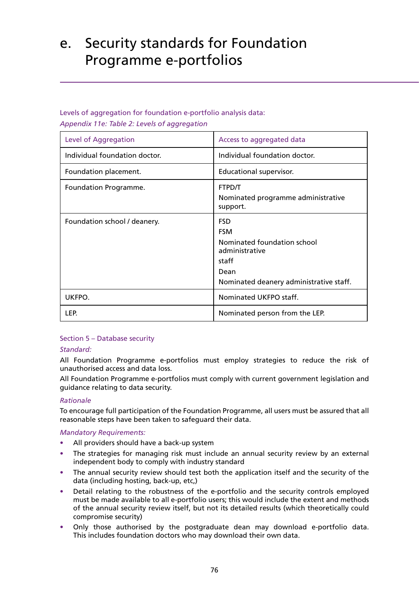# e. Security standards for Foundation Programme e-portfolios

### Levels of aggregation for foundation e-portfolio analysis data: *Appendix 11e: Table 2: Levels of aggregation*

| Level of Aggregation          | Access to aggregated data                                                                                                             |
|-------------------------------|---------------------------------------------------------------------------------------------------------------------------------------|
| Individual foundation doctor. | Individual foundation doctor.                                                                                                         |
| Foundation placement.         | Educational supervisor.                                                                                                               |
| Foundation Programme.         | <b>FTPD/T</b><br>Nominated programme administrative<br>support.                                                                       |
| Foundation school / deanery.  | <b>FSD</b><br><b>FSM</b><br>Nominated foundation school<br>administrative<br>staff<br>Dean<br>Nominated deanery administrative staff. |
| UKFPO.                        | Nominated UKFPO staff.                                                                                                                |
| LEP.                          | Nominated person from the LEP.                                                                                                        |

### Section 5 – Database security

### *Standard:*

All Foundation Programme e-portfolios must employ strategies to reduce the risk of unauthorised access and data loss.

All Foundation Programme e-portfolios must comply with current government legislation and guidance relating to data security.

### *Rationale*

To encourage full participation of the Foundation Programme, all users must be assured that all reasonable steps have been taken to safeguard their data.

### *Mandatory Requirements:*

- **•** All providers should have a back-up system
- **•** The strategies for managing risk must include an annual security review by an external independent body to comply with industry standard
- **•** The annual security review should test both the application itself and the security of the data (including hosting, back-up, etc,)
- **•** Detail relating to the robustness of the e-portfolio and the security controls employed must be made available to all e-portfolio users; this would include the extent and methods of the annual security review itself, but not its detailed results (which theoretically could compromise security)
- **•** Only those authorised by the postgraduate dean may download e-portfolio data. This includes foundation doctors who may download their own data.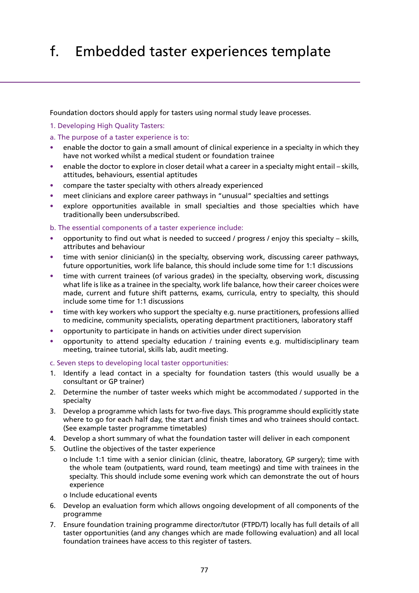# f. Embedded taster experiences template

Foundation doctors should apply for tasters using normal study leave processes.

- 1. Developing High Quality Tasters:
- a. The purpose of a taster experience is to:
- **•** enable the doctor to gain a small amount of clinical experience in a specialty in which they have not worked whilst a medical student or foundation trainee
- **•** enable the doctor to explore in closer detail what a career in a specialty might entail skills, attitudes, behaviours, essential aptitudes
- **•** compare the taster specialty with others already experienced
- **•** meet clinicians and explore career pathways in "unusual" specialties and settings
- **•** explore opportunities available in small specialties and those specialties which have traditionally been undersubscribed.
- b. The essential components of a taster experience include:
- **•** opportunity to find out what is needed to succeed / progress / enjoy this specialty skills, attributes and behaviour
- **•** time with senior clinician(s) in the specialty, observing work, discussing career pathways, future opportunities, work life balance, this should include some time for 1:1 discussions
- **•** time with current trainees (of various grades) in the specialty, observing work, discussing what life is like as a trainee in the specialty, work life balance, how their career choices were made, current and future shift patterns, exams, curricula, entry to specialty, this should include some time for 1:1 discussions
- **•** time with key workers who support the specialty e.g. nurse practitioners, professions allied to medicine, community specialists, operating department practitioners, laboratory staff
- **•** opportunity to participate in hands on activities under direct supervision
- **•** opportunity to attend specialty education / training events e.g. multidisciplinary team meeting, trainee tutorial, skills lab, audit meeting.
- c. Seven steps to developing local taster opportunities:
- 1. Identify a lead contact in a specialty for foundation tasters (this would usually be a consultant or GP trainer)
- 2. Determine the number of taster weeks which might be accommodated / supported in the specialty
- 3. Develop a programme which lasts for two-five days. This programme should explicitly state where to go for each half day, the start and finish times and who trainees should contact. (See example taster programme timetables)
- 4. Develop a short summary of what the foundation taster will deliver in each component
- 5. Outline the objectives of the taster experience
	- o Include 1:1 time with a senior clinician (clinic, theatre, laboratory, GP surgery); time with the whole team (outpatients, ward round, team meetings) and time with trainees in the specialty. This should include some evening work which can demonstrate the out of hours experience
	- o Include educational events
- 6. Develop an evaluation form which allows ongoing development of all components of the programme
- 7. Ensure foundation training programme director/tutor (FTPD/T) locally has full details of all taster opportunities (and any changes which are made following evaluation) and all local foundation trainees have access to this register of tasters.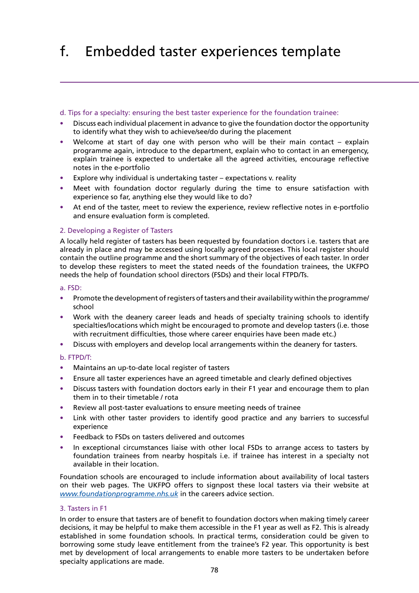# f. Embedded taster experiences template

#### d. Tips for a specialty: ensuring the best taster experience for the foundation trainee:

- **•** Discuss each individual placement in advance to give the foundation doctor the opportunity to identify what they wish to achieve/see/do during the placement
- **•** Welcome at start of day one with person who will be their main contact explain programme again, introduce to the department, explain who to contact in an emergency, explain trainee is expected to undertake all the agreed activities, encourage reflective notes in the e-portfolio
- **•** Explore why individual is undertaking taster expectations v. reality
- **•** Meet with foundation doctor regularly during the time to ensure satisfaction with experience so far, anything else they would like to do?
- **•** At end of the taster, meet to review the experience, review reflective notes in e-portfolio and ensure evaluation form is completed.

#### 2. Developing a Register of Tasters

A locally held register of tasters has been requested by foundation doctors i.e. tasters that are already in place and may be accessed using locally agreed processes. This local register should contain the outline programme and the short summary of the objectives of each taster. In order to develop these registers to meet the stated needs of the foundation trainees, the UKFPO needs the help of foundation school directors (FSDs) and their local FTPD/Ts.

#### a. FSD:

- **•** Promote the development of registers of tasters and their availability within the programme/ school
- **•** Work with the deanery career leads and heads of specialty training schools to identify specialties/locations which might be encouraged to promote and develop tasters (i.e. those with recruitment difficulties, those where career enquiries have been made etc.)
- **•** Discuss with employers and develop local arrangements within the deanery for tasters.

#### b. FTPD/T:

- **•** Maintains an up-to-date local register of tasters
- **•** Ensure all taster experiences have an agreed timetable and clearly defined objectives
- **•** Discuss tasters with foundation doctors early in their F1 year and encourage them to plan them in to their timetable / rota
- **•** Review all post-taster evaluations to ensure meeting needs of trainee
- **•** Link with other taster providers to identify good practice and any barriers to successful experience
- **•** Feedback to FSDs on tasters delivered and outcomes
- **•** In exceptional circumstances liaise with other local FSDs to arrange access to tasters by foundation trainees from nearby hospitals i.e. if trainee has interest in a specialty not available in their location.

Foundation schools are encouraged to include information about availability of local tasters on their web pages. The UKFPO offers to signpost these local tasters via their website at *[www.foundationprogramme.nhs.uk](http://www.foundationprogramme.nhs.uk/pages/home)* in the careers advice section.

#### 3. Tasters in F1

In order to ensure that tasters are of benefit to foundation doctors when making timely career decisions, it may be helpful to make them accessible in the F1 year as well as F2. This is already established in some foundation schools. In practical terms, consideration could be given to borrowing some study leave entitlement from the trainee's F2 year. This opportunity is best met by development of local arrangements to enable more tasters to be undertaken before specialty applications are made.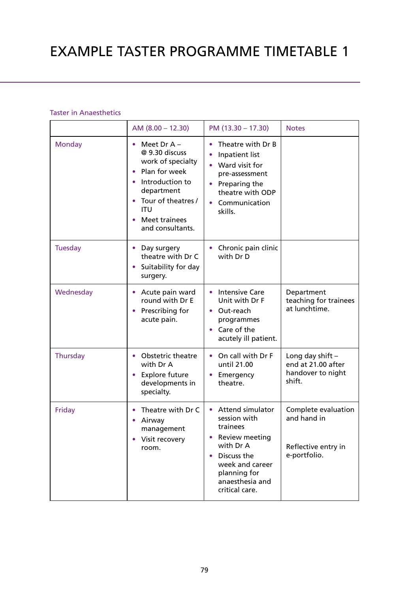### Taster in Anaesthetics

|                | AM $(8.00 - 12.30)$                                                                                                                                                                                                    | PM (13.30 - 17.30)                                                                                                                                                                     | <b>Notes</b>                                                              |
|----------------|------------------------------------------------------------------------------------------------------------------------------------------------------------------------------------------------------------------------|----------------------------------------------------------------------------------------------------------------------------------------------------------------------------------------|---------------------------------------------------------------------------|
| <b>Monday</b>  | Meet Dr $A -$<br>۰<br>@ 9.30 discuss<br>work of specialty<br>Plan for week<br>$\bullet$<br>Introduction to<br>$\bullet$<br>department<br>• Tour of theatres /<br>ITU<br>Meet trainees<br>$\bullet$<br>and consultants. | Theatre with Dr B<br>Inpatient list<br>Ward visit for<br>pre-assessment<br>Preparing the<br>theatre with ODP<br>Communication<br>skills.                                               |                                                                           |
| <b>Tuesday</b> | • Day surgery<br>theatre with Dr C<br>• Suitability for day<br>surgery.                                                                                                                                                | Chronic pain clinic<br>with Dr D                                                                                                                                                       |                                                                           |
| Wednesday      | Acute pain ward<br>round with Dr E<br>• Prescribing for<br>acute pain.                                                                                                                                                 | <b>Intensive Care</b><br>$\bullet$<br>Unit with Dr F<br>• Out-reach<br>programmes<br>Care of the<br>acutely ill patient.                                                               | Department<br>teaching for trainees<br>at lunchtime.                      |
| Thursday       | <b>Obstetric theatre</b><br>$\bullet$<br>with Dr A<br>Explore future<br>$\bullet$<br>developments in<br>specialty.                                                                                                     | On call with Dr F<br>$\bullet$<br>until 21.00<br>Emergency<br>theatre.                                                                                                                 | Long day shift $-$<br>end at 21.00 after<br>handover to night<br>shift.   |
| Friday         | Theatre with Dr C<br>Airway<br>٠<br>management<br>Visit recovery<br>room.                                                                                                                                              | <b>Attend simulator</b><br>session with<br>trainees<br>Review meeting<br>with Dr A<br>Discuss the<br>$\bullet$<br>week and career<br>planning for<br>anaesthesia and<br>critical care. | Complete evaluation<br>and hand in<br>Reflective entry in<br>e-portfolio. |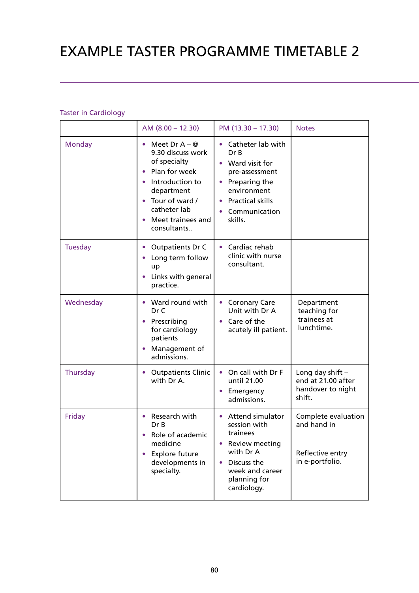# EXAMPLE TASTER PROGRAMME TIMETABLE 2

### Taster in Cardiology

|                | AM $(8.00 - 12.30)$                                                                                                                                                                                                                | PM (13.30 - 17.30)                                                                                                                                               | <b>Notes</b>                                                              |
|----------------|------------------------------------------------------------------------------------------------------------------------------------------------------------------------------------------------------------------------------------|------------------------------------------------------------------------------------------------------------------------------------------------------------------|---------------------------------------------------------------------------|
| Monday         | Meet Dr $A - Q$<br>$\bullet$<br>9.30 discuss work<br>of specialty<br>Plan for week<br>$\bullet$<br>• Introduction to<br>department<br>Tour of ward /<br>$\bullet$<br>catheter lab<br>Meet trainees and<br>$\bullet$<br>consultants | Catheter lab with<br>$\bullet$<br>Dr B<br>• Ward visit for<br>pre-assessment<br>• Preparing the<br>environment<br>• Practical skills<br>Communication<br>skills. |                                                                           |
| <b>Tuesday</b> | <b>Outpatients Dr C</b><br>$\bullet$<br>Long term follow<br>$\bullet$<br>up<br>Links with general<br>$\bullet$<br>practice.                                                                                                        | Cardiac rehab<br>clinic with nurse<br>consultant.                                                                                                                |                                                                           |
| Wednesday      | • Ward round with<br>Dr C<br>Prescribing<br>$\bullet$<br>for cardiology<br>patients<br>Management of<br>$\bullet$<br>admissions.                                                                                                   | • Coronary Care<br>Unit with Dr A<br>• Care of the<br>acutely ill patient.                                                                                       | Department<br>teaching for<br>trainees at<br>lunchtime.                   |
| Thursday       | <b>Outpatients Clinic</b><br>۰<br>with Dr A.                                                                                                                                                                                       | On call with Dr F<br>$\bullet$<br>until 21.00<br>• Emergency<br>admissions.                                                                                      | Long day shift $-$<br>end at 21.00 after<br>handover to night<br>shift.   |
| Friday         | Research with<br>$\bullet$<br>Dr B<br>Role of academic<br>$\bullet$<br>medicine<br><b>Explore future</b><br>$\bullet$<br>developments in<br>specialty.                                                                             | <b>Attend simulator</b><br>session with<br>trainees<br>Review meeting<br>with Dr A<br>Discuss the<br>week and career<br>planning for<br>cardiology.              | Complete evaluation<br>and hand in<br>Reflective entry<br>in e-portfolio. |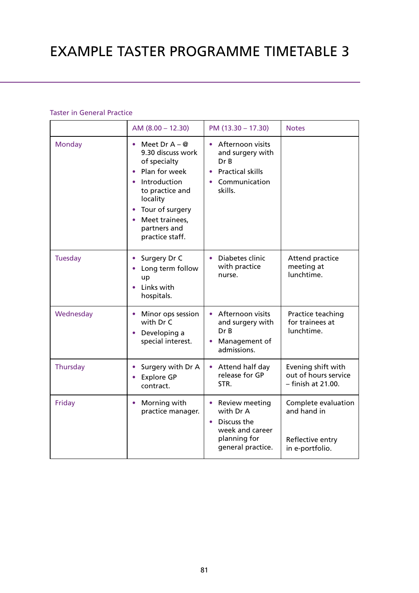### Taster in General Practice

|                | AM $(8.00 - 12.30)$                                                                                                                                                                                       | PM (13.30 - 17.30)                                                                                                            | <b>Notes</b>                                                              |
|----------------|-----------------------------------------------------------------------------------------------------------------------------------------------------------------------------------------------------------|-------------------------------------------------------------------------------------------------------------------------------|---------------------------------------------------------------------------|
| <b>Monday</b>  | Meet Dr $A - Q$<br>9.30 discuss work<br>of specialty<br>Plan for week<br>Introduction<br>to practice and<br>locality<br>Tour of surgery<br>$\bullet$<br>Meet trainees,<br>partners and<br>practice staff. | Afternoon visits<br>$\bullet$<br>and surgery with<br>Dr B<br><b>Practical skills</b><br>$\bullet$<br>Communication<br>skills. |                                                                           |
| <b>Tuesday</b> | Surgery Dr C<br>Long term follow<br>up<br>Links with<br>hospitals.                                                                                                                                        | Diabetes clinic<br>$\bullet$<br>with practice<br>nurse.                                                                       | Attend practice<br>meeting at<br>lunchtime.                               |
| Wednesday      | Minor ops session<br>with Dr C<br>Developing a<br>$\bullet$<br>special interest.                                                                                                                          | Afternoon visits<br>$\bullet$<br>and surgery with<br>Dr B<br>Management of<br>admissions.                                     | Practice teaching<br>for trainees at<br>lunchtime.                        |
| Thursday       | Surgery with Dr A<br><b>Explore GP</b><br>contract.                                                                                                                                                       | Attend half day<br>release for GP<br>STR.                                                                                     | Evening shift with<br>out of hours service<br>- finish at 21.00.          |
| Friday         | Morning with<br>$\bullet$<br>practice manager.                                                                                                                                                            | Review meeting<br>$\bullet$<br>with Dr A<br>Discuss the<br>$\bullet$<br>week and career<br>planning for<br>general practice.  | Complete evaluation<br>and hand in<br>Reflective entry<br>in e-portfolio. |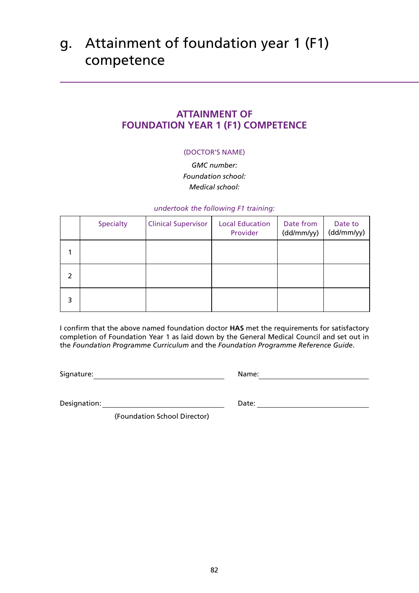# g. Attainment of foundation year 1 (F1) competence

### **ATTAINMENT OF FOUNDATION YEAR 1 (F1) COMPETENCE**

### (DOCTOR'S NAME)

*GMC number: Foundation school: Medical school:* 

#### *undertook the following F1 training:*

|   | <b>Specialty</b> | <b>Clinical Supervisor</b> | <b>Local Education</b><br>Provider | Date from<br>(dd/mm/yy) | Date to<br>(dd/mm/yy) |
|---|------------------|----------------------------|------------------------------------|-------------------------|-----------------------|
|   |                  |                            |                                    |                         |                       |
| 2 |                  |                            |                                    |                         |                       |
| 3 |                  |                            |                                    |                         |                       |

I confirm that the above named foundation doctor **HAS** met the requirements for satisfactory completion of Foundation Year 1 as laid down by the General Medical Council and set out in the *Foundation Programme Curriculum* and the *Foundation Programme Reference Guide*.

Signature: Name: Name: Name: Name: Name: Name: Name: Name: Name: Name: Name: Name: Name: Name: Name: Name: Name: Name: Name: Name: Name: Name: Name: Name: Name: Name: Name: Name: Name: Name: Name: Name: Name: Name: Name: N

Designation: Date:

(Foundation School Director)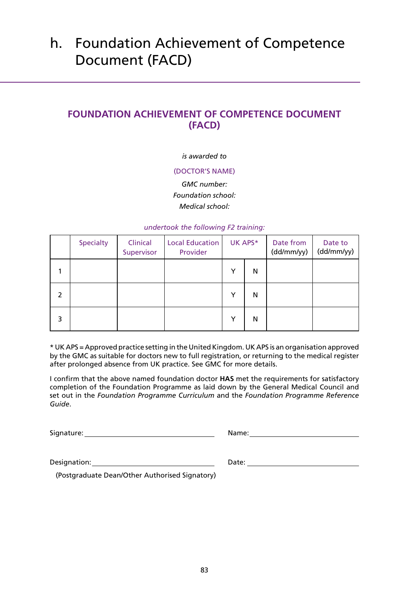# h. Foundation Achievement of Competence Document (FACD)

## **FOUNDATION ACHIEVEMENT OF COMPETENCE DOCUMENT (FACD)**

### *is awarded to*

#### (DOCTOR'S NAME)

*GMC number: Foundation school: Medical school:* 

#### *undertook the following F2 training:*

|   | <b>Specialty</b> | Clinical<br>Supervisor | <b>Local Education</b><br>Provider |   | UK APS* | Date from<br>(dd/mm/yy) | Date to<br>(dd/mm/yy) |
|---|------------------|------------------------|------------------------------------|---|---------|-------------------------|-----------------------|
|   |                  |                        |                                    | Y | N       |                         |                       |
| 2 |                  |                        |                                    | Y | N       |                         |                       |
| 3 |                  |                        |                                    | Y | N       |                         |                       |

\* UK APS = Approved practice setting in the United Kingdom. UK APS is an organisation approved by the GMC as suitable for doctors new to full registration, or returning to the medical register after prolonged absence from UK practice. See GMC for more details.

I confirm that the above named foundation doctor **HAS** met the requirements for satisfactory completion of the Foundation Programme as laid down by the General Medical Council and set out in the *Foundation Programme Curriculum* and the *Foundation Programme Reference Guide*.

Signature: Name: Name: Name: Name: Name: Name: Name: Name: Name: Name: Name: Name: Name: Name: Name: Name: Name: Name: Name: Name: Name: Name: Name: Name: Name: Name: Name: Name: Name: Name: Name: Name: Name: Name: Name: N

(Postgraduate Dean/Other Authorised Signatory)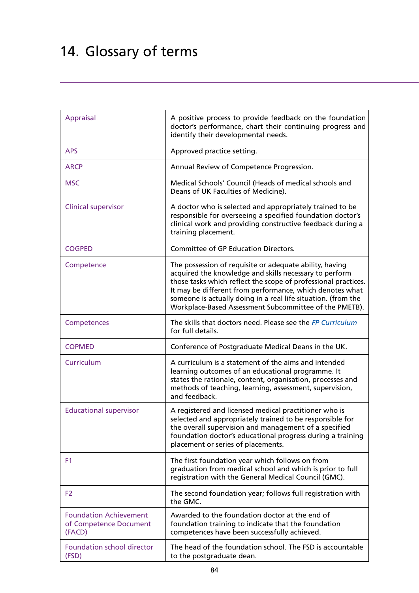# 14. Glossary of terms

| <b>Appraisal</b>                                                  | A positive process to provide feedback on the foundation<br>doctor's performance, chart their continuing progress and<br>identify their developmental needs.                                                                                                                                                                                                               |
|-------------------------------------------------------------------|----------------------------------------------------------------------------------------------------------------------------------------------------------------------------------------------------------------------------------------------------------------------------------------------------------------------------------------------------------------------------|
| <b>APS</b>                                                        | Approved practice setting.                                                                                                                                                                                                                                                                                                                                                 |
| <b>ARCP</b>                                                       | Annual Review of Competence Progression.                                                                                                                                                                                                                                                                                                                                   |
| <b>MSC</b>                                                        | Medical Schools' Council (Heads of medical schools and<br>Deans of UK Faculties of Medicine).                                                                                                                                                                                                                                                                              |
| <b>Clinical supervisor</b>                                        | A doctor who is selected and appropriately trained to be<br>responsible for overseeing a specified foundation doctor's<br>clinical work and providing constructive feedback during a<br>training placement.                                                                                                                                                                |
| <b>COGPED</b>                                                     | <b>Committee of GP Education Directors.</b>                                                                                                                                                                                                                                                                                                                                |
| Competence                                                        | The possession of requisite or adequate ability, having<br>acquired the knowledge and skills necessary to perform<br>those tasks which reflect the scope of professional practices.<br>It may be different from performance, which denotes what<br>someone is actually doing in a real life situation. (from the<br>Workplace-Based Assessment Subcommittee of the PMETB). |
| Competences                                                       | The skills that doctors need. Please see the FP Curriculum<br>for full details.                                                                                                                                                                                                                                                                                            |
| <b>COPMED</b>                                                     | Conference of Postgraduate Medical Deans in the UK.                                                                                                                                                                                                                                                                                                                        |
| Curriculum                                                        | A curriculum is a statement of the aims and intended<br>learning outcomes of an educational programme. It<br>states the rationale, content, organisation, processes and<br>methods of teaching, learning, assessment, supervision,<br>and feedback.                                                                                                                        |
| <b>Educational supervisor</b>                                     | A registered and licensed medical practitioner who is<br>selected and appropriately trained to be responsible for<br>the overall supervision and management of a specified<br>foundation doctor's educational progress during a training<br>placement or series of placements.                                                                                             |
| F1                                                                | The first foundation year which follows on from<br>graduation from medical school and which is prior to full<br>registration with the General Medical Council (GMC).                                                                                                                                                                                                       |
| F <sub>2</sub>                                                    | The second foundation year; follows full registration with<br>the GMC.                                                                                                                                                                                                                                                                                                     |
| <b>Foundation Achievement</b><br>of Competence Document<br>(FACD) | Awarded to the foundation doctor at the end of<br>foundation training to indicate that the foundation<br>competences have been successfully achieved.                                                                                                                                                                                                                      |
| <b>Foundation school director</b><br>(FSD)                        | The head of the foundation school. The FSD is accountable<br>to the postgraduate dean.                                                                                                                                                                                                                                                                                     |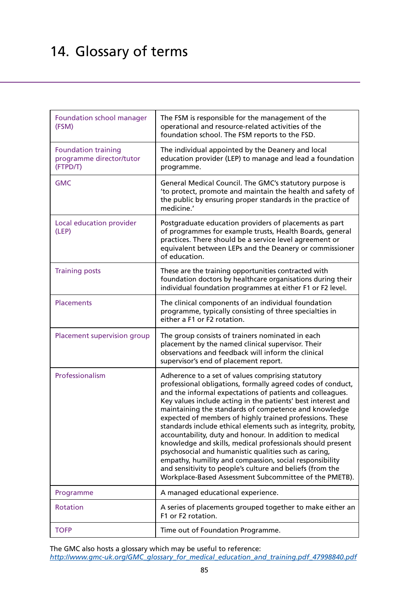# 14. Glossary of terms

| Foundation school manager<br>(FSM)                                 | The FSM is responsible for the management of the<br>operational and resource-related activities of the<br>foundation school. The FSM reports to the FSD.                                                                                                                                                                                                                                                                                                                                                                                                                                                                                                                                                                                                                                                 |
|--------------------------------------------------------------------|----------------------------------------------------------------------------------------------------------------------------------------------------------------------------------------------------------------------------------------------------------------------------------------------------------------------------------------------------------------------------------------------------------------------------------------------------------------------------------------------------------------------------------------------------------------------------------------------------------------------------------------------------------------------------------------------------------------------------------------------------------------------------------------------------------|
| <b>Foundation training</b><br>programme director/tutor<br>(FTPD/T) | The individual appointed by the Deanery and local<br>education provider (LEP) to manage and lead a foundation<br>programme.                                                                                                                                                                                                                                                                                                                                                                                                                                                                                                                                                                                                                                                                              |
| <b>GMC</b>                                                         | General Medical Council. The GMC's statutory purpose is<br>'to protect, promote and maintain the health and safety of<br>the public by ensuring proper standards in the practice of<br>medicine.'                                                                                                                                                                                                                                                                                                                                                                                                                                                                                                                                                                                                        |
| Local education provider<br>(LEP)                                  | Postgraduate education providers of placements as part<br>of programmes for example trusts, Health Boards, general<br>practices. There should be a service level agreement or<br>equivalent between LEPs and the Deanery or commissioner<br>of education.                                                                                                                                                                                                                                                                                                                                                                                                                                                                                                                                                |
| <b>Training posts</b>                                              | These are the training opportunities contracted with<br>foundation doctors by healthcare organisations during their<br>individual foundation programmes at either F1 or F2 level.                                                                                                                                                                                                                                                                                                                                                                                                                                                                                                                                                                                                                        |
| <b>Placements</b>                                                  | The clinical components of an individual foundation<br>programme, typically consisting of three specialties in<br>either a F1 or F2 rotation.                                                                                                                                                                                                                                                                                                                                                                                                                                                                                                                                                                                                                                                            |
| Placement supervision group                                        | The group consists of trainers nominated in each<br>placement by the named clinical supervisor. Their<br>observations and feedback will inform the clinical<br>supervisor's end of placement report.                                                                                                                                                                                                                                                                                                                                                                                                                                                                                                                                                                                                     |
| Professionalism                                                    | Adherence to a set of values comprising statutory<br>professional obligations, formally agreed codes of conduct,<br>and the informal expectations of patients and colleagues.<br>Key values include acting in the patients' best interest and<br>maintaining the standards of competence and knowledge<br>expected of members of highly trained professions. These<br>standards include ethical elements such as integrity, probity,<br>accountability, duty and honour. In addition to medical<br>knowledge and skills, medical professionals should present<br>psychosocial and humanistic qualities such as caring,<br>empathy, humility and compassion, social responsibility<br>and sensitivity to people's culture and beliefs (from the<br>Workplace-Based Assessment Subcommittee of the PMETB). |
| Programme                                                          | A managed educational experience.                                                                                                                                                                                                                                                                                                                                                                                                                                                                                                                                                                                                                                                                                                                                                                        |
| <b>Rotation</b>                                                    | A series of placements grouped together to make either an<br>F1 or F2 rotation.                                                                                                                                                                                                                                                                                                                                                                                                                                                                                                                                                                                                                                                                                                                          |
| <b>TOFP</b>                                                        | Time out of Foundation Programme.                                                                                                                                                                                                                                                                                                                                                                                                                                                                                                                                                                                                                                                                                                                                                                        |

The GMC also hosts a glossary which may be useful to reference: *[http://www.gmc-uk.org/GMC\\_glossary\\_for\\_medical\\_education\\_and\\_training.pdf\\_47998840.pdf](http://www.gmc-uk.org/GMC_glossary_for_medical_education_and_training.pdf_47998840.pdf)*